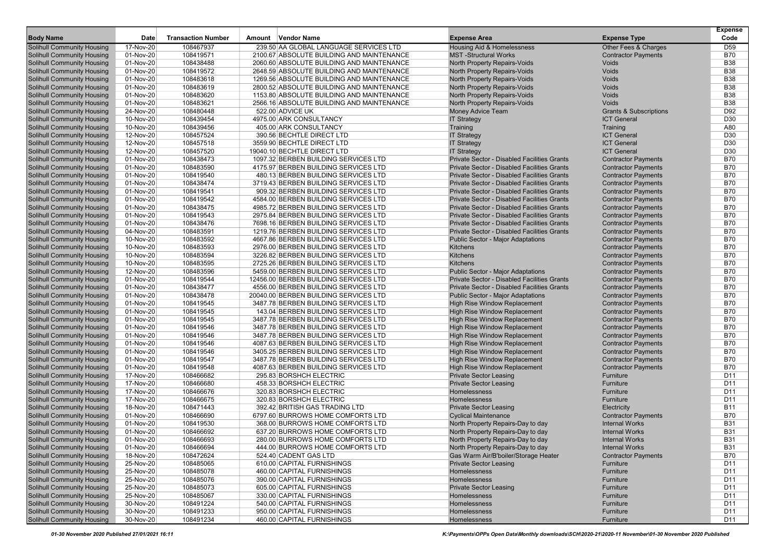| <b>Body Name</b>                  | Date        | <b>Transaction Number</b> | Amount Vendor Name                        | <b>Expense Area</b>                         | <b>Expense Type</b>               | <b>Expense</b><br>Code |
|-----------------------------------|-------------|---------------------------|-------------------------------------------|---------------------------------------------|-----------------------------------|------------------------|
| Solihull Community Housing        | 17-Nov-20   | 108467937                 | 239.50 AA GLOBAL LANGUAGE SERVICES LTD    | <b>Housing Aid &amp; Homelessness</b>       | Other Fees & Charges              | D <sub>59</sub>        |
| Solihull Community Housing        | 01-Nov-20   | 108419571                 | 2100.67 ABSOLUTE BUILDING AND MAINTENANCE | <b>MST-Structural Works</b>                 | <b>Contractor Payments</b>        | <b>B70</b>             |
| Solihull Community Housing        | 01-Nov-20   | 108438488                 | 2060.60 ABSOLUTE BUILDING AND MAINTENANCE | North Property Repairs-Voids                | Voids                             | <b>B38</b>             |
| Solihull Community Housing        | 01-Nov-20   | 108419572                 | 2648.59 ABSOLUTE BUILDING AND MAINTENANCE | North Property Repairs-Voids                | Voids                             | <b>B38</b>             |
| Solihull Community Housing        | 01-Nov-20   | 108483618                 | 1269.56 ABSOLUTE BUILDING AND MAINTENANCE | North Property Repairs-Voids                | Voids                             | <b>B38</b>             |
| Solihull Community Housing        | 01-Nov-20   | 108483619                 | 2800.52 ABSOLUTE BUILDING AND MAINTENANCE | North Property Repairs-Voids                | Voids                             | <b>B38</b>             |
| Solihull Community Housing        | 01-Nov-20   | 108483620                 | 1153.80 ABSOLUTE BUILDING AND MAINTENANCE | North Property Repairs-Voids                | Voids                             | <b>B38</b>             |
| Solihull Community Housing        | 01-Nov-20   | 108483621                 | 2566.16 ABSOLUTE BUILDING AND MAINTENANCE | North Property Repairs-Voids                | Voids                             | <b>B38</b>             |
| <b>Solihull Community Housing</b> | 24-Nov-20   | 108480448                 | 522.00 ADVICE UK                          | Money Advice Team                           | <b>Grants &amp; Subscriptions</b> | D92                    |
| <b>Solihull Community Housing</b> | 10-Nov-20   | 108439454                 | 4975.00 ARK CONSULTANCY                   | <b>IT Strategy</b>                          | <b>ICT General</b>                | D30                    |
| Solihull Community Housing        | 10-Nov-20   | 108439456                 | 405.00 ARK CONSULTANCY                    | Training                                    | Training                          | A80                    |
| Solihull Community Housing        | 12-Nov-20   | 108457524                 | 390.56 BECHTLE DIRECT LTD                 | <b>IT Strategy</b>                          | <b>ICT General</b>                | D30                    |
| Solihull Community Housing        | 12-Nov-20   | 108457518                 | 3559.90 BECHTLE DIRECT LTD                | <b>IT Strategy</b>                          | <b>ICT General</b>                | D30                    |
| <b>Solihull Community Housing</b> | $12-Nov-20$ | 108457520                 | 19040.10 BECHTLE DIRECT LTD               | <b>IT Strategy</b>                          | <b>ICT General</b>                | D <sub>30</sub>        |
| Solihull Community Housing        | 01-Nov-20   | 108438473                 | 1097.32 BERBEN BUILDING SERVICES LTD      | Private Sector - Disabled Facilities Grants | <b>Contractor Payments</b>        | <b>B70</b>             |
| <b>Solihull Community Housing</b> | 01-Nov-20   | 108483590                 | 4175.97 BERBEN BUILDING SERVICES LTD      | Private Sector - Disabled Facilities Grants | <b>Contractor Payments</b>        | <b>B70</b>             |
| <b>Solihull Community Housing</b> | 01-Nov-20   | 108419540                 | 480.13 BERBEN BUILDING SERVICES LTD       | Private Sector - Disabled Facilities Grants | <b>Contractor Payments</b>        | <b>B70</b>             |
| Solihull Community Housing        | 01-Nov-20   | 108438474                 | 3719.43 BERBEN BUILDING SERVICES LTD      | Private Sector - Disabled Facilities Grants | <b>Contractor Payments</b>        | <b>B70</b>             |
| Solihull Community Housing        | 01-Nov-20   | 108419541                 | 909.32 BERBEN BUILDING SERVICES LTD       | Private Sector - Disabled Facilities Grants | <b>Contractor Payments</b>        | <b>B70</b>             |
| Solihull Community Housing        | 01-Nov-20   | 108419542                 | 4584.00 BERBEN BUILDING SERVICES LTD      | Private Sector - Disabled Facilities Grants | <b>Contractor Payments</b>        | <b>B70</b>             |
| <b>Solihull Community Housing</b> | 01-Nov-20   | 108438475                 | 4985.72 BERBEN BUILDING SERVICES LTD      | Private Sector - Disabled Facilities Grants | <b>Contractor Payments</b>        | <b>B70</b>             |
| <b>Solihull Community Housing</b> | 01-Nov-20   | 108419543                 | 2975.84 BERBEN BUILDING SERVICES LTD      | Private Sector - Disabled Facilities Grants | <b>Contractor Payments</b>        | <b>B70</b>             |
| <b>Solihull Community Housing</b> | 01-Nov-20   | 108438476                 | 7698.16 BERBEN BUILDING SERVICES LTD      | Private Sector - Disabled Facilities Grants | <b>Contractor Payments</b>        | <b>B70</b>             |
| Solihull Community Housing        | 04-Nov-20   | 108483591                 | 1219.76 BERBEN BUILDING SERVICES LTD      | Private Sector - Disabled Facilities Grants | <b>Contractor Payments</b>        | <b>B70</b>             |
| <b>Solihull Community Housing</b> | 10-Nov-20   | 108483592                 | 4667.86 BERBEN BUILDING SERVICES LTD      | <b>Public Sector - Major Adaptations</b>    | <b>Contractor Payments</b>        | <b>B70</b>             |
| Solihull Community Housing        | 10-Nov-20   | 108483593                 | 2976.00 BERBEN BUILDING SERVICES LTD      | Kitchens                                    | <b>Contractor Payments</b>        | <b>B70</b>             |
| <b>Solihull Community Housing</b> | 10-Nov-20   | 108483594                 | 3226.82 BERBEN BUILDING SERVICES LTD      | Kitchens                                    | <b>Contractor Payments</b>        | <b>B70</b>             |
| Solihull Community Housing        | 10-Nov-20   | 108483595                 | 2725.26 BERBEN BUILDING SERVICES LTD      | Kitchens                                    | <b>Contractor Payments</b>        | <b>B70</b>             |
| Solihull Community Housing        | 12-Nov-20   | 108483596                 | 5459.00 BERBEN BUILDING SERVICES LTD      | <b>Public Sector - Major Adaptations</b>    | <b>Contractor Payments</b>        | <b>B70</b>             |
| <b>Solihull Community Housing</b> | 01-Nov-20   | 108419544                 | 12456.00 BERBEN BUILDING SERVICES LTD     | Private Sector - Disabled Facilities Grants | <b>Contractor Payments</b>        | <b>B70</b>             |
| Solihull Community Housing        | 01-Nov-20   | 108438477                 | 4556.00 BERBEN BUILDING SERVICES LTD      | Private Sector - Disabled Facilities Grants | <b>Contractor Payments</b>        | <b>B70</b>             |
| Solihull Community Housing        | 01-Nov-20   | 108438478                 | 20040.00 BERBEN BUILDING SERVICES LTD     | <b>Public Sector - Major Adaptations</b>    | <b>Contractor Payments</b>        | <b>B70</b>             |
| <b>Solihull Community Housing</b> | 01-Nov-20   | 108419545                 | 3487.78 BERBEN BUILDING SERVICES LTD      | <b>High Rise Window Replacement</b>         | <b>Contractor Payments</b>        | <b>B70</b>             |
| <b>Solihull Community Housing</b> | 01-Nov-20   | 108419545                 | 143.04 BERBEN BUILDING SERVICES LTD       | <b>High Rise Window Replacement</b>         | <b>Contractor Payments</b>        | <b>B70</b>             |
| <b>Solihull Community Housing</b> | 01-Nov-20   | 108419545                 | 3487.78 BERBEN BUILDING SERVICES LTD      | <b>High Rise Window Replacement</b>         | <b>Contractor Payments</b>        | <b>B70</b>             |
| Solihull Community Housing        | 01-Nov-20   | 108419546                 | 3487.78 BERBEN BUILDING SERVICES LTD      | <b>High Rise Window Replacement</b>         | <b>Contractor Payments</b>        | <b>B70</b>             |
| Solihull Community Housing        | 01-Nov-20   | 108419546                 | 3487.78 BERBEN BUILDING SERVICES LTD      | <b>High Rise Window Replacement</b>         | <b>Contractor Payments</b>        | <b>B70</b>             |
| Solihull Community Housing        | 01-Nov-20   | 108419546                 | 4087.63 BERBEN BUILDING SERVICES LTD      | <b>High Rise Window Replacement</b>         | <b>Contractor Payments</b>        | <b>B70</b>             |
| Solihull Community Housing        | 01-Nov-20   | 108419546                 | 3405.25 BERBEN BUILDING SERVICES LTD      | <b>High Rise Window Replacement</b>         | <b>Contractor Payments</b>        | <b>B70</b>             |
| Solihull Community Housing        | 01-Nov-20   | 108419547                 | 3487.78 BERBEN BUILDING SERVICES LTD      | <b>High Rise Window Replacement</b>         | <b>Contractor Payments</b>        | <b>B70</b>             |
| <b>Solihull Community Housing</b> | 01-Nov-20   | 108419548                 | 4087.63 BERBEN BUILDING SERVICES LTD      | <b>High Rise Window Replacement</b>         | <b>Contractor Payments</b>        | <b>B70</b>             |
| <b>Solihull Community Housing</b> | 17-Nov-20   | 108466682                 | 295.83 BORSHCH ELECTRIC                   | <b>Private Sector Leasing</b>               | Furniture                         | D11                    |
| <b>Solihull Community Housing</b> | 17-Nov-20   | 108466680                 | 458.33 BORSHCH ELECTRIC                   | <b>Private Sector Leasing</b>               | Furniture                         | D11                    |
| <b>Solihull Community Housing</b> | 17-Nov-20   | 108466676                 | 320.83 BORSHCH ELECTRIC                   | Homelessness                                | Furniture                         | D11                    |
| Solihull Community Housing        | 17-Nov-20   | 108466675                 | 320.83 BORSHCH ELECTRIC                   | Homelessness                                | Furniture                         | D <sub>11</sub>        |
| Solihull Community Housing        | 18-Nov-20   | 108471443                 | 392.42 BRITISH GAS TRADING LTD            | <b>Private Sector Leasing</b>               | Electricity                       | <b>B11</b>             |
| <b>Solihull Community Housing</b> | 01-Nov-20   | 108466690                 | 6797.60 BURROWS HOME COMFORTS LTD         | <b>Cyclical Maintenance</b>                 | <b>Contractor Payments</b>        | B70                    |
| Solihull Community Housing        | 01-Nov-20   | 108419530                 | 368.00 BURROWS HOME COMFORTS LTD          | North Property Repairs-Day to day           | <b>Internal Works</b>             | <b>B31</b>             |
| Solihull Community Housing        | 01-Nov-20   | 108466692                 | 637.20 BURROWS HOME COMFORTS LTD          | North Property Repairs-Day to day           | <b>Internal Works</b>             | <b>B31</b>             |
| <b>Solihull Community Housing</b> | 01-Nov-20   | 108466693                 | 280.00 BURROWS HOME COMFORTS LTD          | North Property Repairs-Day to day           | <b>Internal Works</b>             | <b>B31</b>             |
| <b>Solihull Community Housing</b> | 01-Nov-20   | 108466694                 | 444.00 BURROWS HOME COMFORTS LTD          | North Property Repairs-Day to day           | <b>Internal Works</b>             | <b>B31</b>             |
| <b>Solihull Community Housing</b> | 18-Nov-20   | 108472624                 | 524.40 CADENT GAS LTD                     | Gas Warm Air/B'boiler/Storage Heater        | <b>Contractor Payments</b>        | B70                    |
| <b>Solihull Community Housing</b> | 25-Nov-20   | 108485065                 | 610.00 CAPITAL FURNISHINGS                | <b>Private Sector Leasing</b>               | Furniture                         | D11                    |
| <b>Solihull Community Housing</b> | 25-Nov-20   | 108485078                 | 460.00 CAPITAL FURNISHINGS                | Homelessness                                | Furniture                         | D11                    |
| <b>Solihull Community Housing</b> | 25-Nov-20   | 108485076                 | 390.00 CAPITAL FURNISHINGS                | Homelessness                                | Furniture                         | D11                    |
| <b>Solihull Community Housing</b> | 25-Nov-20   | 108485073                 | 605.00 CAPITAL FURNISHINGS                | <b>Private Sector Leasing</b>               | Furniture                         | D11                    |
| <b>Solihull Community Housing</b> | 25-Nov-20   | 108485067                 | 330.00 CAPITAL FURNISHINGS                | Homelessness                                | Furniture                         | D11                    |
| <b>Solihull Community Housing</b> | 30-Nov-20   | 108491224                 | 540.00 CAPITAL FURNISHINGS                | Homelessness                                | Furniture                         | D11                    |
| <b>Solihull Community Housing</b> | 30-Nov-20   | 108491233                 | 950.00 CAPITAL FURNISHINGS                | Homelessness                                | Furniture                         | D11                    |
| <b>Solihull Community Housing</b> | 30-Nov-20   | 108491234                 | 460.00 CAPITAL FURNISHINGS                | Homelessness                                | Furniture                         | D11                    |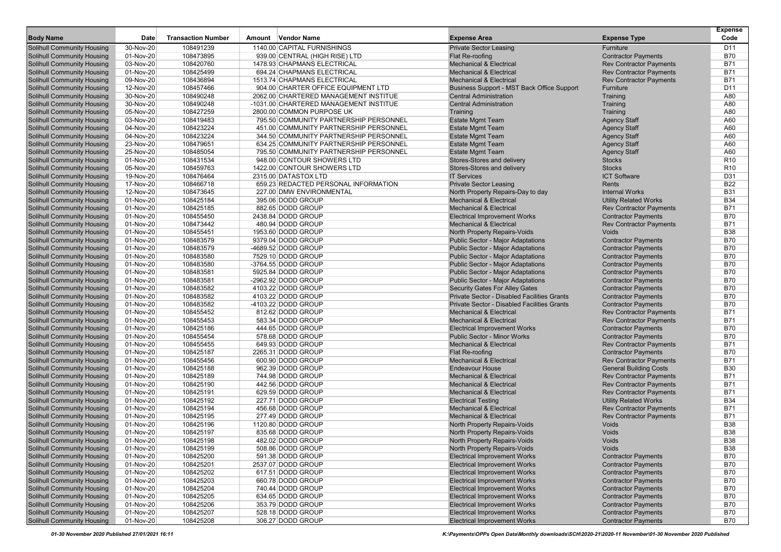|                                                                        |                        |                           |                                        |                                                                           |                                                              | <b>Expense</b>           |
|------------------------------------------------------------------------|------------------------|---------------------------|----------------------------------------|---------------------------------------------------------------------------|--------------------------------------------------------------|--------------------------|
| <b>Body Name</b>                                                       | Date                   | <b>Transaction Number</b> | Amount Vendor Name                     | <b>Expense Area</b>                                                       | <b>Expense Type</b>                                          | Code                     |
| <b>Solihull Community Housing</b>                                      | 30-Nov-20              | 108491239                 | 1140.00 CAPITAL FURNISHINGS            | <b>Private Sector Leasing</b>                                             | Furniture                                                    | D11                      |
| <b>Solihull Community Housing</b>                                      | 01-Nov-20              | 108473895                 | 939.00 CENTRAL (HIGH RISE) LTD         | Flat Re-roofing                                                           | <b>Contractor Payments</b>                                   | <b>B70</b>               |
| <b>Solihull Community Housing</b>                                      | 03-Nov-20              | 108420760                 | 1478.93 CHAPMANS ELECTRICAL            | <b>Mechanical &amp; Electrical</b>                                        | <b>Rev Contractor Payments</b>                               | <b>B71</b>               |
| <b>Solihull Community Housing</b>                                      | 01-Nov-20              | 108425499                 | 694.24 CHAPMANS ELECTRICAL             | <b>Mechanical &amp; Electrical</b>                                        | <b>Rev Contractor Payments</b>                               | <b>B71</b>               |
| <b>Solihull Community Housing</b>                                      | 09-Nov-20              | 108436894                 | 1513.74 CHAPMANS ELECTRICAL            | <b>Mechanical &amp; Electrical</b>                                        | <b>Rev Contractor Payments</b>                               | <b>B71</b>               |
| <b>Solihull Community Housing</b>                                      | 12-Nov-20              | 108457466                 | 904.00 CHARTER OFFICE EQUIPMENT LTD    | Business Support - MST Back Office Support                                | Furniture                                                    | D11                      |
| <b>Solihull Community Housing</b>                                      | 30-Nov-20              | 108490248                 | 2062.00 CHARTERED MANAGEMENT INSTITUE  | <b>Central Administration</b>                                             | Training                                                     | A80                      |
| <b>Solihull Community Housing</b>                                      | 30-Nov-20              | 108490248                 | -1031.00 CHARTERED MANAGEMENT INSTITUE | <b>Central Administration</b>                                             | Training                                                     | A80                      |
| <b>Solihull Community Housing</b>                                      | 05-Nov-20              | 108427259                 | 2800.00 COMMON PURPOSE UK              | Training                                                                  | Training                                                     | A80                      |
| <b>Solihull Community Housing</b>                                      | 03-Nov-20              | 108419483                 | 795.50 COMMUNITY PARTNERSHIP PERSONNEL | <b>Estate Mgmt Team</b>                                                   | <b>Agency Staff</b>                                          | A60                      |
| <b>Solihull Community Housing</b>                                      | 04-Nov-20              | 108423224                 | 451.00 COMMUNITY PARTNERSHIP PERSONNEL | <b>Estate Mgmt Team</b>                                                   | <b>Agency Staff</b>                                          | A60                      |
| <b>Solihull Community Housing</b>                                      | 04-Nov-20              | 108423224                 | 344.50 COMMUNITY PARTNERSHIP PERSONNEL | <b>Estate Mgmt Team</b>                                                   | <b>Agency Staff</b>                                          | A60                      |
| <b>Solihull Community Housing</b>                                      | 23-Nov-20              | 108479651                 | 634.25 COMMUNITY PARTNERSHIP PERSONNEL | <b>Estate Mgmt Team</b>                                                   | <b>Agency Staff</b>                                          | A60                      |
| <b>Solihull Community Housing</b>                                      | 25-Nov-20              | 108485054                 | 795.50 COMMUNITY PARTNERSHIP PERSONNEL | <b>Estate Mgmt Team</b>                                                   | <b>Agency Staff</b>                                          | A60                      |
| <b>Solihull Community Housing</b>                                      | 01-Nov-20              | 108431534                 | 948.00 CONTOUR SHOWERS LTD             | Stores-Stores and delivery                                                | <b>Stocks</b>                                                | R <sub>10</sub>          |
| <b>Solihull Community Housing</b>                                      | 05-Nov-20              | 108459763                 | 1422.00 CONTOUR SHOWERS LTD            | Stores-Stores and delivery                                                | <b>Stocks</b>                                                | R <sub>10</sub>          |
| <b>Solihull Community Housing</b>                                      | 19-Nov-20              | 108476464                 | 2315.00 DATASTOX LTD                   | <b>IT Services</b>                                                        | <b>ICT Software</b>                                          | D31                      |
| <b>Solihull Community Housing</b>                                      | 17-Nov-20              | 108466718                 | 659.23 REDACTED PERSONAL INFORMATION   | <b>Private Sector Leasing</b>                                             | Rents                                                        | <b>B22</b>               |
| <b>Solihull Community Housing</b>                                      | 12-Nov-20              | 108473645                 | 227.00 DMW ENVIRONMENTAL               | North Property Repairs-Day to day                                         | <b>Internal Works</b>                                        | <b>B31</b>               |
| <b>Solihull Community Housing</b>                                      | 01-Nov-20              | 108425184                 | 395.06 DODD GROUP                      | <b>Mechanical &amp; Electrical</b>                                        | <b>Utility Related Works</b>                                 | <b>B34</b>               |
| <b>Solihull Community Housing</b>                                      | 01-Nov-20              | 108425185                 | 882.65 DODD GROUP                      | <b>Mechanical &amp; Electrical</b>                                        | <b>Rev Contractor Payments</b>                               | <b>B71</b>               |
| <b>Solihull Community Housing</b>                                      | 01-Nov-20              | 108455450                 | 2438.84 DODD GROUP                     | <b>Electrical Improvement Works</b>                                       | <b>Contractor Payments</b>                                   | <b>B70</b>               |
| <b>Solihull Community Housing</b>                                      | 01-Nov-20              | 108473442                 | 480.94 DODD GROUP                      | <b>Mechanical &amp; Electrical</b>                                        | <b>Rev Contractor Payments</b>                               | B71                      |
| <b>Solihull Community Housing</b>                                      | 01-Nov-20              | 108455451                 | 1953.60 DODD GROUP                     | North Property Repairs-Voids                                              | Voids                                                        | <b>B38</b>               |
| <b>Solihull Community Housing</b>                                      | 01-Nov-20              | 108483579                 | 9379.04 DODD GROUP                     | <b>Public Sector - Major Adaptations</b>                                  | <b>Contractor Payments</b>                                   | <b>B70</b>               |
| <b>Solihull Community Housing</b>                                      | 01-Nov-20              | 108483579                 | -4689.52 DODD GROUP                    | <b>Public Sector - Major Adaptations</b>                                  | <b>Contractor Payments</b>                                   | <b>B70</b>               |
| <b>Solihull Community Housing</b>                                      | 01-Nov-20              | 108483580                 | 7529.10 DODD GROUP                     | <b>Public Sector - Major Adaptations</b>                                  | <b>Contractor Payments</b>                                   | <b>B70</b>               |
| <b>Solihull Community Housing</b>                                      | 01-Nov-20              | 108483580                 | -3764.55 DODD GROUP                    | <b>Public Sector - Major Adaptations</b>                                  | <b>Contractor Payments</b>                                   | <b>B70</b>               |
| <b>Solihull Community Housing</b>                                      | 01-Nov-20              | 108483581                 | 5925.84 DODD GROUP                     | <b>Public Sector - Major Adaptations</b>                                  | <b>Contractor Payments</b>                                   | <b>B70</b>               |
| <b>Solihull Community Housing</b>                                      | 01-Nov-20              | 108483581                 | -2962.92 DODD GROUP                    | Public Sector - Major Adaptations                                         | <b>Contractor Payments</b>                                   | <b>B70</b>               |
| <b>Solihull Community Housing</b>                                      | 01-Nov-20              | 108483582                 | 4103.22 DODD GROUP                     | <b>Security Gates For Alley Gates</b>                                     | <b>Contractor Payments</b>                                   | <b>B70</b>               |
| <b>Solihull Community Housing</b>                                      | 01-Nov-20              | 108483582                 | 4103.22 DODD GROUP                     | Private Sector - Disabled Facilities Grants                               | <b>Contractor Payments</b>                                   | <b>B70</b>               |
| <b>Solihull Community Housing</b>                                      | 01-Nov-20              | 108483582                 | -4103.22 DODD GROUP                    | <b>Private Sector - Disabled Facilities Grants</b>                        | <b>Contractor Payments</b>                                   | <b>B70</b>               |
| <b>Solihull Community Housing</b>                                      | 01-Nov-20              | 108455452                 | 812.62 DODD GROUP                      | <b>Mechanical &amp; Electrical</b>                                        | <b>Rev Contractor Payments</b>                               | <b>B71</b>               |
| <b>Solihull Community Housing</b>                                      | 01-Nov-20              | 108455453                 | 583.34 DODD GROUP                      | <b>Mechanical &amp; Electrical</b>                                        | <b>Rev Contractor Payments</b>                               | <b>B71</b>               |
| <b>Solihull Community Housing</b>                                      | 01-Nov-20              | 108425186<br>108455454    | 444.65 DODD GROUP<br>578.68 DODD GROUP | <b>Electrical Improvement Works</b><br><b>Public Sector - Minor Works</b> | <b>Contractor Payments</b>                                   | <b>B70</b><br><b>B70</b> |
| <b>Solihull Community Housing</b><br><b>Solihull Community Housing</b> | 01-Nov-20<br>01-Nov-20 | 108455455                 | 649.93 DODD GROUP                      | <b>Mechanical &amp; Electrical</b>                                        | <b>Contractor Payments</b><br><b>Rev Contractor Payments</b> | <b>B71</b>               |
| <b>Solihull Community Housing</b>                                      | 01-Nov-20              | 108425187                 | 2265.31 DODD GROUP                     | Flat Re-roofing                                                           | <b>Contractor Payments</b>                                   | <b>B70</b>               |
| <b>Solihull Community Housing</b>                                      | 01-Nov-20              | 108455456                 | 600.90 DODD GROUP                      | <b>Mechanical &amp; Electrical</b>                                        | <b>Rev Contractor Payments</b>                               | B71                      |
| <b>Solihull Community Housing</b>                                      | 01-Nov-20              | 108425188                 | 962.39 DODD GROUP                      | <b>Endeavour House</b>                                                    | <b>General Building Costs</b>                                | <b>B30</b>               |
| <b>Solihull Community Housing</b>                                      | 01-Nov-20              | 108425189                 | 744.98 DODD GROUP                      | <b>Mechanical &amp; Electrical</b>                                        | <b>Rev Contractor Payments</b>                               | <b>B71</b>               |
| <b>Solihull Community Housing</b>                                      | 01-Nov-20              | 108425190                 | 442.56 DODD GROUP                      | <b>Mechanical &amp; Electrical</b>                                        | <b>Rev Contractor Payments</b>                               | <b>B71</b>               |
| <b>Solihull Community Housing</b>                                      | 01-Nov-20              | 108425191                 | 629.59 DODD GROUP                      | <b>Mechanical &amp; Electrical</b>                                        | <b>Rev Contractor Payments</b>                               | <b>B71</b>               |
| <b>Solihull Community Housing</b>                                      | 01-Nov-20              | 108425192                 | 227.71 DODD GROUP                      | <b>Electrical Testing</b>                                                 | <b>Utility Related Works</b>                                 | <b>B34</b>               |
| <b>Solihull Community Housing</b>                                      | 01-Nov-20              | 108425194                 | 456.68 DODD GROUP                      | <b>Mechanical &amp; Electrical</b>                                        | <b>Rev Contractor Payments</b>                               | <b>B71</b>               |
| <b>Solihull Community Housing</b>                                      | 01-Nov-20              | 108425195                 | 277.49 DODD GROUP                      | <b>Mechanical &amp; Electrical</b>                                        | <b>Rev Contractor Payments</b>                               | B71                      |
| <b>Solihull Community Housing</b>                                      | 01-Nov-20              | 108425196                 | 1120.80 DODD GROUP                     | North Property Repairs-Voids                                              | Voids                                                        | <b>B38</b>               |
| <b>Solihull Community Housing</b>                                      | 01-Nov-20              | 108425197                 | 835.68 DODD GROUP                      | North Property Repairs-Voids                                              | Voids                                                        | <b>B38</b>               |
| <b>Solihull Community Housing</b>                                      | 01-Nov-20              | 108425198                 | 482.02 DODD GROUP                      | North Property Repairs-Voids                                              | Voids                                                        | <b>B38</b>               |
| <b>Solihull Community Housing</b>                                      | 01-Nov-20              | 108425199                 | 508.86 DODD GROUP                      | North Property Repairs-Voids                                              | Voids                                                        | <b>B38</b>               |
| <b>Solihull Community Housing</b>                                      | 01-Nov-20              | 108425200                 | 591.38 DODD GROUP                      | <b>Electrical Improvement Works</b>                                       | <b>Contractor Payments</b>                                   | <b>B70</b>               |
| <b>Solihull Community Housing</b>                                      | 01-Nov-20              | 108425201                 | 2537.07 DODD GROUP                     | <b>Electrical Improvement Works</b>                                       | <b>Contractor Payments</b>                                   | <b>B70</b>               |
| <b>Solihull Community Housing</b>                                      | 01-Nov-20              | 108425202                 | 617.51 DODD GROUP                      | <b>Electrical Improvement Works</b>                                       | <b>Contractor Payments</b>                                   | <b>B70</b>               |
| <b>Solihull Community Housing</b>                                      | 01-Nov-20              | 108425203                 | 660.78 DODD GROUP                      | <b>Electrical Improvement Works</b>                                       | <b>Contractor Payments</b>                                   | <b>B70</b>               |
| <b>Solihull Community Housing</b>                                      | 01-Nov-20              | 108425204                 | 740.44 DODD GROUP                      | <b>Electrical Improvement Works</b>                                       | <b>Contractor Payments</b>                                   | <b>B70</b>               |
| <b>Solihull Community Housing</b>                                      | 01-Nov-20              | 108425205                 | 634.65 DODD GROUP                      | <b>Electrical Improvement Works</b>                                       | <b>Contractor Payments</b>                                   | <b>B70</b>               |
| <b>Solihull Community Housing</b>                                      | 01-Nov-20              | 108425206                 | 353.79 DODD GROUP                      | <b>Electrical Improvement Works</b>                                       | <b>Contractor Payments</b>                                   | <b>B70</b>               |
| <b>Solihull Community Housing</b>                                      | 01-Nov-20              | 108425207                 | 528.18 DODD GROUP                      | <b>Electrical Improvement Works</b>                                       | <b>Contractor Payments</b>                                   | <b>B70</b>               |
| <b>Solihull Community Housing</b>                                      | 01-Nov-20              | 108425208                 | 306.27 DODD GROUP                      | <b>Electrical Improvement Works</b>                                       | <b>Contractor Payments</b>                                   | B70                      |
|                                                                        |                        |                           |                                        |                                                                           |                                                              |                          |

01-30 November 2020 Published 27/01/2021 16:11 K:\Payments\OPPs Open Data\Monthly downloads\SCH\2020-21\2020-11 November\01-30 November 2020 Published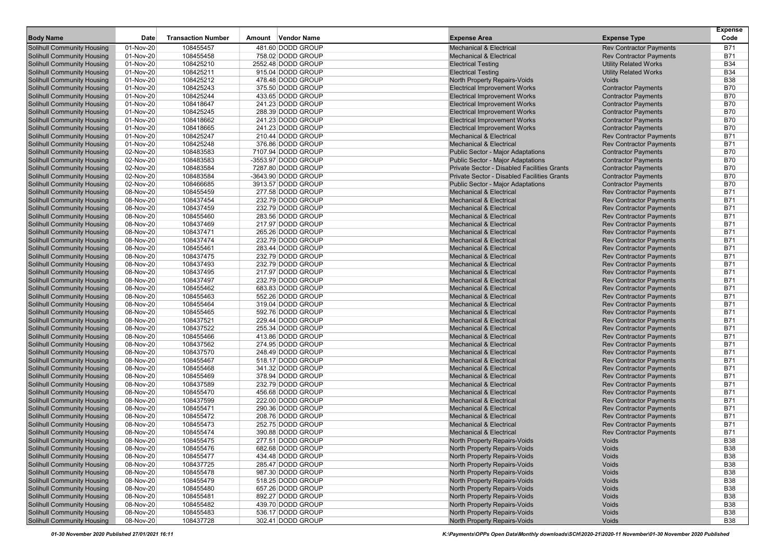| <b>Body Name</b>                                                       | Date                   | <b>Transaction Number</b> | Amount | Vendor Name                            | <b>Expense Area</b>                                                      | <b>Expense Type</b>                                              | <b>Expense</b><br>Code   |
|------------------------------------------------------------------------|------------------------|---------------------------|--------|----------------------------------------|--------------------------------------------------------------------------|------------------------------------------------------------------|--------------------------|
|                                                                        | 01-Nov-20              | 108455457                 |        | 481.60 DODD GROUP                      | <b>Mechanical &amp; Electrical</b>                                       |                                                                  | B71                      |
| <b>Solihull Community Housing</b><br><b>Solihull Community Housing</b> | 01-Nov-20              | 108455458                 |        | 758.02 DODD GROUP                      | <b>Mechanical &amp; Electrical</b>                                       | <b>Rev Contractor Payments</b><br><b>Rev Contractor Payments</b> | B71                      |
| <b>Solihull Community Housing</b>                                      | 01-Nov-20              | 108425210                 |        | 2552.48 DODD GROUP                     | <b>Electrical Testing</b>                                                | <b>Utility Related Works</b>                                     | <b>B34</b>               |
| <b>Solihull Community Housing</b>                                      | 01-Nov-20              | 108425211                 |        | 915.04 DODD GROUP                      | <b>Electrical Testing</b>                                                | <b>Utility Related Works</b>                                     | <b>B34</b>               |
| <b>Solihull Community Housing</b>                                      | 01-Nov-20              | 108425212                 |        | 478.48 DODD GROUP                      | North Property Repairs-Voids                                             | Voids                                                            | <b>B38</b>               |
| <b>Solihull Community Housing</b>                                      | 01-Nov-20              | 108425243                 |        | 375.50 DODD GROUP                      | <b>Electrical Improvement Works</b>                                      | <b>Contractor Payments</b>                                       | B70                      |
| <b>Solihull Community Housing</b>                                      | 01-Nov-20              | 108425244                 |        | 433.65 DODD GROUP                      | <b>Electrical Improvement Works</b>                                      | <b>Contractor Payments</b>                                       | B70                      |
| <b>Solihull Community Housing</b>                                      | 01-Nov-20              | 108418647                 |        | 241.23 DODD GROUP                      | <b>Electrical Improvement Works</b>                                      | <b>Contractor Payments</b>                                       | <b>B70</b>               |
| <b>Solihull Community Housing</b>                                      | 01-Nov-20              | 108425245                 |        | 288.39 DODD GROUP                      | <b>Electrical Improvement Works</b>                                      | <b>Contractor Payments</b>                                       | <b>B70</b>               |
| <b>Solihull Community Housing</b>                                      | 01-Nov-20              | 108418662                 |        | 241.23 DODD GROUP                      | <b>Electrical Improvement Works</b>                                      | <b>Contractor Payments</b>                                       | <b>B70</b>               |
| <b>Solihull Community Housing</b>                                      | 01-Nov-20              | 108418665                 |        | 241.23 DODD GROUP                      | <b>Electrical Improvement Works</b>                                      | <b>Contractor Payments</b>                                       | B70                      |
| <b>Solihull Community Housing</b>                                      | 01-Nov-20              | 108425247                 |        | 210.44 DODD GROUP                      | <b>Mechanical &amp; Electrical</b>                                       | <b>Rev Contractor Payments</b>                                   | <b>B71</b>               |
| <b>Solihull Community Housing</b>                                      | 01-Nov-20              | 108425248                 |        | 376.86 DODD GROUP                      | <b>Mechanical &amp; Electrical</b>                                       | <b>Rev Contractor Payments</b>                                   | <b>B71</b>               |
| <b>Solihull Community Housing</b>                                      | 02-Nov-20              | 108483583                 |        | 7107.94 DODD GROUP                     | Public Sector - Major Adaptations                                        | <b>Contractor Payments</b>                                       | <b>B70</b>               |
| <b>Solihull Community Housing</b>                                      | 02-Nov-20              | 108483583                 |        | -3553.97 DODD GROUP                    | <b>Public Sector - Major Adaptations</b>                                 | <b>Contractor Payments</b>                                       | B70                      |
| <b>Solihull Community Housing</b>                                      | 02-Nov-20              | 108483584                 |        | 7287.80 DODD GROUP                     | Private Sector - Disabled Facilities Grants                              | <b>Contractor Payments</b>                                       | B70                      |
| <b>Solihull Community Housing</b>                                      | 02-Nov-20              | 108483584                 |        | -3643.90 DODD GROUP                    | Private Sector - Disabled Facilities Grants                              | <b>Contractor Payments</b>                                       | <b>B70</b>               |
| <b>Solihull Community Housing</b>                                      | 02-Nov-20              | 108466685                 |        | 3913.57 DODD GROUP                     | <b>Public Sector - Major Adaptations</b>                                 | <b>Contractor Payments</b>                                       | <b>B70</b>               |
| <b>Solihull Community Housing</b>                                      | 08-Nov-20              | 108455459                 |        | 277.58 DODD GROUP                      | <b>Mechanical &amp; Electrical</b>                                       | <b>Rev Contractor Payments</b>                                   | <b>B71</b>               |
| <b>Solihull Community Housing</b>                                      | 08-Nov-20              | 108437454                 |        | 232.79 DODD GROUP                      | <b>Mechanical &amp; Electrical</b>                                       | <b>Rev Contractor Payments</b>                                   | B71                      |
| Solihull Community Housing                                             | 08-Nov-20              | 108437459                 |        | 232.79 DODD GROUP                      | <b>Mechanical &amp; Electrical</b>                                       | <b>Rev Contractor Payments</b>                                   | <b>B71</b>               |
| <b>Solihull Community Housing</b>                                      | 08-Nov-20              | 108455460                 |        | 283.56 DODD GROUP                      | <b>Mechanical &amp; Electrical</b>                                       | <b>Rev Contractor Payments</b>                                   | <b>B71</b>               |
| <b>Solihull Community Housing</b>                                      | 08-Nov-20              | 108437469                 |        | 217.97 DODD GROUP                      | <b>Mechanical &amp; Electrical</b>                                       | <b>Rev Contractor Payments</b>                                   | <b>B71</b>               |
| <b>Solihull Community Housing</b>                                      | 08-Nov-20              | 108437471                 |        | 265.26 DODD GROUP                      | <b>Mechanical &amp; Electrical</b>                                       | <b>Rev Contractor Payments</b>                                   | <b>B71</b>               |
| <b>Solihull Community Housing</b>                                      | 08-Nov-20              | 108437474                 |        | 232.79 DODD GROUP                      | <b>Mechanical &amp; Electrical</b>                                       | <b>Rev Contractor Payments</b>                                   | <b>B71</b>               |
| <b>Solihull Community Housing</b>                                      | 08-Nov-20              | 108455461                 |        | 283.44 DODD GROUP                      | <b>Mechanical &amp; Electrical</b>                                       | <b>Rev Contractor Payments</b>                                   | <b>B71</b>               |
| <b>Solihull Community Housing</b>                                      | 08-Nov-20              | 108437475                 |        | 232.79 DODD GROUP                      | <b>Mechanical &amp; Electrical</b>                                       | <b>Rev Contractor Payments</b>                                   | <b>B71</b>               |
| <b>Solihull Community Housing</b>                                      | 08-Nov-20              | 108437493                 |        | 232.79 DODD GROUP                      | <b>Mechanical &amp; Electrical</b>                                       | <b>Rev Contractor Payments</b>                                   | <b>B71</b>               |
| Solihull Community Housing                                             | 08-Nov-20              | 108437495                 |        | 217.97 DODD GROUP                      | <b>Mechanical &amp; Electrical</b>                                       | <b>Rev Contractor Payments</b>                                   | <b>B71</b>               |
| <b>Solihull Community Housing</b>                                      | 08-Nov-20              | 108437497                 |        | 232.79 DODD GROUP                      | <b>Mechanical &amp; Electrical</b>                                       | <b>Rev Contractor Payments</b>                                   | <b>B71</b>               |
| <b>Solihull Community Housing</b>                                      | 08-Nov-20              | 108455462                 |        | 683.83 DODD GROUP                      | <b>Mechanical &amp; Electrical</b>                                       | <b>Rev Contractor Payments</b>                                   | <b>B71</b>               |
| <b>Solihull Community Housing</b>                                      | 08-Nov-20              | 108455463                 |        | 552.26 DODD GROUP                      | <b>Mechanical &amp; Electrical</b>                                       | <b>Rev Contractor Payments</b>                                   | B71                      |
| <b>Solihull Community Housing</b>                                      | 08-Nov-20              | 108455464                 |        | 319.04 DODD GROUP                      | <b>Mechanical &amp; Electrical</b>                                       | <b>Rev Contractor Payments</b>                                   | <b>B71</b>               |
| <b>Solihull Community Housing</b>                                      | 08-Nov-20              | 108455465                 |        | 592.76 DODD GROUP                      | <b>Mechanical &amp; Electrical</b>                                       | <b>Rev Contractor Payments</b>                                   | <b>B71</b>               |
| <b>Solihull Community Housing</b>                                      | 08-Nov-20              | 108437521                 |        | 229.44 DODD GROUP                      | <b>Mechanical &amp; Electrical</b>                                       | <b>Rev Contractor Payments</b>                                   | <b>B71</b>               |
| <b>Solihull Community Housing</b>                                      | 08-Nov-20              | 108437522                 |        | 255.34 DODD GROUP                      | <b>Mechanical &amp; Electrical</b>                                       | <b>Rev Contractor Payments</b>                                   | <b>B71</b>               |
| <b>Solihull Community Housing</b>                                      | 08-Nov-20              | 108455466                 |        | 413.86 DODD GROUP                      | <b>Mechanical &amp; Electrical</b>                                       | <b>Rev Contractor Payments</b>                                   | <b>B71</b>               |
| Solihull Community Housing                                             | 08-Nov-20              | 108437562                 |        | 274.95 DODD GROUP                      | <b>Mechanical &amp; Electrical</b>                                       | <b>Rev Contractor Payments</b>                                   | <b>B71</b>               |
| <b>Solihull Community Housing</b>                                      | 08-Nov-20              | 108437570                 |        | 248.49 DODD GROUP                      | <b>Mechanical &amp; Electrical</b>                                       | <b>Rev Contractor Payments</b>                                   | <b>B71</b>               |
| <b>Solihull Community Housing</b>                                      | 08-Nov-20              | 108455467                 |        | 518.17 DODD GROUP                      | <b>Mechanical &amp; Electrical</b>                                       | <b>Rev Contractor Payments</b>                                   | <b>B71</b>               |
| <b>Solihull Community Housing</b>                                      | 08-Nov-20              | 108455468                 |        | 341.32 DODD GROUP                      | <b>Mechanical &amp; Electrical</b>                                       | <b>Rev Contractor Payments</b>                                   | B71                      |
| <b>Solihull Community Housing</b>                                      | 08-Nov-20              | 108455469<br>108437589    |        | 378.94 DODD GROUP                      | <b>Mechanical &amp; Electrical</b>                                       | <b>Rev Contractor Payments</b>                                   | <b>B71</b><br><b>B71</b> |
| <b>Solihull Community Housing</b><br><b>Solihull Community Housing</b> | 08-Nov-20<br>08-Nov-20 | 108455470                 |        | 232.79 DODD GROUP<br>456.68 DODD GROUP | <b>Mechanical &amp; Electrical</b><br><b>Mechanical &amp; Electrical</b> | <b>Rev Contractor Payments</b><br><b>Rev Contractor Payments</b> | B71                      |
| <b>Solihull Community Housing</b>                                      | 08-Nov-20              | 108437599                 |        | 222.00 DODD GROUP                      | <b>Mechanical &amp; Electrical</b>                                       | <b>Rev Contractor Payments</b>                                   | B71                      |
| <b>Solihull Community Housing</b>                                      | 08-Nov-20              | 108455471                 |        | 290.36 DODD GROUP                      | <b>Mechanical &amp; Electrical</b>                                       | <b>Rev Contractor Payments</b>                                   | <b>B71</b>               |
| <b>Solihull Community Housing</b>                                      | 08-Nov-20              | 108455472                 |        | 208.76 DODD GROUP                      | <b>Mechanical &amp; Electrical</b>                                       | <b>Rev Contractor Payments</b>                                   | <b>B71</b>               |
| <b>Solihull Community Housing</b>                                      | 08-Nov-20              | 108455473                 |        | 252.75 DODD GROUP                      | <b>Mechanical &amp; Electrical</b>                                       | <b>Rev Contractor Payments</b>                                   | B71                      |
| <b>Solihull Community Housing</b>                                      | 08-Nov-20              | 108455474                 |        | 390.88 DODD GROUP                      | <b>Mechanical &amp; Electrical</b>                                       | <b>Rev Contractor Payments</b>                                   | <b>B71</b>               |
| <b>Solihull Community Housing</b>                                      | 08-Nov-20              | 108455475                 |        | 277.51 DODD GROUP                      | North Property Repairs-Voids                                             | Voids                                                            | <b>B38</b>               |
| <b>Solihull Community Housing</b>                                      | 08-Nov-20              | 108455476                 |        | 682.68 DODD GROUP                      | North Property Repairs-Voids                                             | Voids                                                            | <b>B38</b>               |
| <b>Solihull Community Housing</b>                                      | 08-Nov-20              | 108455477                 |        | 434.48 DODD GROUP                      | North Property Repairs-Voids                                             | Voids                                                            | <b>B38</b>               |
| <b>Solihull Community Housing</b>                                      | 08-Nov-20              | 108437725                 |        | 285.47 DODD GROUP                      | North Property Repairs-Voids                                             | Voids                                                            | <b>B38</b>               |
| <b>Solihull Community Housing</b>                                      | 08-Nov-20              | 108455478                 |        | 987.30 DODD GROUP                      | North Property Repairs-Voids                                             | Voids                                                            | <b>B38</b>               |
| <b>Solihull Community Housing</b>                                      | 08-Nov-20              | 108455479                 |        | 518.25 DODD GROUP                      | North Property Repairs-Voids                                             | Voids                                                            | <b>B38</b>               |
| <b>Solihull Community Housing</b>                                      | 08-Nov-20              | 108455480                 |        | 657.26 DODD GROUP                      | North Property Repairs-Voids                                             | Voids                                                            | <b>B38</b>               |
| <b>Solihull Community Housing</b>                                      | 08-Nov-20              | 108455481                 |        | 892.27 DODD GROUP                      | North Property Repairs-Voids                                             | Voids                                                            | <b>B38</b>               |
| <b>Solihull Community Housing</b>                                      | 08-Nov-20              | 108455482                 |        | 439.70 DODD GROUP                      | North Property Repairs-Voids                                             | Voids                                                            | <b>B38</b>               |
| <b>Solihull Community Housing</b>                                      | 08-Nov-20              | 108455483                 |        | 536.17 DODD GROUP                      | North Property Repairs-Voids                                             | Voids                                                            | <b>B38</b>               |
| <b>Solihull Community Housing</b>                                      | 08-Nov-20              | 108437728                 |        | 302.41 DODD GROUP                      | North Property Repairs-Voids                                             | Voids                                                            | <b>B38</b>               |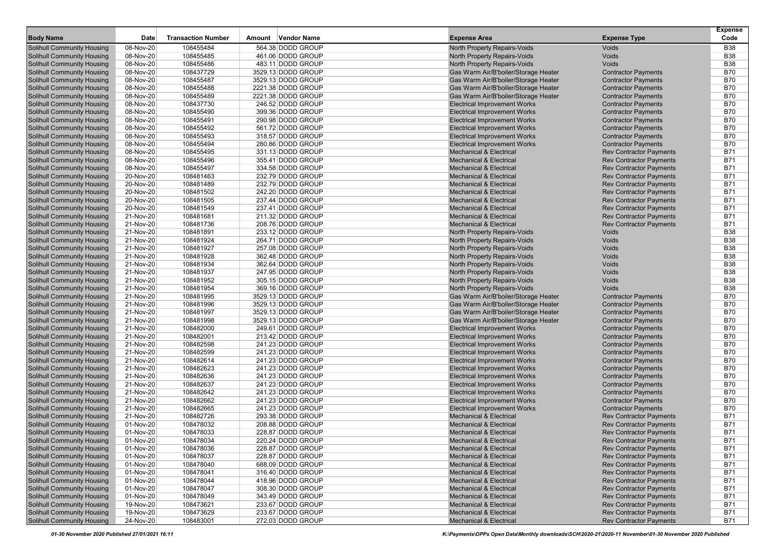| <b>Body Name</b>                  | Date      | <b>Transaction Number</b> | Amount Vendor Name | <b>Expense Area</b>                  | <b>Expense Type</b>            | <b>Expense</b><br>Code |
|-----------------------------------|-----------|---------------------------|--------------------|--------------------------------------|--------------------------------|------------------------|
| <b>Solihull Community Housing</b> | 08-Nov-20 | 108455484                 | 564.38 DODD GROUP  | North Property Repairs-Voids         | Voids                          | <b>B38</b>             |
| <b>Solihull Community Housing</b> | 08-Nov-20 | 108455485                 | 461.06 DODD GROUP  | North Property Repairs-Voids         | Voids                          | <b>B38</b>             |
| <b>Solihull Community Housing</b> | 08-Nov-20 | 108455486                 | 483.11 DODD GROUP  | North Property Repairs-Voids         | Voids                          | <b>B38</b>             |
| <b>Solihull Community Housing</b> | 08-Nov-20 | 108437729                 | 3529.13 DODD GROUP | Gas Warm Air/B'boiler/Storage Heater | <b>Contractor Payments</b>     | <b>B70</b>             |
| <b>Solihull Community Housing</b> | 08-Nov-20 | 108455487                 | 3529.13 DODD GROUP | Gas Warm Air/B'boiler/Storage Heater | <b>Contractor Payments</b>     | <b>B70</b>             |
| <b>Solihull Community Housing</b> | 08-Nov-20 | 108455488                 | 2221.38 DODD GROUP | Gas Warm Air/B'boiler/Storage Heater | <b>Contractor Payments</b>     | B70                    |
| <b>Solihull Community Housing</b> | 08-Nov-20 | 108455489                 | 2221.38 DODD GROUP | Gas Warm Air/B'boiler/Storage Heater | <b>Contractor Payments</b>     | <b>B70</b>             |
| <b>Solihull Community Housing</b> | 08-Nov-20 | 108437730                 | 246.52 DODD GROUP  | <b>Electrical Improvement Works</b>  | <b>Contractor Payments</b>     | <b>B70</b>             |
| <b>Solihull Community Housing</b> | 08-Nov-20 | 108455490                 | 399.36 DODD GROUP  | <b>Electrical Improvement Works</b>  | <b>Contractor Payments</b>     | <b>B70</b>             |
| <b>Solihull Community Housing</b> | 08-Nov-20 | 108455491                 | 290.98 DODD GROUP  | <b>Electrical Improvement Works</b>  | <b>Contractor Payments</b>     | <b>B70</b>             |
| <b>Solihull Community Housing</b> | 08-Nov-20 | 108455492                 | 561.72 DODD GROUP  | <b>Electrical Improvement Works</b>  | <b>Contractor Payments</b>     | B70                    |
| <b>Solihull Community Housing</b> | 08-Nov-20 | 108455493                 | 318.57 DODD GROUP  | <b>Electrical Improvement Works</b>  | <b>Contractor Payments</b>     | <b>B70</b>             |
| <b>Solihull Community Housing</b> | 08-Nov-20 | 108455494                 | 280.86 DODD GROUP  | <b>Electrical Improvement Works</b>  | <b>Contractor Payments</b>     | <b>B70</b>             |
| <b>Solihull Community Housing</b> | 08-Nov-20 | 108455495                 | 331.13 DODD GROUP  | <b>Mechanical &amp; Electrical</b>   | <b>Rev Contractor Payments</b> | <b>B71</b>             |
| <b>Solihull Community Housing</b> | 08-Nov-20 | 108455496                 | 355.41 DODD GROUP  | <b>Mechanical &amp; Electrical</b>   | <b>Rev Contractor Payments</b> | B71                    |
| <b>Solihull Community Housing</b> | 08-Nov-20 | 108455497                 | 334.58 DODD GROUP  | <b>Mechanical &amp; Electrical</b>   | <b>Rev Contractor Payments</b> | <b>B71</b>             |
| <b>Solihull Community Housing</b> | 20-Nov-20 | 108481463                 | 232.79 DODD GROUP  | <b>Mechanical &amp; Electrical</b>   | <b>Rev Contractor Payments</b> | <b>B71</b>             |
| <b>Solihull Community Housing</b> | 20-Nov-20 | 108481489                 | 232.79 DODD GROUP  | <b>Mechanical &amp; Electrical</b>   | <b>Rev Contractor Payments</b> | <b>B71</b>             |
| <b>Solihull Community Housing</b> | 20-Nov-20 | 108481502                 | 242.20 DODD GROUP  | <b>Mechanical &amp; Electrical</b>   | <b>Rev Contractor Payments</b> | <b>B71</b>             |
| <b>Solihull Community Housing</b> | 20-Nov-20 | 108481505                 | 237.44 DODD GROUP  | <b>Mechanical &amp; Electrical</b>   | <b>Rev Contractor Payments</b> | <b>B71</b>             |
| Solihull Community Housing        | 20-Nov-20 | 108481549                 | 237.41 DODD GROUP  | <b>Mechanical &amp; Electrical</b>   | <b>Rev Contractor Payments</b> | <b>B71</b>             |
| <b>Solihull Community Housing</b> | 21-Nov-20 | 108481681                 | 211.32 DODD GROUP  | <b>Mechanical &amp; Electrical</b>   | <b>Rev Contractor Payments</b> | <b>B71</b>             |
| <b>Solihull Community Housing</b> | 21-Nov-20 | 108481736                 | 208.76 DODD GROUP  | <b>Mechanical &amp; Electrical</b>   | <b>Rev Contractor Payments</b> | <b>B71</b>             |
| <b>Solihull Community Housing</b> | 21-Nov-20 | 108481891                 | 233.12 DODD GROUP  | North Property Repairs-Voids         | Voids                          | <b>B38</b>             |
| <b>Solihull Community Housing</b> | 21-Nov-20 | 108481924                 | 264.71 DODD GROUP  | North Property Repairs-Voids         | Voids                          | <b>B38</b>             |
| <b>Solihull Community Housing</b> | 21-Nov-20 | 108481927                 | 257.08 DODD GROUP  | North Property Repairs-Voids         | Voids                          | <b>B38</b>             |
| <b>Solihull Community Housing</b> | 21-Nov-20 | 108481928                 | 362.48 DODD GROUP  | North Property Repairs-Voids         | Voids                          | <b>B38</b>             |
| <b>Solihull Community Housing</b> | 21-Nov-20 | 108481934                 | 362.64 DODD GROUP  | North Property Repairs-Voids         | Voids                          | <b>B38</b>             |
| <b>Solihull Community Housing</b> | 21-Nov-20 | 108481937                 | 247.95 DODD GROUP  | North Property Repairs-Voids         | Voids                          | <b>B38</b>             |
| <b>Solihull Community Housing</b> | 21-Nov-20 | 108481952                 | 305.15 DODD GROUP  | North Property Repairs-Voids         | Voids                          | <b>B38</b>             |
| <b>Solihull Community Housing</b> | 21-Nov-20 | 108481954                 | 369.16 DODD GROUP  | North Property Repairs-Voids         | Voids                          | <b>B38</b>             |
| <b>Solihull Community Housing</b> | 21-Nov-20 | 108481995                 | 3529.13 DODD GROUP | Gas Warm Air/B'boiler/Storage Heater | <b>Contractor Payments</b>     | <b>B70</b>             |
| <b>Solihull Community Housing</b> | 21-Nov-20 | 108481996                 | 3529.13 DODD GROUP | Gas Warm Air/B'boiler/Storage Heater | <b>Contractor Payments</b>     | <b>B70</b>             |
| <b>Solihull Community Housing</b> | 21-Nov-20 | 108481997                 | 3529.13 DODD GROUP | Gas Warm Air/B'boiler/Storage Heater | <b>Contractor Payments</b>     | <b>B70</b>             |
| <b>Solihull Community Housing</b> | 21-Nov-20 | 108481998                 | 3529.13 DODD GROUP | Gas Warm Air/B'boiler/Storage Heater | <b>Contractor Payments</b>     | <b>B70</b>             |
| <b>Solihull Community Housing</b> | 21-Nov-20 | 108482000                 | 249.61 DODD GROUP  | <b>Electrical Improvement Works</b>  | <b>Contractor Payments</b>     | <b>B70</b>             |
| <b>Solihull Community Housing</b> | 21-Nov-20 | 108482001                 | 213.42 DODD GROUP  | <b>Electrical Improvement Works</b>  | <b>Contractor Payments</b>     | <b>B70</b>             |
| <b>Solihull Community Housing</b> | 21-Nov-20 | 108482598                 | 241.23 DODD GROUP  | <b>Electrical Improvement Works</b>  | <b>Contractor Payments</b>     | <b>B70</b>             |
| <b>Solihull Community Housing</b> | 21-Nov-20 | 108482599                 | 241.23 DODD GROUP  | <b>Electrical Improvement Works</b>  | <b>Contractor Payments</b>     | <b>B70</b>             |
| <b>Solihull Community Housing</b> | 21-Nov-20 | 108482614                 | 241.23 DODD GROUP  | <b>Electrical Improvement Works</b>  | <b>Contractor Payments</b>     | <b>B70</b>             |
| <b>Solihull Community Housing</b> | 21-Nov-20 | 108482623                 | 241.23 DODD GROUP  | <b>Electrical Improvement Works</b>  | <b>Contractor Payments</b>     | <b>B70</b>             |
| <b>Solihull Community Housing</b> | 21-Nov-20 | 108482636                 | 241.23 DODD GROUP  | <b>Electrical Improvement Works</b>  | <b>Contractor Payments</b>     | <b>B70</b>             |
| <b>Solihull Community Housing</b> | 21-Nov-20 | 108482637                 | 241.23 DODD GROUP  | <b>Electrical Improvement Works</b>  | <b>Contractor Payments</b>     | <b>B70</b>             |
| <b>Solihull Community Housing</b> | 21-Nov-20 | 108482642                 | 241.23 DODD GROUP  | <b>Electrical Improvement Works</b>  | <b>Contractor Payments</b>     | <b>B70</b>             |
| <b>Solihull Community Housing</b> | 21-Nov-20 | 108482662                 | 241.23 DODD GROUP  | <b>Electrical Improvement Works</b>  | <b>Contractor Payments</b>     | B70                    |
| <b>Solihull Community Housing</b> | 21-Nov-20 | 108482665                 | 241.23 DODD GROUP  | <b>Electrical Improvement Works</b>  | <b>Contractor Payments</b>     | <b>B70</b>             |
| <b>Solihull Community Housing</b> | 21-Nov-20 | 108482726                 | 293.38 DODD GROUP  | <b>Mechanical &amp; Electrical</b>   | <b>Rev Contractor Payments</b> | B71                    |
| <b>Solihull Community Housing</b> | 01-Nov-20 | 108478032                 | 208.88 DODD GROUP  | <b>Mechanical &amp; Electrical</b>   | <b>Rev Contractor Payments</b> | B71                    |
| <b>Solihull Community Housing</b> | 01-Nov-20 | 108478033                 | 228.87 DODD GROUP  | <b>Mechanical &amp; Electrical</b>   | <b>Rev Contractor Payments</b> | B71                    |
| <b>Solihull Community Housing</b> | 01-Nov-20 | 108478034                 | 220.24 DODD GROUP  | <b>Mechanical &amp; Electrical</b>   | <b>Rev Contractor Payments</b> | B71                    |
| <b>Solihull Community Housing</b> | 01-Nov-20 | 108478036                 | 228.87 DODD GROUP  | <b>Mechanical &amp; Electrical</b>   | <b>Rev Contractor Payments</b> | <b>B71</b>             |
| <b>Solihull Community Housing</b> | 01-Nov-20 | 108478037                 | 228.87 DODD GROUP  | <b>Mechanical &amp; Electrical</b>   | <b>Rev Contractor Payments</b> | <b>B71</b>             |
| <b>Solihull Community Housing</b> | 01-Nov-20 | 108478040                 | 688.09 DODD GROUP  | <b>Mechanical &amp; Electrical</b>   | <b>Rev Contractor Payments</b> | <b>B71</b>             |
| <b>Solihull Community Housing</b> | 01-Nov-20 | 108478041                 | 316.40 DODD GROUP  | <b>Mechanical &amp; Electrical</b>   | <b>Rev Contractor Payments</b> | <b>B71</b>             |
| <b>Solihull Community Housing</b> | 01-Nov-20 | 108478044                 | 418.96 DODD GROUP  | <b>Mechanical &amp; Electrical</b>   | <b>Rev Contractor Payments</b> | <b>B71</b>             |
| <b>Solihull Community Housing</b> | 01-Nov-20 | 108478047                 | 308.30 DODD GROUP  | <b>Mechanical &amp; Electrical</b>   | <b>Rev Contractor Payments</b> | <b>B71</b>             |
| <b>Solihull Community Housing</b> | 01-Nov-20 | 108478049                 | 343.49 DODD GROUP  | <b>Mechanical &amp; Electrical</b>   | <b>Rev Contractor Payments</b> | <b>B71</b>             |
| <b>Solihull Community Housing</b> | 19-Nov-20 | 108473621                 | 233.67 DODD GROUP  | <b>Mechanical &amp; Electrical</b>   | <b>Rev Contractor Payments</b> | B71                    |
| <b>Solihull Community Housing</b> | 19-Nov-20 | 108473629                 | 233.67 DODD GROUP  | <b>Mechanical &amp; Electrical</b>   | <b>Rev Contractor Payments</b> | <b>B71</b>             |
| <b>Solihull Community Housing</b> | 24-Nov-20 | 108483001                 | 272.03 DODD GROUP  | <b>Mechanical &amp; Electrical</b>   | <b>Rev Contractor Payments</b> | B71                    |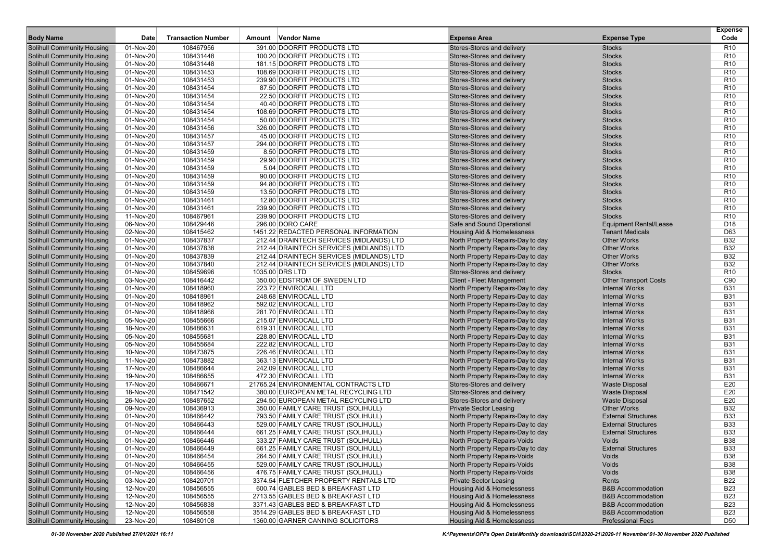|                                                                        |                        |                           |                                                           |                                                                        |                                                | <b>Expense</b>                     |
|------------------------------------------------------------------------|------------------------|---------------------------|-----------------------------------------------------------|------------------------------------------------------------------------|------------------------------------------------|------------------------------------|
| <b>Body Name</b>                                                       | Date                   | <b>Transaction Number</b> | Amount Vendor Name                                        | <b>Expense Area</b>                                                    | <b>Expense Type</b>                            | Code                               |
| <b>Solihull Community Housing</b>                                      | 01-Nov-20              | 108467956                 | 391.00 DOORFIT PRODUCTS LTD                               | Stores-Stores and delivery                                             | <b>Stocks</b>                                  | R <sub>10</sub>                    |
| <b>Solihull Community Housing</b>                                      | 01-Nov-20              | 108431448                 | 100.20 DOORFIT PRODUCTS LTD                               | Stores-Stores and delivery                                             | <b>Stocks</b>                                  | R <sub>10</sub>                    |
| <b>Solihull Community Housing</b>                                      | 01-Nov-20              | 108431448                 | 181.15 DOORFIT PRODUCTS LTD                               | Stores-Stores and delivery                                             | <b>Stocks</b>                                  | R <sub>10</sub>                    |
| <b>Solihull Community Housing</b>                                      | 01-Nov-20              | 108431453<br>108431453    | 108.69 DOORFIT PRODUCTS LTD                               | Stores-Stores and delivery                                             | <b>Stocks</b>                                  | R <sub>10</sub><br>R <sub>10</sub> |
| <b>Solihull Community Housing</b>                                      | 01-Nov-20<br>01-Nov-20 | 108431454                 | 239.90 DOORFIT PRODUCTS LTD<br>87.50 DOORFIT PRODUCTS LTD | Stores-Stores and delivery<br>Stores-Stores and delivery               | <b>Stocks</b><br><b>Stocks</b>                 | R <sub>10</sub>                    |
| <b>Solihull Community Housing</b><br><b>Solihull Community Housing</b> | 01-Nov-20              | 108431454                 | 22.50 DOORFIT PRODUCTS LTD                                | Stores-Stores and delivery                                             | <b>Stocks</b>                                  | R <sub>10</sub>                    |
| <b>Solihull Community Housing</b>                                      | 01-Nov-20              | 108431454                 | 40.40 DOORFIT PRODUCTS LTD                                | Stores-Stores and delivery                                             | <b>Stocks</b>                                  | R <sub>10</sub>                    |
| <b>Solihull Community Housing</b>                                      | 01-Nov-20              | 108431454                 | 108.69 DOORFIT PRODUCTS LTD                               | Stores-Stores and delivery                                             | <b>Stocks</b>                                  | R <sub>10</sub>                    |
| <b>Solihull Community Housing</b>                                      | 01-Nov-20              | 108431454                 | 50.00 DOORFIT PRODUCTS LTD                                | Stores-Stores and delivery                                             | <b>Stocks</b>                                  | R <sub>10</sub>                    |
| <b>Solihull Community Housing</b>                                      | 01-Nov-20              | 108431456                 | 326.00 DOORFIT PRODUCTS LTD                               | Stores-Stores and delivery                                             | <b>Stocks</b>                                  | R <sub>10</sub>                    |
| <b>Solihull Community Housing</b>                                      | 01-Nov-20              | 108431457                 | 45.00 DOORFIT PRODUCTS LTD                                | Stores-Stores and delivery                                             | <b>Stocks</b>                                  | R <sub>10</sub>                    |
| <b>Solihull Community Housing</b>                                      | 01-Nov-20              | 108431457                 | 294.00 DOORFIT PRODUCTS LTD                               | Stores-Stores and delivery                                             | <b>Stocks</b>                                  | R <sub>10</sub>                    |
| <b>Solihull Community Housing</b>                                      | 01-Nov-20              | 108431459                 | 8.50 DOORFIT PRODUCTS LTD                                 | Stores-Stores and delivery                                             | <b>Stocks</b>                                  | R <sub>10</sub>                    |
| <b>Solihull Community Housing</b>                                      | 01-Nov-20              | 108431459                 | 29.90 DOORFIT PRODUCTS LTD                                | Stores-Stores and delivery                                             | <b>Stocks</b>                                  | R <sub>10</sub>                    |
| <b>Solihull Community Housing</b>                                      | 01-Nov-20              | 108431459                 | 5.04 DOORFIT PRODUCTS LTD                                 | Stores-Stores and delivery                                             | <b>Stocks</b>                                  | R <sub>10</sub>                    |
| <b>Solihull Community Housing</b>                                      | 01-Nov-20              | 108431459                 | 90.00 DOORFIT PRODUCTS LTD                                | Stores-Stores and delivery                                             | <b>Stocks</b>                                  | R <sub>10</sub>                    |
| <b>Solihull Community Housing</b>                                      | 01-Nov-20              | 108431459                 | 94.80 DOORFIT PRODUCTS LTD                                | Stores-Stores and delivery                                             | <b>Stocks</b>                                  | R <sub>10</sub>                    |
| <b>Solihull Community Housing</b>                                      | 01-Nov-20              | 108431459                 | 13.50 DOORFIT PRODUCTS LTD                                | Stores-Stores and delivery                                             | <b>Stocks</b>                                  | R <sub>10</sub>                    |
| <b>Solihull Community Housing</b>                                      | 01-Nov-20              | 108431461                 | 12.80 DOORFIT PRODUCTS LTD                                | Stores-Stores and delivery                                             | <b>Stocks</b>                                  | R <sub>10</sub>                    |
| <b>Solihull Community Housing</b>                                      | 01-Nov-20              | 108431461                 | 239.90 DOORFIT PRODUCTS LTD                               | Stores-Stores and delivery                                             | <b>Stocks</b>                                  | R <sub>10</sub>                    |
| <b>Solihull Community Housing</b>                                      | 11-Nov-20              | 108467961                 | 239.90 DOORFIT PRODUCTS LTD                               | Stores-Stores and delivery                                             | <b>Stocks</b>                                  | R <sub>10</sub>                    |
| <b>Solihull Community Housing</b>                                      | 06-Nov-20              | 108429446                 | 296.00 DORO CARE                                          | Safe and Sound Operational                                             | <b>Equipment Rental/Lease</b>                  | D <sub>18</sub>                    |
| <b>Solihull Community Housing</b>                                      | 02-Nov-20              | 108415462                 | 1451.22 REDACTED PERSONAL INFORMATION                     | Housing Aid & Homelessness                                             | <b>Tenant Medicals</b>                         | D63                                |
| <b>Solihull Community Housing</b>                                      | 01-Nov-20              | 108437837                 | 212.44 DRAINTECH SERVICES (MIDLANDS) LTD                  | North Property Repairs-Day to day                                      | <b>Other Works</b>                             | <b>B32</b>                         |
| <b>Solihull Community Housing</b>                                      | 01-Nov-20              | 108437838                 | 212.44 DRAINTECH SERVICES (MIDLANDS) LTD                  | North Property Repairs-Day to day                                      | <b>Other Works</b>                             | <b>B32</b>                         |
| <b>Solihull Community Housing</b>                                      | 01-Nov-20              | 108437839                 | 212.44 DRAINTECH SERVICES (MIDLANDS) LTD                  | North Property Repairs-Day to day                                      | <b>Other Works</b>                             | <b>B32</b>                         |
| <b>Solihull Community Housing</b>                                      | 01-Nov-20              | 108437840                 | 212.44 DRAINTECH SERVICES (MIDLANDS) LTD                  | North Property Repairs-Day to day                                      | <b>Other Works</b>                             | <b>B32</b>                         |
| <b>Solihull Community Housing</b>                                      | 01-Nov-20              | 108459696                 | 1035.00 DRS LTD                                           | Stores-Stores and delivery                                             | <b>Stocks</b>                                  | R <sub>10</sub>                    |
| <b>Solihull Community Housing</b>                                      | 03-Nov-20              | 108416442                 | 350.00 EDSTROM OF SWEDEN LTD                              | <b>Client - Fleet Management</b>                                       | <b>Other Transport Costs</b>                   | C90                                |
| <b>Solihull Community Housing</b>                                      | 01-Nov-20              | 108418960                 | 223.72 ENVIROCALL LTD                                     | North Property Repairs-Day to day                                      | <b>Internal Works</b>                          | <b>B31</b>                         |
| <b>Solihull Community Housing</b>                                      | 01-Nov-20              | 108418961                 | 248.68 ENVIROCALL LTD                                     | North Property Repairs-Day to day                                      | <b>Internal Works</b>                          | <b>B31</b>                         |
| <b>Solihull Community Housing</b>                                      | 01-Nov-20              | 108418962                 | 592.02 ENVIROCALL LTD                                     | North Property Repairs-Day to day                                      | <b>Internal Works</b>                          | <b>B31</b>                         |
| <b>Solihull Community Housing</b>                                      | 01-Nov-20              | 108418966                 | 281.70 ENVIROCALL LTD                                     | North Property Repairs-Day to day                                      | <b>Internal Works</b>                          | <b>B31</b>                         |
| <b>Solihull Community Housing</b>                                      | 05-Nov-20              | 108455666                 | 215.07 ENVIROCALL LTD                                     | North Property Repairs-Day to day                                      | <b>Internal Works</b>                          | <b>B31</b>                         |
| <b>Solihull Community Housing</b>                                      | 18-Nov-20              | 108486631                 | 619.31 ENVIROCALL LTD                                     | North Property Repairs-Day to day                                      | <b>Internal Works</b>                          | <b>B31</b><br><b>B31</b>           |
| <b>Solihull Community Housing</b><br><b>Solihull Community Housing</b> | 05-Nov-20<br>05-Nov-20 | 108455681<br>108455684    | 228.80 ENVIROCALL LTD<br>222.82 ENVIROCALL LTD            | North Property Repairs-Day to day<br>North Property Repairs-Day to day | <b>Internal Works</b><br><b>Internal Works</b> | <b>B31</b>                         |
| <b>Solihull Community Housing</b>                                      | 10-Nov-20              | 108473875                 | 226.46 ENVIROCALL LTD                                     | North Property Repairs-Day to day                                      | <b>Internal Works</b>                          | <b>B31</b>                         |
| <b>Solihull Community Housing</b>                                      | 11-Nov-20              | 108473882                 | 363.13 ENVIROCALL LTD                                     | North Property Repairs-Day to day                                      | <b>Internal Works</b>                          | <b>B31</b>                         |
| <b>Solihull Community Housing</b>                                      | 17-Nov-20              | 108486644                 | 242.09 ENVIROCALL LTD                                     | North Property Repairs-Day to day                                      | <b>Internal Works</b>                          | <b>B31</b>                         |
| <b>Solihull Community Housing</b>                                      | 19-Nov-20              | 108486655                 | 472.30 ENVIROCALL LTD                                     | North Property Repairs-Day to day                                      | <b>Internal Works</b>                          | <b>B31</b>                         |
| <b>Solihull Community Housing</b>                                      | 17-Nov-20              | 108466671                 | 21765.24 ENVIRONMENTAL CONTRACTS LTD                      | Stores-Stores and delivery                                             | <b>Waste Disposal</b>                          | E20                                |
| <b>Solihull Community Housing</b>                                      | 18-Nov-20              | 108471542                 | 380.00 EUROPEAN METAL RECYCLING LTD                       | Stores-Stores and delivery                                             | <b>Waste Disposal</b>                          | E20                                |
| <b>Solihull Community Housing</b>                                      | 26-Nov-20              | 108487652                 | 294.50 EUROPEAN METAL RECYCLING LTD                       | Stores-Stores and delivery                                             | <b>Waste Disposal</b>                          | E20                                |
| <b>Solihull Community Housing</b>                                      | 09-Nov-20              | 108436913                 | 350.00 FAMILY CARE TRUST (SOLIHULL)                       | <b>Private Sector Leasing</b>                                          | <b>Other Works</b>                             | <b>B32</b>                         |
| <b>Solihull Community Housing</b>                                      | 01-Nov-20              | 108466442                 | 793.50 FAMILY CARE TRUST (SOLIHULL)                       | North Property Repairs-Day to day                                      | <b>External Structures</b>                     | <b>B33</b>                         |
| <b>Solihull Community Housing</b>                                      | 01-Nov-20              | 108466443                 | 529.00 FAMILY CARE TRUST (SOLIHULL)                       | North Property Repairs-Day to day                                      | <b>External Structures</b>                     | <b>B33</b>                         |
| <b>Solihull Community Housing</b>                                      | 01-Nov-20              | 108466444                 | 661.25 FAMILY CARE TRUST (SOLIHULL)                       | North Property Repairs-Day to day                                      | <b>External Structures</b>                     | <b>B33</b>                         |
| Solihull Community Housing                                             | 01-Nov-20              | 108466446                 | 333.27 FAMILY CARE TRUST (SOLIHULL)                       | North Property Repairs-Voids                                           | Voids                                          | <b>B38</b>                         |
| <b>Solihull Community Housing</b>                                      | 01-Nov-20              | 108466449                 | 661.25 FAMILY CARE TRUST (SOLIHULL)                       | North Property Repairs-Day to day                                      | <b>External Structures</b>                     | <b>B33</b>                         |
| <b>Solihull Community Housing</b>                                      | 01-Nov-20              | 108466454                 | 264.50 FAMILY CARE TRUST (SOLIHULL)                       | North Property Repairs-Voids                                           | Voids                                          | <b>B38</b>                         |
| <b>Solihull Community Housing</b>                                      | 01-Nov-20              | 108466455                 | 529.00 FAMILY CARE TRUST (SOLIHULL)                       | North Property Repairs-Voids                                           | Voids                                          | <b>B38</b>                         |
| <b>Solihull Community Housing</b>                                      | 01-Nov-20              | 108466456                 | 476.75 FAMILY CARE TRUST (SOLIHULL)                       | North Property Repairs-Voids                                           | Voids                                          | <b>B38</b>                         |
| <b>Solihull Community Housing</b>                                      | 03-Nov-20              | 108420701                 | 3374.54 FLETCHER PROPERTY RENTALS LTD                     | <b>Private Sector Leasing</b>                                          | Rents                                          | <b>B22</b>                         |
| <b>Solihull Community Housing</b>                                      | 12-Nov-20              | 108456555                 | 600.74 GABLES BED & BREAKFAST LTD                         | <b>Housing Aid &amp; Homelessness</b>                                  | <b>B&amp;B Accommodation</b>                   | <b>B23</b>                         |
| <b>Solihull Community Housing</b>                                      | 12-Nov-20              | 108456555                 | 2713.55 GABLES BED & BREAKFAST LTD                        | <b>Housing Aid &amp; Homelessness</b>                                  | <b>B&amp;B Accommodation</b>                   | <b>B23</b>                         |
| <b>Solihull Community Housing</b>                                      | 12-Nov-20              | 108456838                 | 3371.43 GABLES BED & BREAKFAST LTD                        | Housing Aid & Homelessness                                             | <b>B&amp;B Accommodation</b>                   | <b>B23</b>                         |
| <b>Solihull Community Housing</b>                                      | 12-Nov-20              | 108456558                 | 3514.29 GABLES BED & BREAKFAST LTD                        | Housing Aid & Homelessness                                             | <b>B&amp;B Accommodation</b>                   | <b>B23</b>                         |
| <b>Solihull Community Housing</b>                                      | 23-Nov-20              | 108480108                 | 1360.00 GARNER CANNING SOLICITORS                         | Housing Aid & Homelessness                                             | <b>Professional Fees</b>                       | D50                                |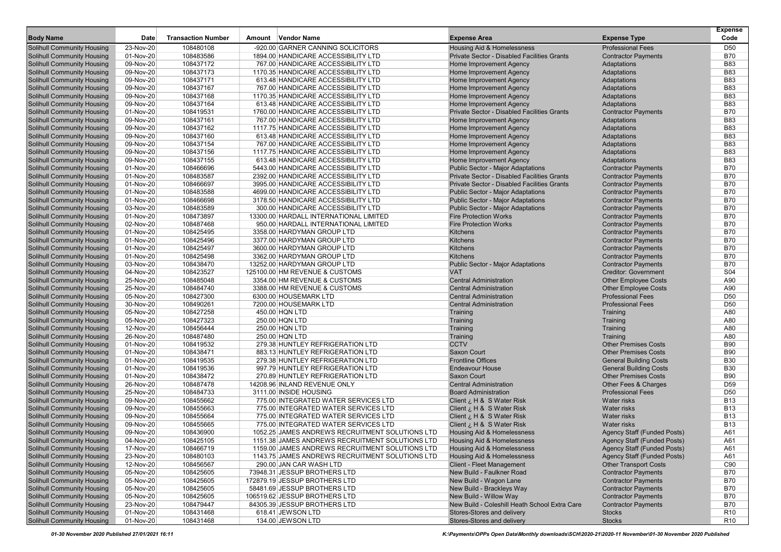| <b>Body Name</b>                                                       | <b>Date</b> | <b>Transaction Number</b> | Amount Vendor Name                              | <b>Expense Area</b>                                      | <b>Expense Type</b>                                      | <b>Expense</b><br>Code |
|------------------------------------------------------------------------|-------------|---------------------------|-------------------------------------------------|----------------------------------------------------------|----------------------------------------------------------|------------------------|
| <b>Solihull Community Housing</b>                                      | 23-Nov-20   | 108480108                 | -920.00 GARNER CANNING SOLICITORS               | Housing Aid & Homelessness                               | <b>Professional Fees</b>                                 | D50                    |
| <b>Solihull Community Housing</b>                                      | 01-Nov-20   | 108483586                 | 1894.00 HANDICARE ACCESSIBILITY LTD             | <b>Private Sector - Disabled Facilities Grants</b>       | <b>Contractor Payments</b>                               | <b>B70</b>             |
| <b>Solihull Community Housing</b>                                      | 09-Nov-20   | 108437172                 | 767.00 HANDICARE ACCESSIBILITY LTD              | Home Improvement Agency                                  | Adaptations                                              | <b>B83</b>             |
| <b>Solihull Community Housing</b>                                      | 09-Nov-20   | 108437173                 | 1170.35 HANDICARE ACCESSIBILITY LTD             | Home Improvement Agency                                  | Adaptations                                              | <b>B83</b>             |
| <b>Solihull Community Housing</b>                                      | 09-Nov-20   | 108437171                 | 613.48 HANDICARE ACCESSIBILITY LTD              | Home Improvement Agency                                  | Adaptations                                              | <b>B83</b>             |
| <b>Solihull Community Housing</b>                                      | 09-Nov-20   | 108437167                 | 767.00 HANDICARE ACCESSIBILITY LTD              | Home Improvement Agency                                  | Adaptations                                              | <b>B83</b>             |
| <b>Solihull Community Housing</b>                                      | 09-Nov-20   | 108437168                 | 1170.35 HANDICARE ACCESSIBILITY LTD             | Home Improvement Agency                                  | Adaptations                                              | <b>B83</b>             |
| <b>Solihull Community Housing</b>                                      | 09-Nov-20   | 108437164                 | 613.48 HANDICARE ACCESSIBILITY LTD              | Home Improvement Agency                                  | Adaptations                                              | <b>B83</b>             |
| <b>Solihull Community Housing</b>                                      | 01-Nov-20   | 108419531                 | 1760.00 HANDICARE ACCESSIBILITY LTD             | <b>Private Sector - Disabled Facilities Grants</b>       | <b>Contractor Payments</b>                               | <b>B70</b>             |
| <b>Solihull Community Housing</b>                                      | 09-Nov-20   | 108437161                 | 767.00 HANDICARE ACCESSIBILITY LTD              | Home Improvement Agency                                  | Adaptations                                              | <b>B83</b>             |
| <b>Solihull Community Housing</b>                                      | 09-Nov-20   | 108437162                 | 1117.75 HANDICARE ACCESSIBILITY LTD             | Home Improvement Agency                                  | Adaptations                                              | <b>B83</b>             |
| <b>Solihull Community Housing</b>                                      | 09-Nov-20   | 108437160                 | 613.48 HANDICARE ACCESSIBILITY LTD              | Home Improvement Agency                                  | Adaptations                                              | <b>B83</b>             |
| <b>Solihull Community Housing</b>                                      | 09-Nov-20   | 108437154                 | 767.00 HANDICARE ACCESSIBILITY LTD              | Home Improvement Agency                                  | Adaptations                                              | <b>B83</b>             |
| <b>Solihull Community Housing</b>                                      | 09-Nov-20   | 108437156                 | 1117.75 HANDICARE ACCESSIBILITY LTD             | Home Improvement Agency                                  | Adaptations                                              | <b>B83</b>             |
| <b>Solihull Community Housing</b>                                      | 09-Nov-20   | 108437155                 | 613.48 HANDICARE ACCESSIBILITY LTD              | Home Improvement Agency                                  | Adaptations                                              | <b>B83</b>             |
| <b>Solihull Community Housing</b>                                      | 01-Nov-20   | 108466696                 | 5443.00 HANDICARE ACCESSIBILITY LTD             | <b>Public Sector - Major Adaptations</b>                 | <b>Contractor Payments</b>                               | <b>B70</b>             |
| <b>Solihull Community Housing</b>                                      | 01-Nov-20   | 108483587                 | 2392.00 HANDICARE ACCESSIBILITY LTD             | <b>Private Sector - Disabled Facilities Grants</b>       | <b>Contractor Payments</b>                               | <b>B70</b>             |
| <b>Solihull Community Housing</b>                                      | 01-Nov-20   | 108466697                 | 3995.00 HANDICARE ACCESSIBILITY LTD             | <b>Private Sector - Disabled Facilities Grants</b>       | <b>Contractor Payments</b>                               | <b>B70</b>             |
| <b>Solihull Community Housing</b>                                      | 01-Nov-20   | 108483588                 | 4699.00 HANDICARE ACCESSIBILITY LTD             | <b>Public Sector - Major Adaptations</b>                 | <b>Contractor Payments</b>                               | <b>B70</b>             |
| <b>Solihull Community Housing</b>                                      | 01-Nov-20   | 108466698                 | 3178.50 HANDICARE ACCESSIBILITY LTD             | <b>Public Sector - Major Adaptations</b>                 | <b>Contractor Payments</b>                               | <b>B70</b>             |
| <b>Solihull Community Housing</b>                                      | 03-Nov-20   | 108483589                 | 300.00 HANDICARE ACCESSIBILITY LTD              | <b>Public Sector - Major Adaptations</b>                 | <b>Contractor Payments</b>                               | <b>B70</b>             |
| <b>Solihull Community Housing</b>                                      | 01-Nov-20   | 108473897                 | 13300.00 HARDALL INTERNATIONAL LIMITED          | <b>Fire Protection Works</b>                             | <b>Contractor Payments</b>                               | <b>B70</b>             |
| <b>Solihull Community Housing</b>                                      | 02-Nov-20   | 108487468                 | 950.00 HARDALL INTERNATIONAL LIMITED            | <b>Fire Protection Works</b>                             | <b>Contractor Payments</b>                               | <b>B70</b>             |
| <b>Solihull Community Housing</b>                                      | 01-Nov-20   | 108425495                 | 3358.00 HARDYMAN GROUP LTD                      | <b>Kitchens</b>                                          | <b>Contractor Payments</b>                               | <b>B70</b>             |
| <b>Solihull Community Housing</b>                                      | 01-Nov-20   | 108425496                 | 3377.00 HARDYMAN GROUP LTD                      | Kitchens                                                 | <b>Contractor Payments</b>                               | <b>B70</b>             |
| <b>Solihull Community Housing</b>                                      | 01-Nov-20   | 108425497                 | 3600.00 HARDYMAN GROUP LTD                      | Kitchens                                                 | <b>Contractor Payments</b>                               | <b>B70</b>             |
| <b>Solihull Community Housing</b>                                      | 01-Nov-20   | 108425498                 | 3362.00 HARDYMAN GROUP LTD                      | <b>Kitchens</b>                                          | <b>Contractor Payments</b>                               | <b>B70</b>             |
| <b>Solihull Community Housing</b>                                      | 03-Nov-20   | 108438470                 | 13252.00 HARDYMAN GROUP LTD                     | <b>Public Sector - Major Adaptations</b>                 | <b>Contractor Payments</b>                               | <b>B70</b>             |
| <b>Solihull Community Housing</b>                                      | 04-Nov-20   | 108423527                 | 125100.00 HM REVENUE & CUSTOMS                  | <b>VAT</b>                                               | <b>Creditor: Government</b>                              | S04                    |
| <b>Solihull Community Housing</b>                                      | 25-Nov-20   | 108485048                 | 3354.00 HM REVENUE & CUSTOMS                    | <b>Central Administration</b>                            | <b>Other Employee Costs</b>                              | A90                    |
| <b>Solihull Community Housing</b>                                      | 25-Nov-20   | 108484740                 | 3388.00 HM REVENUE & CUSTOMS                    | <b>Central Administration</b>                            | <b>Other Employee Costs</b>                              | A90                    |
| <b>Solihull Community Housing</b>                                      | 05-Nov-20   | 108427300                 | 6300.00 HOUSEMARK LTD                           | <b>Central Administration</b>                            | <b>Professional Fees</b>                                 | D <sub>50</sub>        |
| <b>Solihull Community Housing</b>                                      | 30-Nov-20   | 108490261                 | 7200.00 HOUSEMARK LTD                           | <b>Central Administration</b>                            | <b>Professional Fees</b>                                 | D <sub>50</sub>        |
| <b>Solihull Community Housing</b>                                      | 05-Nov-20   | 108427258                 | 450.00 HQN LTD                                  | Training                                                 | Training                                                 | A80                    |
| <b>Solihull Community Housing</b>                                      | 05-Nov-20   | 108427323                 | 250.00 HQN LTD                                  | Training                                                 | Training                                                 | A80                    |
| <b>Solihull Community Housing</b>                                      | 12-Nov-20   | 108456444                 | 250.00 HQN LTD                                  | Training                                                 | Training                                                 | A80                    |
| <b>Solihull Community Housing</b>                                      | 26-Nov-20   | 108487480                 | 250.00 HQN LTD                                  | Training                                                 | Training                                                 | A80                    |
| <b>Solihull Community Housing</b>                                      | 01-Nov-20   | 108419532                 | 279.38 HUNTLEY REFRIGERATION LTD                | <b>CCTV</b>                                              | <b>Other Premises Costs</b>                              | <b>B90</b>             |
| <b>Solihull Community Housing</b>                                      | 01-Nov-20   | 108438471                 | 883.13 HUNTLEY REFRIGERATION LTD                | Saxon Court                                              | <b>Other Premises Costs</b>                              | <b>B90</b>             |
| <b>Solihull Community Housing</b>                                      | 01-Nov-20   | 108419535                 | 279.38 HUNTLEY REFRIGERATION LTD                | <b>Frontline Offices</b>                                 | <b>General Building Costs</b>                            | <b>B30</b>             |
| <b>Solihull Community Housing</b>                                      | 01-Nov-20   | 108419536                 | 997.79 HUNTLEY REFRIGERATION LTD                | <b>Endeavour House</b>                                   | <b>General Building Costs</b>                            | <b>B30</b>             |
| <b>Solihull Community Housing</b>                                      | 01-Nov-20   | 108438472                 | 270.89 HUNTLEY REFRIGERATION LTD                | Saxon Court                                              | <b>Other Premises Costs</b>                              | <b>B90</b>             |
| <b>Solihull Community Housing</b>                                      | 26-Nov-20   | 108487478                 | 14208.96 INLAND REVENUE ONLY                    | <b>Central Administration</b>                            | Other Fees & Charges                                     | D <sub>59</sub>        |
| <b>Solihull Community Housing</b>                                      | 25-Nov-20   | 108484733                 | 3111.00 INSIDE HOUSING                          | <b>Board Administration</b>                              | <b>Professional Fees</b>                                 | D <sub>50</sub>        |
| <b>Solihull Community Housing</b>                                      | 09-Nov-20   | 108455662                 | 775.00 INTEGRATED WATER SERVICES LTD            | Client <i>i</i> , H & S Water Risk                       | Water risks                                              | <b>B13</b>             |
| <b>Solihull Community Housing</b>                                      | 09-Nov-20   | 108455663                 | 775.00 INTEGRATED WATER SERVICES LTD            | Client ¿ H & S Water Risk                                | Water risks                                              | <b>B13</b>             |
| <b>Solihull Community Housing</b>                                      | 09-Nov-20   | 108455664                 | 775.00 INTEGRATED WATER SERVICES LTD            | Client ¿ H & S Water Risk                                | <b>Water risks</b>                                       | <b>B13</b>             |
| <b>Solihull Community Housing</b>                                      | 09-Nov-20   | 108455665                 | 775.00 INTEGRATED WATER SERVICES LTD            | Client <i>i</i> , H & S Water Risk                       | <b>Water risks</b>                                       | <b>B13</b>             |
| <b>Solihull Community Housing</b>                                      | 09-Nov-20   | 108436900                 | 1052.25 JAMES ANDREWS RECRUITMENT SOLUTIONS LTD | Housing Aid & Homelessness                               | <b>Agency Staff (Funded Posts)</b>                       | A61                    |
| <b>Solihull Community Housing</b>                                      | 04-Nov-20   | 108425105                 | 1151.38 JAMES ANDREWS RECRUITMENT SOLUTIONS LTD | Housing Aid & Homelessness                               | Agency Staff (Funded Posts)                              | A61                    |
| <b>Solihull Community Housing</b>                                      | 17-Nov-20   | 108466719                 | 1159.00 JAMES ANDREWS RECRUITMENT SOLUTIONS LTD | Housing Aid & Homelessness                               | <b>Agency Staff (Funded Posts)</b>                       | A61                    |
| <b>Solihull Community Housing</b>                                      | 23-Nov-20   | 108480103                 | 1143.75 JAMES ANDREWS RECRUITMENT SOLUTIONS LTD | Housing Aid & Homelessness                               | <b>Agency Staff (Funded Posts)</b>                       | A61                    |
| <b>Solihull Community Housing</b>                                      | 12-Nov-20   | 108456567                 | 290.00 JAN CAR WASH LTD                         | <b>Client - Fleet Management</b>                         | <b>Other Transport Costs</b>                             | C90                    |
| <b>Solihull Community Housing</b>                                      | 05-Nov-20   | 108425605                 | 73948.31 JESSUP BROTHERS LTD                    | New Build - Faulkner Road                                | <b>Contractor Payments</b>                               | <b>B70</b>             |
| <b>Solihull Community Housing</b>                                      |             |                           | 172879.19 JESSUP BROTHERS LTD                   |                                                          |                                                          |                        |
|                                                                        | 05-Nov-20   | 108425605                 |                                                 | New Build - Wagon Lane                                   | <b>Contractor Payments</b><br><b>Contractor Payments</b> | <b>B70</b>             |
| <b>Solihull Community Housing</b><br><b>Solihull Community Housing</b> | 05-Nov-20   | 108425605                 | 58481.69 JESSUP BROTHERS LTD                    | New Build - Brackleys Way                                |                                                          | <b>B70</b>             |
|                                                                        | 05-Nov-20   | 108425605                 | 106519.62 JESSUP BROTHERS LTD                   | New Build - Willow Way                                   | <b>Contractor Payments</b>                               | <b>B70</b>             |
| <b>Solihull Community Housing</b>                                      | 23-Nov-20   | 108479447                 | 84305.39 JESSUP BROTHERS LTD                    | New Build - Coleshill Heath School Extra Care            | <b>Contractor Payments</b>                               | B70                    |
| <b>Solihull Community Housing</b><br><b>Solihull Community Housing</b> | 01-Nov-20   | 108431468                 | 618.41 JEWSON LTD                               | Stores-Stores and delivery<br>Stores-Stores and delivery | Stocks                                                   | R <sub>10</sub>        |
|                                                                        | 01-Nov-20   | 108431468                 | 134.00 JEWSON LTD                               |                                                          | <b>Stocks</b>                                            | R <sub>10</sub>        |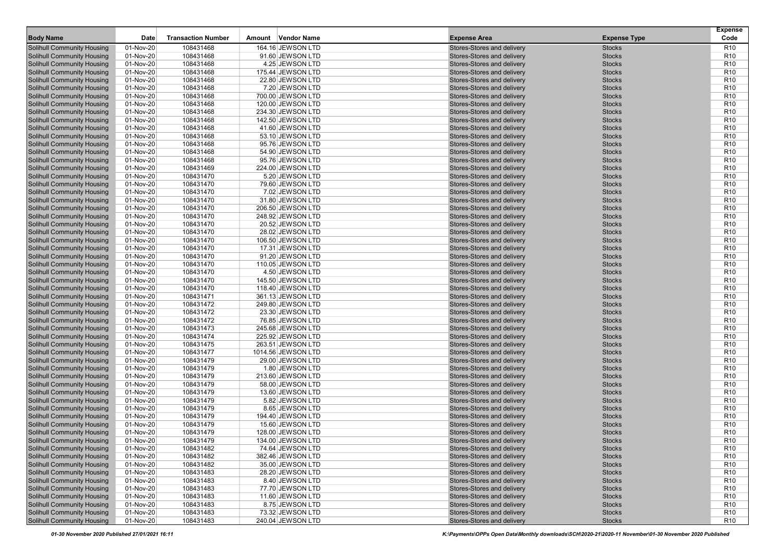|                                                                        |                        |                           |                                       |                                                          |                                | <b>Expense</b>                     |
|------------------------------------------------------------------------|------------------------|---------------------------|---------------------------------------|----------------------------------------------------------|--------------------------------|------------------------------------|
| <b>Body Name</b>                                                       | Date                   | <b>Transaction Number</b> | Amount Vendor Name                    | <b>Expense Area</b>                                      | <b>Expense Type</b>            | Code                               |
| <b>Solihull Community Housing</b>                                      | 01-Nov-20              | 108431468                 | 164.16 JEWSON LTD                     | Stores-Stores and delivery                               | <b>Stocks</b>                  | R <sub>10</sub>                    |
| <b>Solihull Community Housing</b>                                      | 01-Nov-20              | 108431468                 | 91.60 JEWSON LTD                      | Stores-Stores and delivery                               | <b>Stocks</b>                  | R <sub>10</sub>                    |
| <b>Solihull Community Housing</b>                                      | 01-Nov-20              | 108431468                 | 4.25 JEWSON LTD                       | Stores-Stores and delivery                               | <b>Stocks</b>                  | R <sub>10</sub>                    |
| <b>Solihull Community Housing</b>                                      | 01-Nov-20              | 108431468                 | 175.44 JEWSON LTD                     | Stores-Stores and delivery                               | <b>Stocks</b>                  | R <sub>10</sub>                    |
| <b>Solihull Community Housing</b>                                      | 01-Nov-20              | 108431468                 | 22.80 JEWSON LTD                      | Stores-Stores and delivery                               | <b>Stocks</b>                  | R <sub>10</sub>                    |
| <b>Solihull Community Housing</b>                                      | 01-Nov-20              | 108431468                 | 7.20 JEWSON LTD                       | Stores-Stores and delivery                               | <b>Stocks</b>                  | R <sub>10</sub>                    |
| <b>Solihull Community Housing</b>                                      | 01-Nov-20              | 108431468                 | 700.00 JEWSON LTD                     | Stores-Stores and delivery                               | <b>Stocks</b>                  | R <sub>10</sub>                    |
| <b>Solihull Community Housing</b>                                      | 01-Nov-20              | 108431468                 | 120.00 JEWSON LTD                     | Stores-Stores and delivery                               | <b>Stocks</b>                  | R <sub>10</sub>                    |
| <b>Solihull Community Housing</b>                                      | 01-Nov-20              | 108431468                 | 234.30 JEWSON LTD                     | Stores-Stores and delivery                               | <b>Stocks</b>                  | R <sub>10</sub>                    |
| <b>Solihull Community Housing</b>                                      | 01-Nov-20              | 108431468                 | 142.50 JEWSON LTD                     | Stores-Stores and delivery                               | <b>Stocks</b>                  | R <sub>10</sub>                    |
| <b>Solihull Community Housing</b>                                      | 01-Nov-20              | 108431468                 | 41.60 JEWSON LTD                      | Stores-Stores and delivery                               | <b>Stocks</b>                  | R <sub>10</sub>                    |
| <b>Solihull Community Housing</b>                                      | 01-Nov-20              | 108431468                 | 53.10 JEWSON LTD                      | Stores-Stores and delivery                               | <b>Stocks</b>                  | R <sub>10</sub>                    |
| <b>Solihull Community Housing</b>                                      | 01-Nov-20              | 108431468                 | 95.76 JEWSON LTD                      | Stores-Stores and delivery                               | <b>Stocks</b>                  | R <sub>10</sub>                    |
| <b>Solihull Community Housing</b>                                      | 01-Nov-20              | 108431468                 | 54.90 JEWSON LTD                      | Stores-Stores and delivery                               | <b>Stocks</b>                  | R <sub>10</sub>                    |
| <b>Solihull Community Housing</b>                                      | 01-Nov-20              | 108431468                 | 95.76 JEWSON LTD                      | Stores-Stores and delivery                               | <b>Stocks</b>                  | R <sub>10</sub>                    |
| <b>Solihull Community Housing</b>                                      | 01-Nov-20              | 108431469                 | 224.00 JEWSON LTD                     | Stores-Stores and delivery                               | <b>Stocks</b>                  | R <sub>10</sub>                    |
| <b>Solihull Community Housing</b>                                      | 01-Nov-20              | 108431470                 | 5.20 JEWSON LTD                       | Stores-Stores and delivery                               | <b>Stocks</b>                  | R <sub>10</sub>                    |
| <b>Solihull Community Housing</b>                                      | 01-Nov-20              | 108431470                 | 79.60 JEWSON LTD                      | Stores-Stores and delivery                               | <b>Stocks</b>                  | R <sub>10</sub>                    |
| <b>Solihull Community Housing</b>                                      | 01-Nov-20              | 108431470                 | 7.02 JEWSON LTD                       | Stores-Stores and delivery                               | <b>Stocks</b>                  | R <sub>10</sub>                    |
| <b>Solihull Community Housing</b>                                      | 01-Nov-20              | 108431470                 | 31.80 JEWSON LTD                      | Stores-Stores and delivery                               | <b>Stocks</b>                  | R <sub>10</sub>                    |
| <b>Solihull Community Housing</b>                                      | 01-Nov-20              | 108431470                 | 206.50 JEWSON LTD                     | Stores-Stores and delivery                               | <b>Stocks</b>                  | R <sub>10</sub>                    |
| <b>Solihull Community Housing</b>                                      | 01-Nov-20              | 108431470                 | 248.92 JEWSON LTD                     | Stores-Stores and delivery                               | <b>Stocks</b>                  | R <sub>10</sub>                    |
| <b>Solihull Community Housing</b>                                      | 01-Nov-20              | 108431470                 | 20.52 JEWSON LTD                      | Stores-Stores and delivery                               | <b>Stocks</b>                  | R <sub>10</sub>                    |
| <b>Solihull Community Housing</b><br><b>Solihull Community Housing</b> | 01-Nov-20              | 108431470                 | 28.02 JEWSON LTD                      | Stores-Stores and delivery                               | <b>Stocks</b>                  | R <sub>10</sub><br>R <sub>10</sub> |
|                                                                        | 01-Nov-20<br>01-Nov-20 | 108431470                 | 106.50 JEWSON LTD<br>17.31 JEWSON LTD | Stores-Stores and delivery<br>Stores-Stores and delivery | <b>Stocks</b><br><b>Stocks</b> | R <sub>10</sub>                    |
| <b>Solihull Community Housing</b><br><b>Solihull Community Housing</b> | 01-Nov-20              | 108431470<br>108431470    | 91.20 JEWSON LTD                      | Stores-Stores and delivery                               | <b>Stocks</b>                  | R <sub>10</sub>                    |
| <b>Solihull Community Housing</b>                                      | 01-Nov-20              | 108431470                 | 110.05 JEWSON LTD                     | Stores-Stores and delivery                               | <b>Stocks</b>                  | R <sub>10</sub>                    |
| <b>Solihull Community Housing</b>                                      | 01-Nov-20              | 108431470                 | 4.50 JEWSON LTD                       | Stores-Stores and delivery                               | <b>Stocks</b>                  | R <sub>10</sub>                    |
| <b>Solihull Community Housing</b>                                      | 01-Nov-20              | 108431470                 | 145.50 JEWSON LTD                     | Stores-Stores and delivery                               | <b>Stocks</b>                  | R <sub>10</sub>                    |
| <b>Solihull Community Housing</b>                                      | 01-Nov-20              | 108431470                 | 118.40 JEWSON LTD                     | Stores-Stores and delivery                               | <b>Stocks</b>                  | R <sub>10</sub>                    |
| <b>Solihull Community Housing</b>                                      | 01-Nov-20              | 108431471                 | 361.13 JEWSON LTD                     | Stores-Stores and delivery                               | <b>Stocks</b>                  | R <sub>10</sub>                    |
| <b>Solihull Community Housing</b>                                      | 01-Nov-20              | 108431472                 | 249.80 JEWSON LTD                     | Stores-Stores and delivery                               | <b>Stocks</b>                  | R <sub>10</sub>                    |
| <b>Solihull Community Housing</b>                                      | 01-Nov-20              | 108431472                 | 23.30 JEWSON LTD                      | Stores-Stores and delivery                               | <b>Stocks</b>                  | R <sub>10</sub>                    |
| <b>Solihull Community Housing</b>                                      | 01-Nov-20              | 108431472                 | 76.85 JEWSON LTD                      | Stores-Stores and delivery                               | <b>Stocks</b>                  | R <sub>10</sub>                    |
| <b>Solihull Community Housing</b>                                      | 01-Nov-20              | 108431473                 | 245.68 JEWSON LTD                     | Stores-Stores and delivery                               | <b>Stocks</b>                  | R <sub>10</sub>                    |
| <b>Solihull Community Housing</b>                                      | 01-Nov-20              | 108431474                 | 225.92 JEWSON LTD                     | Stores-Stores and delivery                               | <b>Stocks</b>                  | R <sub>10</sub>                    |
| <b>Solihull Community Housing</b>                                      | 01-Nov-20              | 108431475                 | 263.51 JEWSON LTD                     | Stores-Stores and delivery                               | <b>Stocks</b>                  | R <sub>10</sub>                    |
| <b>Solihull Community Housing</b>                                      | 01-Nov-20              | 108431477                 | 1014.56 JEWSON LTD                    | Stores-Stores and delivery                               | <b>Stocks</b>                  | R <sub>10</sub>                    |
| <b>Solihull Community Housing</b>                                      | 01-Nov-20              | 108431479                 | 29.00 JEWSON LTD                      | Stores-Stores and delivery                               | <b>Stocks</b>                  | R <sub>10</sub>                    |
| <b>Solihull Community Housing</b>                                      | 01-Nov-20              | 108431479                 | 1.80 JEWSON LTD                       | Stores-Stores and delivery                               | <b>Stocks</b>                  | R <sub>10</sub>                    |
| <b>Solihull Community Housing</b>                                      | 01-Nov-20              | 108431479                 | 213.60 JEWSON LTD                     | Stores-Stores and delivery                               | <b>Stocks</b>                  | R <sub>10</sub>                    |
| <b>Solihull Community Housing</b>                                      | 01-Nov-20              | 108431479                 | 58.00 JEWSON LTD                      | Stores-Stores and delivery                               | <b>Stocks</b>                  | R <sub>10</sub>                    |
| <b>Solihull Community Housing</b>                                      | 01-Nov-20              | 108431479                 | 13.60 JEWSON LTD                      | Stores-Stores and delivery                               | <b>Stocks</b>                  | R <sub>10</sub>                    |
| <b>Solihull Community Housing</b>                                      | 01-Nov-20              | 108431479                 | 5.82 JEWSON LTD                       | Stores-Stores and delivery                               | <b>Stocks</b>                  | R <sub>10</sub>                    |
| <b>Solihull Community Housing</b>                                      | 01-Nov-20              | 108431479                 | 8.65 JEWSON LTD                       | Stores-Stores and delivery                               | <b>Stocks</b>                  | <b>R10</b>                         |
| <b>Solihull Community Housing</b>                                      | 01-Nov-20              | 108431479                 | 194.40 JEWSON LTD                     | Stores-Stores and delivery                               | <b>Stocks</b>                  | R <sub>10</sub>                    |
| <b>Solihull Community Housing</b>                                      | 01-Nov-20              | 108431479                 | 15.60 JEWSON LTD                      | Stores-Stores and delivery                               | <b>Stocks</b>                  | R <sub>10</sub>                    |
| <b>Solihull Community Housing</b>                                      | 01-Nov-20              | 108431479                 | 128.00 JEWSON LTD                     | Stores-Stores and delivery                               | <b>Stocks</b>                  | R <sub>10</sub>                    |
| <b>Solihull Community Housing</b>                                      | 01-Nov-20              | 108431479                 | 134.00 JEWSON LTD                     | Stores-Stores and delivery                               | <b>Stocks</b>                  | R10                                |
| <b>Solihull Community Housing</b>                                      | 01-Nov-20              | 108431482                 | 74.64 JEWSON LTD                      | Stores-Stores and delivery                               | <b>Stocks</b>                  | R <sub>10</sub>                    |
| <b>Solihull Community Housing</b>                                      | 01-Nov-20              | 108431482                 | 382.46 JEWSON LTD                     | Stores-Stores and delivery                               | <b>Stocks</b>                  | R <sub>10</sub>                    |
| <b>Solihull Community Housing</b>                                      | 01-Nov-20              | 108431482                 | 35.00 JEWSON LTD                      | Stores-Stores and delivery                               | <b>Stocks</b>                  | R <sub>10</sub>                    |
| <b>Solihull Community Housing</b>                                      | 01-Nov-20              | 108431483                 | 28.20 JEWSON LTD                      | Stores-Stores and delivery                               | <b>Stocks</b>                  | R <sub>10</sub>                    |
| <b>Solihull Community Housing</b>                                      | 01-Nov-20              | 108431483                 | 8.40 JEWSON LTD                       | Stores-Stores and delivery                               | <b>Stocks</b>                  | R <sub>10</sub>                    |
| <b>Solihull Community Housing</b>                                      | 01-Nov-20              | 108431483                 | 77.70 JEWSON LTD                      | Stores-Stores and delivery                               | <b>Stocks</b>                  | R <sub>10</sub>                    |
| <b>Solihull Community Housing</b>                                      | 01-Nov-20              | 108431483                 | 11.60 JEWSON LTD                      | Stores-Stores and delivery                               | <b>Stocks</b>                  | R <sub>10</sub>                    |
| <b>Solihull Community Housing</b>                                      | 01-Nov-20              | 108431483                 | 8.75 JEWSON LTD                       | Stores-Stores and delivery                               | <b>Stocks</b>                  | R <sub>10</sub>                    |
| <b>Solihull Community Housing</b>                                      | 01-Nov-20              | 108431483                 | 73.32 JEWSON LTD                      | Stores-Stores and delivery                               | <b>Stocks</b>                  | R <sub>10</sub>                    |
| <b>Solihull Community Housing</b>                                      | $01-Nov-20$            | 108431483                 | 240.04 JEWSON LTD                     | Stores-Stores and delivery                               | <b>Stocks</b>                  | R <sub>10</sub>                    |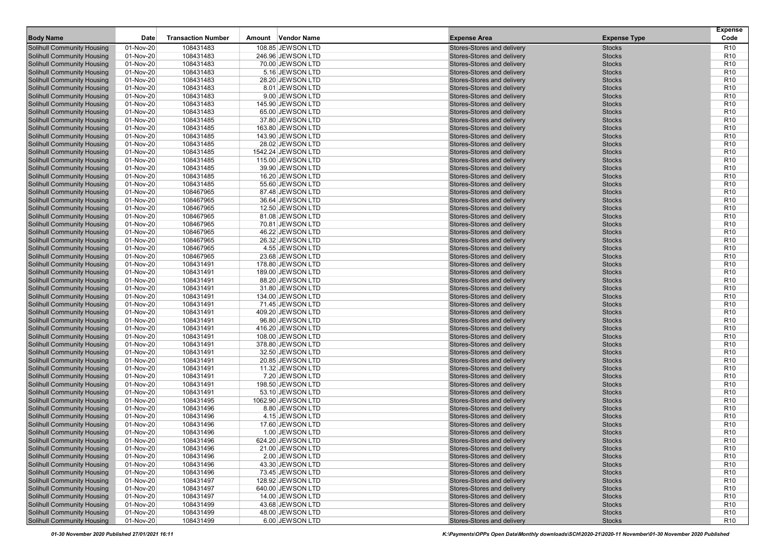|                                                                        |                        |                           |                                      |                                                          |                                | <b>Expense</b>                     |
|------------------------------------------------------------------------|------------------------|---------------------------|--------------------------------------|----------------------------------------------------------|--------------------------------|------------------------------------|
| <b>Body Name</b>                                                       | Date                   | <b>Transaction Number</b> | Amount Vendor Name                   | <b>Expense Area</b>                                      | <b>Expense Type</b>            | Code                               |
| <b>Solihull Community Housing</b>                                      | 01-Nov-20              | 108431483                 | 108.85 JEWSON LTD                    | Stores-Stores and delivery                               | <b>Stocks</b>                  | R <sub>10</sub>                    |
| <b>Solihull Community Housing</b>                                      | 01-Nov-20              | 108431483                 | 246.96 JEWSON LTD                    | Stores-Stores and delivery                               | <b>Stocks</b>                  | R <sub>10</sub>                    |
| <b>Solihull Community Housing</b>                                      | 01-Nov-20              | 108431483                 | 70.00 JEWSON LTD                     | Stores-Stores and delivery                               | <b>Stocks</b>                  | R <sub>10</sub>                    |
| <b>Solihull Community Housing</b>                                      | 01-Nov-20              | 108431483                 | 5.16 JEWSON LTD                      | Stores-Stores and delivery                               | <b>Stocks</b>                  | R <sub>10</sub>                    |
| <b>Solihull Community Housing</b>                                      | 01-Nov-20              | 108431483                 | 28.20 JEWSON LTD                     | Stores-Stores and delivery                               | <b>Stocks</b>                  | R <sub>10</sub>                    |
| <b>Solihull Community Housing</b>                                      | 01-Nov-20              | 108431483                 | 8.01 JEWSON LTD                      | Stores-Stores and delivery                               | <b>Stocks</b>                  | R <sub>10</sub>                    |
| <b>Solihull Community Housing</b>                                      | 01-Nov-20              | 108431483                 | 9.00 JEWSON LTD                      | Stores-Stores and delivery                               | <b>Stocks</b>                  | R <sub>10</sub>                    |
| <b>Solihull Community Housing</b>                                      | 01-Nov-20              | 108431483                 | 145.90 JEWSON LTD                    | Stores-Stores and delivery                               | <b>Stocks</b>                  | R <sub>10</sub>                    |
| <b>Solihull Community Housing</b>                                      | 01-Nov-20              | 108431483                 | 65.00 JEWSON LTD                     | Stores-Stores and delivery                               | <b>Stocks</b>                  | R <sub>10</sub>                    |
| <b>Solihull Community Housing</b>                                      | 01-Nov-20              | 108431485                 | 37.80 JEWSON LTD                     | Stores-Stores and delivery                               | <b>Stocks</b>                  | R <sub>10</sub>                    |
| <b>Solihull Community Housing</b>                                      | 01-Nov-20              | 108431485                 | 163.80 JEWSON LTD                    | Stores-Stores and delivery                               | <b>Stocks</b>                  | R <sub>10</sub>                    |
| <b>Solihull Community Housing</b>                                      | 01-Nov-20              | 108431485                 | 143.90 JEWSON LTD                    | Stores-Stores and delivery                               | <b>Stocks</b>                  | R <sub>10</sub>                    |
| <b>Solihull Community Housing</b>                                      | 01-Nov-20              | 108431485                 | 28.02 JEWSON LTD                     | Stores-Stores and delivery                               | <b>Stocks</b>                  | R <sub>10</sub>                    |
| <b>Solihull Community Housing</b>                                      | 01-Nov-20              | 108431485                 | 1542.24 JEWSON LTD                   | Stores-Stores and delivery<br>Stores-Stores and delivery | <b>Stocks</b>                  | R <sub>10</sub>                    |
| <b>Solihull Community Housing</b>                                      | 01-Nov-20              | 108431485                 | 115.00 JEWSON LTD                    |                                                          | <b>Stocks</b>                  | R <sub>10</sub>                    |
| <b>Solihull Community Housing</b>                                      | 01-Nov-20              | 108431485                 | 39.90 JEWSON LTD                     | Stores-Stores and delivery                               | <b>Stocks</b>                  | R <sub>10</sub><br>R <sub>10</sub> |
| <b>Solihull Community Housing</b>                                      | 01-Nov-20<br>01-Nov-20 | 108431485<br>108431485    | 16.20 JEWSON LTD                     | Stores-Stores and delivery                               | <b>Stocks</b><br><b>Stocks</b> | R <sub>10</sub>                    |
| <b>Solihull Community Housing</b><br><b>Solihull Community Housing</b> | 01-Nov-20              | 108467965                 | 55.60 JEWSON LTD<br>87.48 JEWSON LTD | Stores-Stores and delivery<br>Stores-Stores and delivery | <b>Stocks</b>                  | R <sub>10</sub>                    |
| <b>Solihull Community Housing</b>                                      | 01-Nov-20              | 108467965                 | 36.64 JEWSON LTD                     | Stores-Stores and delivery                               | <b>Stocks</b>                  | R <sub>10</sub>                    |
| <b>Solihull Community Housing</b>                                      | 01-Nov-20              | 108467965                 | 12.50 JEWSON LTD                     | Stores-Stores and delivery                               | <b>Stocks</b>                  | R <sub>10</sub>                    |
| <b>Solihull Community Housing</b>                                      | 01-Nov-20              | 108467965                 | 81.08 JEWSON LTD                     | Stores-Stores and delivery                               | <b>Stocks</b>                  | R <sub>10</sub>                    |
| <b>Solihull Community Housing</b>                                      | 01-Nov-20              | 108467965                 | 70.81 JEWSON LTD                     | Stores-Stores and delivery                               | <b>Stocks</b>                  | R <sub>10</sub>                    |
| <b>Solihull Community Housing</b>                                      | 01-Nov-20              | 108467965                 | 46.22 JEWSON LTD                     | Stores-Stores and delivery                               | <b>Stocks</b>                  | R <sub>10</sub>                    |
| <b>Solihull Community Housing</b>                                      | 01-Nov-20              | 108467965                 | 26.32 JEWSON LTD                     | Stores-Stores and delivery                               | <b>Stocks</b>                  | R <sub>10</sub>                    |
| <b>Solihull Community Housing</b>                                      | 01-Nov-20              | 108467965                 | 4.55 JEWSON LTD                      | Stores-Stores and delivery                               | <b>Stocks</b>                  | R <sub>10</sub>                    |
| <b>Solihull Community Housing</b>                                      | 01-Nov-20              | 108467965                 | 23.68 JEWSON LTD                     | Stores-Stores and delivery                               | <b>Stocks</b>                  | R <sub>10</sub>                    |
| <b>Solihull Community Housing</b>                                      | 01-Nov-20              | 108431491                 | 178.80 JEWSON LTD                    | Stores-Stores and delivery                               | <b>Stocks</b>                  | R <sub>10</sub>                    |
| <b>Solihull Community Housing</b>                                      | 01-Nov-20              | 108431491                 | 189.00 JEWSON LTD                    | Stores-Stores and delivery                               | <b>Stocks</b>                  | R <sub>10</sub>                    |
| <b>Solihull Community Housing</b>                                      | 01-Nov-20              | 108431491                 | 88.20 JEWSON LTD                     | Stores-Stores and delivery                               | <b>Stocks</b>                  | R <sub>10</sub>                    |
| <b>Solihull Community Housing</b>                                      | 01-Nov-20              | 108431491                 | 31.80 JEWSON LTD                     | Stores-Stores and delivery                               | <b>Stocks</b>                  | R <sub>10</sub>                    |
| <b>Solihull Community Housing</b>                                      | 01-Nov-20              | 108431491                 | 134.00 JEWSON LTD                    | Stores-Stores and delivery                               | <b>Stocks</b>                  | R <sub>10</sub>                    |
| <b>Solihull Community Housing</b>                                      | 01-Nov-20              | 108431491                 | 71.45 JEWSON LTD                     | Stores-Stores and delivery                               | <b>Stocks</b>                  | R <sub>10</sub>                    |
| <b>Solihull Community Housing</b>                                      | 01-Nov-20              | 108431491                 | 409.20 JEWSON LTD                    | Stores-Stores and delivery                               | <b>Stocks</b>                  | R <sub>10</sub>                    |
| <b>Solihull Community Housing</b>                                      | 01-Nov-20              | 108431491                 | 96.80 JEWSON LTD                     | Stores-Stores and delivery                               | <b>Stocks</b>                  | R <sub>10</sub>                    |
| <b>Solihull Community Housing</b>                                      | 01-Nov-20              | 108431491                 | 416.20 JEWSON LTD                    | Stores-Stores and delivery                               | <b>Stocks</b>                  | R <sub>10</sub>                    |
| <b>Solihull Community Housing</b>                                      | 01-Nov-20              | 108431491                 | 108.00 JEWSON LTD                    | Stores-Stores and delivery                               | <b>Stocks</b>                  | R <sub>10</sub>                    |
| <b>Solihull Community Housing</b>                                      | 01-Nov-20              | 108431491                 | 378.80 JEWSON LTD                    | Stores-Stores and delivery                               | <b>Stocks</b>                  | R <sub>10</sub>                    |
| <b>Solihull Community Housing</b>                                      | 01-Nov-20              | 108431491                 | 32.50 JEWSON LTD                     | Stores-Stores and delivery                               | <b>Stocks</b>                  | R <sub>10</sub>                    |
| <b>Solihull Community Housing</b>                                      | 01-Nov-20              | 108431491                 | 20.85 JEWSON LTD                     | Stores-Stores and delivery                               | <b>Stocks</b>                  | R <sub>10</sub>                    |
| <b>Solihull Community Housing</b>                                      | 01-Nov-20              | 108431491                 | 11.32 JEWSON LTD                     | Stores-Stores and delivery                               | <b>Stocks</b>                  | R <sub>10</sub>                    |
| <b>Solihull Community Housing</b>                                      | 01-Nov-20              | 108431491                 | 7.20 JEWSON LTD                      | Stores-Stores and delivery                               | <b>Stocks</b>                  | R <sub>10</sub>                    |
| <b>Solihull Community Housing</b>                                      | 01-Nov-20              | 108431491                 | 198.50 JEWSON LTD                    | Stores-Stores and delivery                               | <b>Stocks</b>                  | R <sub>10</sub>                    |
| <b>Solihull Community Housing</b>                                      | 01-Nov-20              | 108431491                 | 53.10 JEWSON LTD                     | Stores-Stores and delivery                               | <b>Stocks</b>                  | R <sub>10</sub>                    |
| <b>Solihull Community Housing</b>                                      | 01-Nov-20              | 108431495                 | 1062.90 JEWSON LTD                   | Stores-Stores and delivery                               | <b>Stocks</b>                  | R <sub>10</sub>                    |
| <b>Solihull Community Housing</b>                                      | 01-Nov-20              | 108431496                 | 8.80 JEWSON LTD                      | Stores-Stores and delivery                               | <b>Stocks</b>                  | R <sub>10</sub>                    |
| <b>Solihull Community Housing</b>                                      | 01-Nov-20              | 108431496                 | 4.15 JEWSON LTD                      | Stores-Stores and delivery                               | <b>Stocks</b>                  | R <sub>10</sub>                    |
| <b>Solihull Community Housing</b>                                      | 01-Nov-20              | 108431496                 | 17.60 JEWSON LTD                     | Stores-Stores and delivery                               | <b>Stocks</b>                  | R <sub>10</sub>                    |
| <b>Solihull Community Housing</b>                                      | 01-Nov-20              | 108431496                 | 1.00 JEWSON LTD                      | Stores-Stores and delivery                               | <b>Stocks</b>                  | R <sub>10</sub>                    |
| <b>Solihull Community Housing</b>                                      | 01-Nov-20              | 108431496                 | 624.20 JEWSON LTD                    | Stores-Stores and delivery                               | <b>Stocks</b>                  | R10                                |
| <b>Solihull Community Housing</b>                                      | 01-Nov-20              | 108431496                 | 21.00 JEWSON LTD                     | Stores-Stores and delivery                               | <b>Stocks</b>                  | R <sub>10</sub>                    |
| <b>Solihull Community Housing</b>                                      | 01-Nov-20              | 108431496                 | 2.00 JEWSON LTD                      | Stores-Stores and delivery                               | <b>Stocks</b>                  | R <sub>10</sub>                    |
| <b>Solihull Community Housing</b>                                      | 01-Nov-20              | 108431496                 | 43.30 JEWSON LTD                     | Stores-Stores and delivery                               | <b>Stocks</b>                  | R <sub>10</sub>                    |
| <b>Solihull Community Housing</b>                                      | 01-Nov-20              | 108431496                 | 73.45 JEWSON LTD                     | Stores-Stores and delivery                               | <b>Stocks</b>                  | R <sub>10</sub>                    |
| <b>Solihull Community Housing</b>                                      | 01-Nov-20              | 108431497                 | 128.92 JEWSON LTD                    | Stores-Stores and delivery                               | <b>Stocks</b>                  | R <sub>10</sub>                    |
| <b>Solihull Community Housing</b>                                      | 01-Nov-20              | 108431497                 | 640.00 JEWSON LTD                    | Stores-Stores and delivery                               | <b>Stocks</b>                  | R <sub>10</sub>                    |
| <b>Solihull Community Housing</b>                                      | 01-Nov-20              | 108431497                 | 14.00 JEWSON LTD                     | Stores-Stores and delivery                               | <b>Stocks</b>                  | R <sub>10</sub>                    |
| <b>Solihull Community Housing</b>                                      | 01-Nov-20              | 108431499                 | 43.68 JEWSON LTD                     | Stores-Stores and delivery                               | <b>Stocks</b>                  | R <sub>10</sub>                    |
| <b>Solihull Community Housing</b><br><b>Solihull Community Housing</b> | 01-Nov-20              | 108431499                 | 48.00 JEWSON LTD                     | Stores-Stores and delivery<br>Stores-Stores and delivery | <b>Stocks</b>                  | R <sub>10</sub>                    |
|                                                                        | $01-Nov-20$            | 108431499                 | 6.00 JEWSON LTD                      |                                                          | <b>Stocks</b>                  | R <sub>10</sub>                    |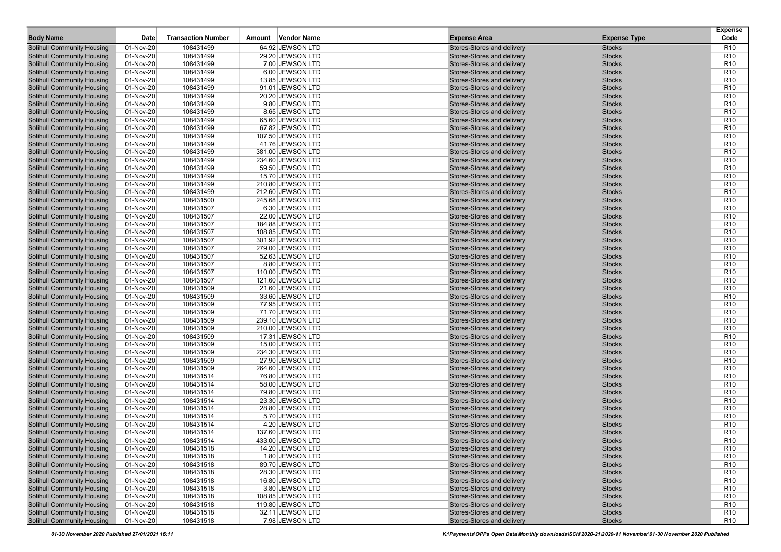|                                                                        |                        |                           |                                        |                                                          |                                | <b>Expense</b>                     |
|------------------------------------------------------------------------|------------------------|---------------------------|----------------------------------------|----------------------------------------------------------|--------------------------------|------------------------------------|
| <b>Body Name</b>                                                       | Date                   | <b>Transaction Number</b> | Amount Vendor Name                     | <b>Expense Area</b>                                      | <b>Expense Type</b>            | Code                               |
| <b>Solihull Community Housing</b>                                      | 01-Nov-20              | 108431499                 | 64.92 JEWSON LTD                       | Stores-Stores and delivery                               | <b>Stocks</b>                  | <b>R10</b>                         |
| <b>Solihull Community Housing</b>                                      | 01-Nov-20              | 108431499                 | 29.20 JEWSON LTD                       | Stores-Stores and delivery                               | <b>Stocks</b>                  | R <sub>10</sub>                    |
| <b>Solihull Community Housing</b>                                      | 01-Nov-20              | 108431499                 | 7.00 JEWSON LTD                        | Stores-Stores and delivery                               | <b>Stocks</b>                  | R <sub>10</sub>                    |
| <b>Solihull Community Housing</b>                                      | 01-Nov-20              | 108431499                 | 6.00 JEWSON LTD                        | Stores-Stores and delivery                               | <b>Stocks</b>                  | R <sub>10</sub>                    |
| <b>Solihull Community Housing</b>                                      | 01-Nov-20              | 108431499                 | 13.85 JEWSON LTD                       | Stores-Stores and delivery                               | <b>Stocks</b>                  | R <sub>10</sub>                    |
| <b>Solihull Community Housing</b>                                      | 01-Nov-20              | 108431499                 | 91.01 JEWSON LTD                       | Stores-Stores and delivery                               | <b>Stocks</b>                  | R <sub>10</sub>                    |
| <b>Solihull Community Housing</b>                                      | 01-Nov-20              | 108431499                 | 20.20 JEWSON LTD                       | Stores-Stores and delivery                               | <b>Stocks</b>                  | R <sub>10</sub>                    |
| <b>Solihull Community Housing</b>                                      | 01-Nov-20              | 108431499                 | 9.80 JEWSON LTD                        | Stores-Stores and delivery                               | <b>Stocks</b>                  | R <sub>10</sub>                    |
| <b>Solihull Community Housing</b>                                      | 01-Nov-20              | 108431499                 | 8.65 JEWSON LTD                        | Stores-Stores and delivery                               | <b>Stocks</b>                  | R <sub>10</sub>                    |
| <b>Solihull Community Housing</b>                                      | 01-Nov-20              | 108431499                 | 65.60 JEWSON LTD                       | Stores-Stores and delivery                               | <b>Stocks</b>                  | R <sub>10</sub>                    |
| <b>Solihull Community Housing</b>                                      | 01-Nov-20              | 108431499                 | 67.82 JEWSON LTD                       | Stores-Stores and delivery                               | <b>Stocks</b>                  | R <sub>10</sub>                    |
| <b>Solihull Community Housing</b>                                      | 01-Nov-20              | 108431499                 | 107.50 JEWSON LTD                      | Stores-Stores and delivery                               | <b>Stocks</b>                  | R <sub>10</sub>                    |
| <b>Solihull Community Housing</b>                                      | 01-Nov-20              | 108431499                 | 41.76 JEWSON LTD                       | Stores-Stores and delivery                               | <b>Stocks</b>                  | R <sub>10</sub>                    |
| <b>Solihull Community Housing</b>                                      | 01-Nov-20              | 108431499                 | 381.00 JEWSON LTD                      | Stores-Stores and delivery<br>Stores-Stores and delivery | <b>Stocks</b>                  | R <sub>10</sub>                    |
| <b>Solihull Community Housing</b>                                      | 01-Nov-20              | 108431499                 | 234.60 JEWSON LTD                      |                                                          | <b>Stocks</b>                  | R <sub>10</sub>                    |
| <b>Solihull Community Housing</b>                                      | 01-Nov-20              | 108431499                 | 59.50 JEWSON LTD                       | Stores-Stores and delivery                               | <b>Stocks</b>                  | R <sub>10</sub><br>R <sub>10</sub> |
| <b>Solihull Community Housing</b>                                      | 01-Nov-20<br>01-Nov-20 | 108431499                 | 15.70 JEWSON LTD                       | Stores-Stores and delivery                               | <b>Stocks</b><br><b>Stocks</b> | R <sub>10</sub>                    |
| <b>Solihull Community Housing</b><br><b>Solihull Community Housing</b> | 01-Nov-20              | 108431499<br>108431499    | 210.80 JEWSON LTD<br>212.60 JEWSON LTD | Stores-Stores and delivery<br>Stores-Stores and delivery | <b>Stocks</b>                  | R <sub>10</sub>                    |
| <b>Solihull Community Housing</b>                                      | 01-Nov-20              | 108431500                 | 245.68 JEWSON LTD                      | Stores-Stores and delivery                               | <b>Stocks</b>                  | R <sub>10</sub>                    |
| <b>Solihull Community Housing</b>                                      | 01-Nov-20              | 108431507                 | 6.30 JEWSON LTD                        | Stores-Stores and delivery                               | <b>Stocks</b>                  | R <sub>10</sub>                    |
| <b>Solihull Community Housing</b>                                      | 01-Nov-20              | 108431507                 | 22.00 JEWSON LTD                       | Stores-Stores and delivery                               | <b>Stocks</b>                  | R <sub>10</sub>                    |
| <b>Solihull Community Housing</b>                                      | 01-Nov-20              | 108431507                 | 184.88 JEWSON LTD                      | Stores-Stores and delivery                               | <b>Stocks</b>                  | R <sub>10</sub>                    |
| <b>Solihull Community Housing</b>                                      | 01-Nov-20              | 108431507                 | 108.85 JEWSON LTD                      | Stores-Stores and delivery                               | <b>Stocks</b>                  | R <sub>10</sub>                    |
| <b>Solihull Community Housing</b>                                      | 01-Nov-20              | 108431507                 | 301.92 JEWSON LTD                      | Stores-Stores and delivery                               | <b>Stocks</b>                  | R <sub>10</sub>                    |
| <b>Solihull Community Housing</b>                                      | 01-Nov-20              | 108431507                 | 279.00 JEWSON LTD                      | Stores-Stores and delivery                               | <b>Stocks</b>                  | R <sub>10</sub>                    |
| <b>Solihull Community Housing</b>                                      | 01-Nov-20              | 108431507                 | 52.63 JEWSON LTD                       | Stores-Stores and delivery                               | <b>Stocks</b>                  | R <sub>10</sub>                    |
| <b>Solihull Community Housing</b>                                      | 01-Nov-20              | 108431507                 | 8.80 JEWSON LTD                        | Stores-Stores and delivery                               | <b>Stocks</b>                  | R <sub>10</sub>                    |
| <b>Solihull Community Housing</b>                                      | 01-Nov-20              | 108431507                 | 110.00 JEWSON LTD                      | Stores-Stores and delivery                               | <b>Stocks</b>                  | R <sub>10</sub>                    |
| <b>Solihull Community Housing</b>                                      | 01-Nov-20              | 108431507                 | 121.60 JEWSON LTD                      | Stores-Stores and delivery                               | <b>Stocks</b>                  | R <sub>10</sub>                    |
| <b>Solihull Community Housing</b>                                      | 01-Nov-20              | 108431509                 | 21.60 JEWSON LTD                       | Stores-Stores and delivery                               | <b>Stocks</b>                  | R <sub>10</sub>                    |
| <b>Solihull Community Housing</b>                                      | 01-Nov-20              | 108431509                 | 33.60 JEWSON LTD                       | Stores-Stores and delivery                               | <b>Stocks</b>                  | R <sub>10</sub>                    |
| <b>Solihull Community Housing</b>                                      | 01-Nov-20              | 108431509                 | 77.95 JEWSON LTD                       | Stores-Stores and delivery                               | <b>Stocks</b>                  | R <sub>10</sub>                    |
| <b>Solihull Community Housing</b>                                      | 01-Nov-20              | 108431509                 | 71.70 JEWSON LTD                       | Stores-Stores and delivery                               | <b>Stocks</b>                  | R <sub>10</sub>                    |
| <b>Solihull Community Housing</b>                                      | 01-Nov-20              | 108431509                 | 239.10 JEWSON LTD                      | Stores-Stores and delivery                               | <b>Stocks</b>                  | R <sub>10</sub>                    |
| <b>Solihull Community Housing</b>                                      | 01-Nov-20              | 108431509                 | 210.00 JEWSON LTD                      | Stores-Stores and delivery                               | <b>Stocks</b>                  | R <sub>10</sub>                    |
| <b>Solihull Community Housing</b>                                      | 01-Nov-20              | 108431509                 | 17.31 JEWSON LTD                       | Stores-Stores and delivery                               | <b>Stocks</b>                  | R <sub>10</sub>                    |
| <b>Solihull Community Housing</b>                                      | 01-Nov-20              | 108431509                 | 15.00 JEWSON LTD                       | Stores-Stores and delivery                               | <b>Stocks</b>                  | R <sub>10</sub>                    |
| <b>Solihull Community Housing</b>                                      | 01-Nov-20              | 108431509                 | 234.30 JEWSON LTD                      | Stores-Stores and delivery                               | <b>Stocks</b>                  | R <sub>10</sub>                    |
| <b>Solihull Community Housing</b>                                      | 01-Nov-20              | 108431509                 | 27.90 JEWSON LTD                       | Stores-Stores and delivery                               | <b>Stocks</b>                  | R <sub>10</sub>                    |
| <b>Solihull Community Housing</b>                                      | 01-Nov-20              | 108431509                 | 264.60 JEWSON LTD                      | Stores-Stores and delivery                               | <b>Stocks</b>                  | R <sub>10</sub>                    |
| <b>Solihull Community Housing</b>                                      | 01-Nov-20              | 108431514                 | 76.80 JEWSON LTD                       | Stores-Stores and delivery                               | <b>Stocks</b>                  | R <sub>10</sub>                    |
| <b>Solihull Community Housing</b>                                      | 01-Nov-20              | 108431514                 | 58.00 JEWSON LTD                       | Stores-Stores and delivery                               | <b>Stocks</b>                  | R <sub>10</sub>                    |
| <b>Solihull Community Housing</b>                                      | 01-Nov-20              | 108431514                 | 79.80 JEWSON LTD                       | Stores-Stores and delivery                               | <b>Stocks</b>                  | R <sub>10</sub>                    |
| <b>Solihull Community Housing</b>                                      | 01-Nov-20              | 108431514                 | 23.30 JEWSON LTD                       | Stores-Stores and delivery                               | <b>Stocks</b>                  | R <sub>10</sub>                    |
| <b>Solihull Community Housing</b>                                      | 01-Nov-20              | 108431514                 | 28.80 JEWSON LTD                       | Stores-Stores and delivery                               | <b>Stocks</b>                  | R <sub>10</sub>                    |
| <b>Solihull Community Housing</b>                                      | 01-Nov-20              | 108431514                 | 5.70 JEWSON LTD                        | Stores-Stores and delivery                               | <b>Stocks</b>                  | R <sub>10</sub>                    |
| <b>Solihull Community Housing</b>                                      | 01-Nov-20              | 108431514                 | 4.20 JEWSON LTD                        | Stores-Stores and delivery                               | <b>Stocks</b>                  | R <sub>10</sub>                    |
| <b>Solihull Community Housing</b>                                      | 01-Nov-20              | 108431514                 | 137.60 JEWSON LTD                      | Stores-Stores and delivery                               | <b>Stocks</b>                  | R <sub>10</sub>                    |
| <b>Solihull Community Housing</b>                                      | 01-Nov-20              | 108431514                 | 433.00 JEWSON LTD                      | Stores-Stores and delivery                               | <b>Stocks</b>                  | R10                                |
| <b>Solihull Community Housing</b>                                      | 01-Nov-20              | 108431518                 | 14.20 JEWSON LTD                       | Stores-Stores and delivery                               | <b>Stocks</b>                  | R <sub>10</sub>                    |
| <b>Solihull Community Housing</b>                                      | 01-Nov-20              | 108431518                 | 1.80 JEWSON LTD                        | Stores-Stores and delivery                               | <b>Stocks</b>                  | R <sub>10</sub>                    |
| <b>Solihull Community Housing</b>                                      | 01-Nov-20              | 108431518                 | 89.70 JEWSON LTD                       | Stores-Stores and delivery                               | <b>Stocks</b>                  | R <sub>10</sub>                    |
| <b>Solihull Community Housing</b>                                      | 01-Nov-20              | 108431518                 | 28.30 JEWSON LTD                       | Stores-Stores and delivery                               | <b>Stocks</b>                  | R <sub>10</sub>                    |
| <b>Solihull Community Housing</b>                                      | 01-Nov-20              | 108431518                 | 16.80 JEWSON LTD                       | Stores-Stores and delivery                               | <b>Stocks</b>                  | R <sub>10</sub>                    |
| <b>Solihull Community Housing</b>                                      | 01-Nov-20              | 108431518                 | 3.80 JEWSON LTD                        | Stores-Stores and delivery                               | <b>Stocks</b>                  | R <sub>10</sub>                    |
| <b>Solihull Community Housing</b>                                      | 01-Nov-20              | 108431518                 | 108.85 JEWSON LTD                      | Stores-Stores and delivery                               | <b>Stocks</b>                  | R <sub>10</sub>                    |
| <b>Solihull Community Housing</b>                                      | 01-Nov-20              | 108431518                 | 119.80 JEWSON LTD                      | Stores-Stores and delivery                               | <b>Stocks</b>                  | R <sub>10</sub>                    |
| <b>Solihull Community Housing</b>                                      | 01-Nov-20              | 108431518                 | 32.11 JEWSON LTD<br>7.98 JEWSON LTD    | Stores-Stores and delivery<br>Stores-Stores and delivery | <b>Stocks</b>                  | R <sub>10</sub>                    |
| <b>Solihull Community Housing</b>                                      | $01-Nov-20$            | 108431518                 |                                        |                                                          | <b>Stocks</b>                  | R <sub>10</sub>                    |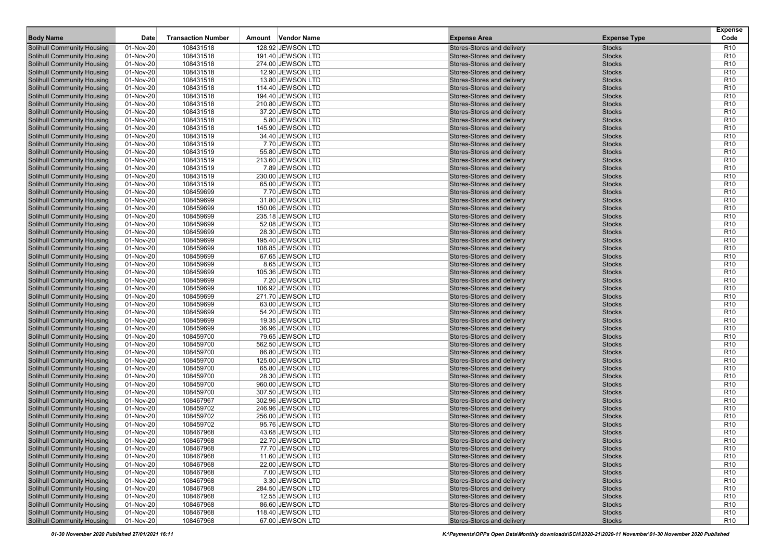|                                                                        |                        |                           |                                      |                                                          |                                | <b>Expense</b>                     |
|------------------------------------------------------------------------|------------------------|---------------------------|--------------------------------------|----------------------------------------------------------|--------------------------------|------------------------------------|
| <b>Body Name</b>                                                       | Date                   | <b>Transaction Number</b> | Amount Vendor Name                   | <b>Expense Area</b>                                      | <b>Expense Type</b>            | Code                               |
| <b>Solihull Community Housing</b>                                      | 01-Nov-20              | 108431518                 | 128.92 JEWSON LTD                    | Stores-Stores and delivery                               | <b>Stocks</b>                  | <b>R10</b>                         |
| <b>Solihull Community Housing</b>                                      | 01-Nov-20              | 108431518                 | 191.40 JEWSON LTD                    | Stores-Stores and delivery                               | <b>Stocks</b>                  | R <sub>10</sub>                    |
| <b>Solihull Community Housing</b>                                      | 01-Nov-20              | 108431518                 | 274.00 JEWSON LTD                    | Stores-Stores and delivery                               | <b>Stocks</b>                  | R <sub>10</sub>                    |
| <b>Solihull Community Housing</b>                                      | 01-Nov-20              | 108431518                 | 12.90 JEWSON LTD                     | Stores-Stores and delivery                               | <b>Stocks</b>                  | R <sub>10</sub>                    |
| <b>Solihull Community Housing</b>                                      | 01-Nov-20              | 108431518                 | 13.80 JEWSON LTD                     | Stores-Stores and delivery                               | <b>Stocks</b>                  | R <sub>10</sub>                    |
| <b>Solihull Community Housing</b>                                      | 01-Nov-20              | 108431518                 | 114.40 JEWSON LTD                    | Stores-Stores and delivery                               | <b>Stocks</b>                  | R <sub>10</sub>                    |
| <b>Solihull Community Housing</b>                                      | 01-Nov-20              | 108431518                 | 194.40 JEWSON LTD                    | Stores-Stores and delivery                               | <b>Stocks</b>                  | R <sub>10</sub>                    |
| <b>Solihull Community Housing</b>                                      | 01-Nov-20              | 108431518                 | 210.80 JEWSON LTD                    | Stores-Stores and delivery                               | <b>Stocks</b>                  | R <sub>10</sub>                    |
| <b>Solihull Community Housing</b>                                      | 01-Nov-20              | 108431518                 | 37.20 JEWSON LTD                     | Stores-Stores and delivery                               | <b>Stocks</b>                  | R <sub>10</sub>                    |
| <b>Solihull Community Housing</b>                                      | 01-Nov-20              | 108431518                 | 5.80 JEWSON LTD                      | Stores-Stores and delivery                               | <b>Stocks</b>                  | R <sub>10</sub>                    |
| <b>Solihull Community Housing</b>                                      | 01-Nov-20              | 108431518                 | 145.90 JEWSON LTD                    | Stores-Stores and delivery                               | <b>Stocks</b>                  | R <sub>10</sub>                    |
| <b>Solihull Community Housing</b>                                      | 01-Nov-20              | 108431519                 | 34.40 JEWSON LTD                     | Stores-Stores and delivery                               | <b>Stocks</b>                  | R <sub>10</sub>                    |
| <b>Solihull Community Housing</b>                                      | 01-Nov-20              | 108431519                 | 7.70 JEWSON LTD                      | Stores-Stores and delivery                               | <b>Stocks</b>                  | R <sub>10</sub>                    |
| <b>Solihull Community Housing</b>                                      | 01-Nov-20              | 108431519                 | 55.80 JEWSON LTD                     | Stores-Stores and delivery                               | <b>Stocks</b>                  | R <sub>10</sub>                    |
| <b>Solihull Community Housing</b>                                      | 01-Nov-20              | 108431519                 | 213.60 JEWSON LTD                    | Stores-Stores and delivery                               | <b>Stocks</b>                  | R <sub>10</sub>                    |
| <b>Solihull Community Housing</b>                                      | 01-Nov-20              | 108431519                 | 7.89 JEWSON LTD                      | Stores-Stores and delivery                               | <b>Stocks</b>                  | R <sub>10</sub>                    |
| <b>Solihull Community Housing</b>                                      | 01-Nov-20              | 108431519                 | 230.00 JEWSON LTD                    | Stores-Stores and delivery                               | <b>Stocks</b>                  | R <sub>10</sub>                    |
| <b>Solihull Community Housing</b>                                      | 01-Nov-20              | 108431519                 | 65.00 JEWSON LTD                     | Stores-Stores and delivery                               | <b>Stocks</b>                  | R <sub>10</sub>                    |
| <b>Solihull Community Housing</b>                                      | 01-Nov-20              | 108459699                 | 7.70 JEWSON LTD                      | Stores-Stores and delivery                               | <b>Stocks</b>                  | R <sub>10</sub>                    |
| <b>Solihull Community Housing</b>                                      | 01-Nov-20              | 108459699                 | 31.80 JEWSON LTD                     | Stores-Stores and delivery                               | <b>Stocks</b>                  | R <sub>10</sub>                    |
| <b>Solihull Community Housing</b>                                      | 01-Nov-20              | 108459699                 | 150.06 JEWSON LTD                    | Stores-Stores and delivery                               | <b>Stocks</b>                  | R <sub>10</sub>                    |
| <b>Solihull Community Housing</b>                                      | 01-Nov-20              | 108459699                 | 235.18 JEWSON LTD                    | Stores-Stores and delivery                               | <b>Stocks</b>                  | R <sub>10</sub>                    |
| <b>Solihull Community Housing</b>                                      | 01-Nov-20              | 108459699                 | 52.08 JEWSON LTD                     | Stores-Stores and delivery                               | <b>Stocks</b>                  | R <sub>10</sub>                    |
| <b>Solihull Community Housing</b>                                      | 01-Nov-20              | 108459699                 | 28.30 JEWSON LTD                     | Stores-Stores and delivery                               | <b>Stocks</b>                  | R <sub>10</sub>                    |
| <b>Solihull Community Housing</b>                                      | 01-Nov-20              | 108459699                 | 195.40 JEWSON LTD                    | Stores-Stores and delivery                               | <b>Stocks</b>                  | R <sub>10</sub>                    |
| <b>Solihull Community Housing</b>                                      | 01-Nov-20              | 108459699                 | 108.85 JEWSON LTD                    | Stores-Stores and delivery                               | <b>Stocks</b>                  | R <sub>10</sub>                    |
| <b>Solihull Community Housing</b><br><b>Solihull Community Housing</b> | 01-Nov-20              | 108459699                 | 67.65 JEWSON LTD                     | Stores-Stores and delivery                               | <b>Stocks</b>                  | R <sub>10</sub><br>R <sub>10</sub> |
|                                                                        | 01-Nov-20              | 108459699                 | 8.65 JEWSON LTD                      | Stores-Stores and delivery                               | <b>Stocks</b><br><b>Stocks</b> | R <sub>10</sub>                    |
| <b>Solihull Community Housing</b><br><b>Solihull Community Housing</b> | 01-Nov-20<br>01-Nov-20 | 108459699<br>108459699    | 105.36 JEWSON LTD<br>7.20 JEWSON LTD | Stores-Stores and delivery<br>Stores-Stores and delivery | <b>Stocks</b>                  | R <sub>10</sub>                    |
| <b>Solihull Community Housing</b>                                      | 01-Nov-20              | 108459699                 | 106.92 JEWSON LTD                    | Stores-Stores and delivery                               | <b>Stocks</b>                  | R <sub>10</sub>                    |
| <b>Solihull Community Housing</b>                                      | 01-Nov-20              | 108459699                 | 271.70 JEWSON LTD                    | Stores-Stores and delivery                               | <b>Stocks</b>                  | R <sub>10</sub>                    |
| <b>Solihull Community Housing</b>                                      | 01-Nov-20              | 108459699                 | 63.00 JEWSON LTD                     | Stores-Stores and delivery                               | <b>Stocks</b>                  | R <sub>10</sub>                    |
| <b>Solihull Community Housing</b>                                      | 01-Nov-20              | 108459699                 | 54.20 JEWSON LTD                     | Stores-Stores and delivery                               | <b>Stocks</b>                  | R <sub>10</sub>                    |
| <b>Solihull Community Housing</b>                                      | 01-Nov-20              | 108459699                 | 19.35 JEWSON LTD                     | Stores-Stores and delivery                               | <b>Stocks</b>                  | R <sub>10</sub>                    |
| <b>Solihull Community Housing</b>                                      | 01-Nov-20              | 108459699                 | 36.96 JEWSON LTD                     | Stores-Stores and delivery                               | <b>Stocks</b>                  | R <sub>10</sub>                    |
| <b>Solihull Community Housing</b>                                      | 01-Nov-20              | 108459700                 | 79.65 JEWSON LTD                     | Stores-Stores and delivery                               | <b>Stocks</b>                  | R <sub>10</sub>                    |
| <b>Solihull Community Housing</b>                                      | 01-Nov-20              | 108459700                 | 562.50 JEWSON LTD                    | Stores-Stores and delivery                               | <b>Stocks</b>                  | R <sub>10</sub>                    |
| <b>Solihull Community Housing</b>                                      | 01-Nov-20              | 108459700                 | 86.80 JEWSON LTD                     | Stores-Stores and delivery                               | <b>Stocks</b>                  | R <sub>10</sub>                    |
| <b>Solihull Community Housing</b>                                      | 01-Nov-20              | 108459700                 | 125.00 JEWSON LTD                    | Stores-Stores and delivery                               | <b>Stocks</b>                  | R <sub>10</sub>                    |
| <b>Solihull Community Housing</b>                                      | 01-Nov-20              | 108459700                 | 65.80 JEWSON LTD                     | Stores-Stores and delivery                               | <b>Stocks</b>                  | R <sub>10</sub>                    |
| <b>Solihull Community Housing</b>                                      | 01-Nov-20              | 108459700                 | 28.30 JEWSON LTD                     | Stores-Stores and delivery                               | <b>Stocks</b>                  | R <sub>10</sub>                    |
| <b>Solihull Community Housing</b>                                      | 01-Nov-20              | 108459700                 | 960.00 JEWSON LTD                    | Stores-Stores and delivery                               | <b>Stocks</b>                  | R <sub>10</sub>                    |
| <b>Solihull Community Housing</b>                                      | 01-Nov-20              | 108459700                 | 307.50 JEWSON LTD                    | Stores-Stores and delivery                               | <b>Stocks</b>                  | R <sub>10</sub>                    |
| <b>Solihull Community Housing</b>                                      | 01-Nov-20              | 108467967                 | 302.96 JEWSON LTD                    | Stores-Stores and delivery                               | <b>Stocks</b>                  | R <sub>10</sub>                    |
| <b>Solihull Community Housing</b>                                      | 01-Nov-20              | 108459702                 | 246.96 JEWSON LTD                    | Stores-Stores and delivery                               | <b>Stocks</b>                  | R <sub>10</sub>                    |
| <b>Solihull Community Housing</b>                                      | 01-Nov-20              | 108459702                 | 256.00 JEWSON LTD                    | Stores-Stores and delivery                               | <b>Stocks</b>                  | R <sub>10</sub>                    |
| <b>Solihull Community Housing</b>                                      | 01-Nov-20              | 108459702                 | 95.76 JEWSON LTD                     | Stores-Stores and delivery                               | <b>Stocks</b>                  | R <sub>10</sub>                    |
| <b>Solihull Community Housing</b>                                      | 01-Nov-20              | 108467968                 | 43.68 JEWSON LTD                     | Stores-Stores and delivery                               | <b>Stocks</b>                  | R <sub>10</sub>                    |
| <b>Solihull Community Housing</b>                                      | 01-Nov-20              | 108467968                 | 22.70 JEWSON LTD                     | Stores-Stores and delivery                               | <b>Stocks</b>                  | R10                                |
| <b>Solihull Community Housing</b>                                      | 01-Nov-20              | 108467968                 | 77.70 JEWSON LTD                     | Stores-Stores and delivery                               | <b>Stocks</b>                  | R <sub>10</sub>                    |
| <b>Solihull Community Housing</b>                                      | 01-Nov-20              | 108467968                 | 11.60 JEWSON LTD                     | Stores-Stores and delivery                               | <b>Stocks</b>                  | R <sub>10</sub>                    |
| <b>Solihull Community Housing</b>                                      | 01-Nov-20              | 108467968                 | 22.00 JEWSON LTD                     | Stores-Stores and delivery                               | <b>Stocks</b>                  | R <sub>10</sub>                    |
| <b>Solihull Community Housing</b>                                      | 01-Nov-20              | 108467968                 | 7.00 JEWSON LTD                      | Stores-Stores and delivery                               | <b>Stocks</b>                  | R <sub>10</sub>                    |
| <b>Solihull Community Housing</b>                                      | 01-Nov-20              | 108467968                 | 3.30 JEWSON LTD                      | Stores-Stores and delivery                               | <b>Stocks</b>                  | R <sub>10</sub>                    |
| <b>Solihull Community Housing</b>                                      | 01-Nov-20              | 108467968                 | 284.50 JEWSON LTD                    | Stores-Stores and delivery                               | <b>Stocks</b>                  | R <sub>10</sub>                    |
| <b>Solihull Community Housing</b>                                      | 01-Nov-20              | 108467968                 | 12.55 JEWSON LTD                     | Stores-Stores and delivery                               | <b>Stocks</b>                  | R <sub>10</sub>                    |
| <b>Solihull Community Housing</b>                                      | 01-Nov-20              | 108467968                 | 86.60 JEWSON LTD                     | Stores-Stores and delivery                               | <b>Stocks</b>                  | R <sub>10</sub>                    |
| <b>Solihull Community Housing</b>                                      | 01-Nov-20              | 108467968                 | 118.40 JEWSON LTD                    | Stores-Stores and delivery                               | <b>Stocks</b>                  | R <sub>10</sub>                    |
| <b>Solihull Community Housing</b>                                      | $01-Nov-20$            | 108467968                 | 67.00 JEWSON LTD                     | Stores-Stores and delivery                               | <b>Stocks</b>                  | R <sub>10</sub>                    |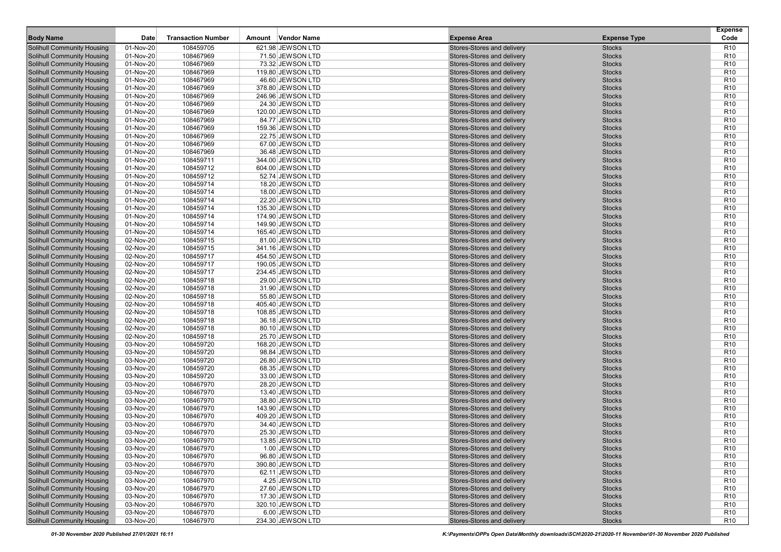|                                   |           |                           |                    |                            |                     | <b>Expense</b>  |
|-----------------------------------|-----------|---------------------------|--------------------|----------------------------|---------------------|-----------------|
| <b>Body Name</b>                  | Date      | <b>Transaction Number</b> | Amount Vendor Name | <b>Expense Area</b>        | <b>Expense Type</b> | Code            |
| <b>Solihull Community Housing</b> | 01-Nov-20 | 108459705                 | 621.98 JEWSON LTD  | Stores-Stores and delivery | <b>Stocks</b>       | <b>R10</b>      |
| <b>Solihull Community Housing</b> | 01-Nov-20 | 108467969                 | 71.50 JEWSON LTD   | Stores-Stores and delivery | <b>Stocks</b>       | R <sub>10</sub> |
| <b>Solihull Community Housing</b> | 01-Nov-20 | 108467969                 | 73.32 JEWSON LTD   | Stores-Stores and delivery | <b>Stocks</b>       | R <sub>10</sub> |
| <b>Solihull Community Housing</b> | 01-Nov-20 | 108467969                 | 119.80 JEWSON LTD  | Stores-Stores and delivery | <b>Stocks</b>       | R <sub>10</sub> |
| <b>Solihull Community Housing</b> | 01-Nov-20 | 108467969                 | 46.60 JEWSON LTD   | Stores-Stores and delivery | <b>Stocks</b>       | R <sub>10</sub> |
| <b>Solihull Community Housing</b> | 01-Nov-20 | 108467969                 | 378.80 JEWSON LTD  | Stores-Stores and delivery | <b>Stocks</b>       | R <sub>10</sub> |
| <b>Solihull Community Housing</b> | 01-Nov-20 | 108467969                 | 246.96 JEWSON LTD  | Stores-Stores and delivery | <b>Stocks</b>       | R <sub>10</sub> |
| <b>Solihull Community Housing</b> | 01-Nov-20 | 108467969                 | 24.30 JEWSON LTD   | Stores-Stores and delivery | <b>Stocks</b>       | R <sub>10</sub> |
| <b>Solihull Community Housing</b> | 01-Nov-20 | 108467969                 | 120.00 JEWSON LTD  | Stores-Stores and delivery | <b>Stocks</b>       | R <sub>10</sub> |
| <b>Solihull Community Housing</b> | 01-Nov-20 | 108467969                 | 84.77 JEWSON LTD   | Stores-Stores and delivery | <b>Stocks</b>       | R <sub>10</sub> |
| <b>Solihull Community Housing</b> | 01-Nov-20 | 108467969                 | 159.36 JEWSON LTD  | Stores-Stores and delivery | <b>Stocks</b>       | R <sub>10</sub> |
| <b>Solihull Community Housing</b> | 01-Nov-20 | 108467969                 | 22.75 JEWSON LTD   | Stores-Stores and delivery | <b>Stocks</b>       | R <sub>10</sub> |
| <b>Solihull Community Housing</b> | 01-Nov-20 | 108467969                 | 67.00 JEWSON LTD   | Stores-Stores and delivery | <b>Stocks</b>       | R <sub>10</sub> |
| <b>Solihull Community Housing</b> | 01-Nov-20 | 108467969                 | 36.48 JEWSON LTD   | Stores-Stores and delivery | <b>Stocks</b>       | R <sub>10</sub> |
| <b>Solihull Community Housing</b> | 01-Nov-20 | 108459711                 | 344.00 JEWSON LTD  | Stores-Stores and delivery | <b>Stocks</b>       | R <sub>10</sub> |
| <b>Solihull Community Housing</b> | 01-Nov-20 | 108459712                 | 604.00 JEWSON LTD  | Stores-Stores and delivery | <b>Stocks</b>       | R <sub>10</sub> |
| <b>Solihull Community Housing</b> | 01-Nov-20 | 108459712                 | 52.74 JEWSON LTD   | Stores-Stores and delivery | <b>Stocks</b>       | R <sub>10</sub> |
| <b>Solihull Community Housing</b> | 01-Nov-20 | 108459714                 | 18.20 JEWSON LTD   | Stores-Stores and delivery | <b>Stocks</b>       | R <sub>10</sub> |
| <b>Solihull Community Housing</b> | 01-Nov-20 | 108459714                 | 18.00 JEWSON LTD   | Stores-Stores and delivery | <b>Stocks</b>       | R <sub>10</sub> |
| <b>Solihull Community Housing</b> | 01-Nov-20 | 108459714                 | 22.20 JEWSON LTD   | Stores-Stores and delivery | <b>Stocks</b>       | R <sub>10</sub> |
| <b>Solihull Community Housing</b> | 01-Nov-20 | 108459714                 | 135.30 JEWSON LTD  | Stores-Stores and delivery | <b>Stocks</b>       | R <sub>10</sub> |
| <b>Solihull Community Housing</b> | 01-Nov-20 | 108459714                 | 174.90 JEWSON LTD  | Stores-Stores and delivery | <b>Stocks</b>       | R <sub>10</sub> |
| <b>Solihull Community Housing</b> | 01-Nov-20 | 108459714                 | 149.90 JEWSON LTD  | Stores-Stores and delivery | <b>Stocks</b>       | R <sub>10</sub> |
| <b>Solihull Community Housing</b> | 01-Nov-20 | 108459714                 | 165.40 JEWSON LTD  | Stores-Stores and delivery | <b>Stocks</b>       | R <sub>10</sub> |
| <b>Solihull Community Housing</b> | 02-Nov-20 | 108459715                 | 81.00 JEWSON LTD   | Stores-Stores and delivery | <b>Stocks</b>       | R <sub>10</sub> |
| <b>Solihull Community Housing</b> | 02-Nov-20 | 108459715                 | 341.16 JEWSON LTD  | Stores-Stores and delivery | <b>Stocks</b>       | R <sub>10</sub> |
| <b>Solihull Community Housing</b> | 02-Nov-20 | 108459717                 | 454.50 JEWSON LTD  | Stores-Stores and delivery | <b>Stocks</b>       | R <sub>10</sub> |
| <b>Solihull Community Housing</b> | 02-Nov-20 | 108459717                 | 190.05 JEWSON LTD  | Stores-Stores and delivery | <b>Stocks</b>       | R <sub>10</sub> |
| <b>Solihull Community Housing</b> | 02-Nov-20 | 108459717                 | 234.45 JEWSON LTD  | Stores-Stores and delivery | <b>Stocks</b>       | R <sub>10</sub> |
| <b>Solihull Community Housing</b> | 02-Nov-20 | 108459718                 | 29.00 JEWSON LTD   | Stores-Stores and delivery | <b>Stocks</b>       | R <sub>10</sub> |
| <b>Solihull Community Housing</b> | 02-Nov-20 | 108459718                 | 31.90 JEWSON LTD   | Stores-Stores and delivery | <b>Stocks</b>       | R <sub>10</sub> |
| <b>Solihull Community Housing</b> | 02-Nov-20 | 108459718                 | 55.80 JEWSON LTD   | Stores-Stores and delivery | <b>Stocks</b>       | R <sub>10</sub> |
| <b>Solihull Community Housing</b> | 02-Nov-20 | 108459718                 | 405.40 JEWSON LTD  | Stores-Stores and delivery | <b>Stocks</b>       | R <sub>10</sub> |
| <b>Solihull Community Housing</b> | 02-Nov-20 | 108459718                 | 108.85 JEWSON LTD  | Stores-Stores and delivery | <b>Stocks</b>       | R <sub>10</sub> |
| <b>Solihull Community Housing</b> | 02-Nov-20 | 108459718                 | 36.18 JEWSON LTD   | Stores-Stores and delivery | <b>Stocks</b>       | R <sub>10</sub> |
| <b>Solihull Community Housing</b> | 02-Nov-20 | 108459718                 | 80.10 JEWSON LTD   | Stores-Stores and delivery | <b>Stocks</b>       | R <sub>10</sub> |
| <b>Solihull Community Housing</b> | 02-Nov-20 | 108459718                 | 25.70 JEWSON LTD   | Stores-Stores and delivery | <b>Stocks</b>       | R <sub>10</sub> |
| <b>Solihull Community Housing</b> | 03-Nov-20 | 108459720                 | 168.20 JEWSON LTD  | Stores-Stores and delivery | <b>Stocks</b>       | R <sub>10</sub> |
| <b>Solihull Community Housing</b> | 03-Nov-20 | 108459720                 | 98.84 JEWSON LTD   | Stores-Stores and delivery | <b>Stocks</b>       | R <sub>10</sub> |
| <b>Solihull Community Housing</b> | 03-Nov-20 | 108459720                 | 26.80 JEWSON LTD   | Stores-Stores and delivery | <b>Stocks</b>       | R <sub>10</sub> |
| <b>Solihull Community Housing</b> | 03-Nov-20 | 108459720                 | 68.35 JEWSON LTD   | Stores-Stores and delivery | <b>Stocks</b>       | R <sub>10</sub> |
| <b>Solihull Community Housing</b> | 03-Nov-20 | 108459720                 | 33.00 JEWSON LTD   | Stores-Stores and delivery | <b>Stocks</b>       | R <sub>10</sub> |
| <b>Solihull Community Housing</b> | 03-Nov-20 | 108467970                 | 28.20 JEWSON LTD   | Stores-Stores and delivery | <b>Stocks</b>       | R <sub>10</sub> |
| <b>Solihull Community Housing</b> | 03-Nov-20 | 108467970                 | 13.40 JEWSON LTD   | Stores-Stores and delivery | <b>Stocks</b>       | R <sub>10</sub> |
| <b>Solihull Community Housing</b> | 03-Nov-20 | 108467970                 | 38.80 JEWSON LTD   | Stores-Stores and delivery | <b>Stocks</b>       | R <sub>10</sub> |
| <b>Solihull Community Housing</b> | 03-Nov-20 | 108467970                 | 143.90 JEWSON LTD  | Stores-Stores and delivery | <b>Stocks</b>       | R <sub>10</sub> |
| <b>Solihull Community Housing</b> | 03-Nov-20 | 108467970                 | 409.20 JEWSON LTD  | Stores-Stores and delivery | <b>Stocks</b>       | R <sub>10</sub> |
| <b>Solihull Community Housing</b> | 03-Nov-20 | 108467970                 | 34.40 JEWSON LTD   | Stores-Stores and delivery | <b>Stocks</b>       | R <sub>10</sub> |
| <b>Solihull Community Housing</b> | 03-Nov-20 | 108467970                 | 25.30 JEWSON LTD   | Stores-Stores and delivery | <b>Stocks</b>       | R <sub>10</sub> |
| <b>Solihull Community Housing</b> | 03-Nov-20 | 108467970                 | 13.85 JEWSON LTD   | Stores-Stores and delivery | <b>Stocks</b>       | R10             |
| <b>Solihull Community Housing</b> | 03-Nov-20 | 108467970                 | 1.00 JEWSON LTD    | Stores-Stores and delivery | <b>Stocks</b>       | R <sub>10</sub> |
| <b>Solihull Community Housing</b> | 03-Nov-20 | 108467970                 | 96.80 JEWSON LTD   | Stores-Stores and delivery | <b>Stocks</b>       | R <sub>10</sub> |
| <b>Solihull Community Housing</b> | 03-Nov-20 | 108467970                 | 390.80 JEWSON LTD  | Stores-Stores and delivery | <b>Stocks</b>       | R <sub>10</sub> |
| <b>Solihull Community Housing</b> | 03-Nov-20 | 108467970                 | 62.11 JEWSON LTD   | Stores-Stores and delivery | <b>Stocks</b>       | R <sub>10</sub> |
| <b>Solihull Community Housing</b> | 03-Nov-20 | 108467970                 | 4.25 JEWSON LTD    | Stores-Stores and delivery | <b>Stocks</b>       | R <sub>10</sub> |
| <b>Solihull Community Housing</b> | 03-Nov-20 | 108467970                 | 27.60 JEWSON LTD   | Stores-Stores and delivery | <b>Stocks</b>       | R <sub>10</sub> |
| <b>Solihull Community Housing</b> | 03-Nov-20 | 108467970                 | 17.30 JEWSON LTD   | Stores-Stores and delivery | <b>Stocks</b>       | R <sub>10</sub> |
| <b>Solihull Community Housing</b> | 03-Nov-20 | 108467970                 | 320.10 JEWSON LTD  | Stores-Stores and delivery | <b>Stocks</b>       | R <sub>10</sub> |
| <b>Solihull Community Housing</b> | 03-Nov-20 | 108467970                 | 6.00 JEWSON LTD    | Stores-Stores and delivery | <b>Stocks</b>       | R <sub>10</sub> |
| <b>Solihull Community Housing</b> | 03-Nov-20 | 108467970                 | 234.30 JEWSON LTD  | Stores-Stores and delivery | <b>Stocks</b>       | R <sub>10</sub> |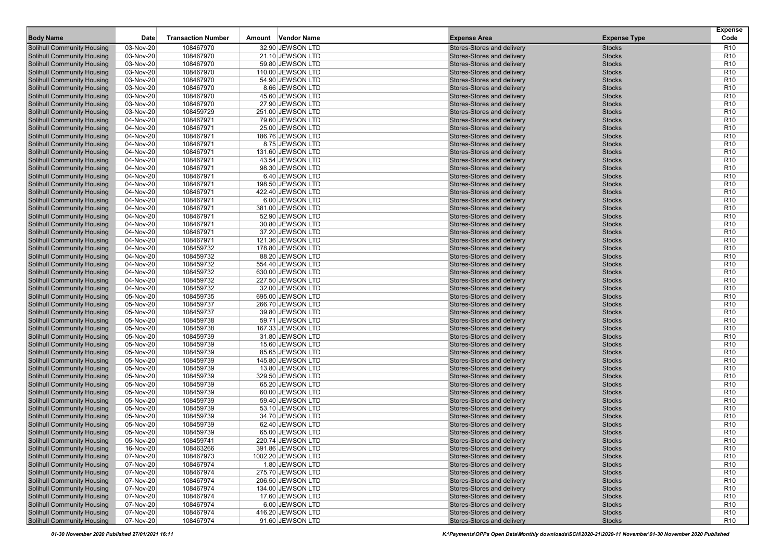|                                                                        |                        |                           |                                        |                                                          |                                | <b>Expense</b>                     |
|------------------------------------------------------------------------|------------------------|---------------------------|----------------------------------------|----------------------------------------------------------|--------------------------------|------------------------------------|
| <b>Body Name</b>                                                       | Date                   | <b>Transaction Number</b> | Amount Vendor Name                     | <b>Expense Area</b>                                      | <b>Expense Type</b>            | Code                               |
| <b>Solihull Community Housing</b>                                      | 03-Nov-20              | 108467970                 | 32.90 JEWSON LTD                       | Stores-Stores and delivery                               | <b>Stocks</b>                  | <b>R10</b>                         |
| <b>Solihull Community Housing</b>                                      | 03-Nov-20              | 108467970                 | 21.10 JEWSON LTD                       | Stores-Stores and delivery                               | <b>Stocks</b>                  | R <sub>10</sub>                    |
| <b>Solihull Community Housing</b>                                      | 03-Nov-20              | 108467970                 | 59.80 JEWSON LTD                       | Stores-Stores and delivery                               | <b>Stocks</b>                  | R <sub>10</sub>                    |
| <b>Solihull Community Housing</b>                                      | 03-Nov-20              | 108467970                 | 110.00 JEWSON LTD                      | Stores-Stores and delivery                               | <b>Stocks</b>                  | R <sub>10</sub>                    |
| <b>Solihull Community Housing</b>                                      | 03-Nov-20              | 108467970                 | 54.90 JEWSON LTD                       | Stores-Stores and delivery                               | <b>Stocks</b>                  | R <sub>10</sub>                    |
| <b>Solihull Community Housing</b>                                      | 03-Nov-20              | 108467970                 | 8.66 JEWSON LTD                        | Stores-Stores and delivery                               | <b>Stocks</b>                  | R <sub>10</sub>                    |
| <b>Solihull Community Housing</b>                                      | 03-Nov-20              | 108467970                 | 45.60 JEWSON LTD                       | Stores-Stores and delivery                               | <b>Stocks</b>                  | R <sub>10</sub>                    |
| <b>Solihull Community Housing</b>                                      | 03-Nov-20              | 108467970                 | 27.90 JEWSON LTD                       | Stores-Stores and delivery                               | <b>Stocks</b>                  | R <sub>10</sub>                    |
| <b>Solihull Community Housing</b>                                      | 03-Nov-20              | 108459729                 | 251.00 JEWSON LTD                      | Stores-Stores and delivery                               | <b>Stocks</b>                  | R <sub>10</sub>                    |
| <b>Solihull Community Housing</b>                                      | 04-Nov-20              | 108467971                 | 79.60 JEWSON LTD                       | Stores-Stores and delivery                               | <b>Stocks</b>                  | R <sub>10</sub>                    |
| <b>Solihull Community Housing</b>                                      | 04-Nov-20              | 108467971                 | 25.00 JEWSON LTD                       | Stores-Stores and delivery                               | <b>Stocks</b>                  | R <sub>10</sub>                    |
| <b>Solihull Community Housing</b>                                      | 04-Nov-20              | 108467971                 | 186.76 JEWSON LTD                      | Stores-Stores and delivery                               | <b>Stocks</b>                  | R <sub>10</sub>                    |
| <b>Solihull Community Housing</b>                                      | 04-Nov-20              | 108467971                 | 8.75 JEWSON LTD                        | Stores-Stores and delivery                               | <b>Stocks</b>                  | R <sub>10</sub>                    |
| <b>Solihull Community Housing</b>                                      | 04-Nov-20              | 108467971                 | 131.60 JEWSON LTD                      | Stores-Stores and delivery                               | <b>Stocks</b>                  | R <sub>10</sub>                    |
| <b>Solihull Community Housing</b>                                      | 04-Nov-20              | 108467971                 | 43.54 JEWSON LTD                       | Stores-Stores and delivery                               | <b>Stocks</b>                  | R <sub>10</sub>                    |
| <b>Solihull Community Housing</b>                                      | 04-Nov-20              | 108467971                 | 98.30 JEWSON LTD                       | Stores-Stores and delivery                               | <b>Stocks</b>                  | R <sub>10</sub>                    |
| <b>Solihull Community Housing</b>                                      | 04-Nov-20              | 108467971                 | 6.40 JEWSON LTD                        | Stores-Stores and delivery                               | <b>Stocks</b>                  | R <sub>10</sub>                    |
| <b>Solihull Community Housing</b>                                      | 04-Nov-20              | 108467971                 | 198.50 JEWSON LTD                      | Stores-Stores and delivery                               | <b>Stocks</b>                  | R <sub>10</sub>                    |
| <b>Solihull Community Housing</b>                                      | 04-Nov-20              | 108467971                 | 422.40 JEWSON LTD                      | Stores-Stores and delivery                               | <b>Stocks</b>                  | R <sub>10</sub>                    |
| <b>Solihull Community Housing</b>                                      | 04-Nov-20              | 108467971                 | 6.00 JEWSON LTD                        | Stores-Stores and delivery                               | <b>Stocks</b>                  | R <sub>10</sub>                    |
| <b>Solihull Community Housing</b>                                      | 04-Nov-20              | 108467971                 | 381.00 JEWSON LTD                      | Stores-Stores and delivery                               | <b>Stocks</b>                  | R <sub>10</sub>                    |
| <b>Solihull Community Housing</b>                                      | 04-Nov-20              | 108467971                 | 52.90 JEWSON LTD                       | Stores-Stores and delivery                               | <b>Stocks</b>                  | R <sub>10</sub>                    |
| <b>Solihull Community Housing</b>                                      | 04-Nov-20              | 108467971                 | 30.80 JEWSON LTD                       | Stores-Stores and delivery                               | <b>Stocks</b>                  | R <sub>10</sub>                    |
| <b>Solihull Community Housing</b>                                      | 04-Nov-20              | 108467971                 | 37.20 JEWSON LTD                       | Stores-Stores and delivery                               | <b>Stocks</b>                  | R <sub>10</sub>                    |
| <b>Solihull Community Housing</b>                                      | 04-Nov-20              | 108467971                 | 121.36 JEWSON LTD                      | Stores-Stores and delivery                               | <b>Stocks</b>                  | R <sub>10</sub>                    |
| <b>Solihull Community Housing</b>                                      | 04-Nov-20              | 108459732                 | 178.80 JEWSON LTD                      | Stores-Stores and delivery                               | <b>Stocks</b>                  | R <sub>10</sub>                    |
| <b>Solihull Community Housing</b>                                      | 04-Nov-20              | 108459732                 | 88.20 JEWSON LTD                       | Stores-Stores and delivery                               | <b>Stocks</b>                  | R <sub>10</sub>                    |
| <b>Solihull Community Housing</b>                                      | 04-Nov-20              | 108459732                 | 554.40 JEWSON LTD                      | Stores-Stores and delivery                               | <b>Stocks</b>                  | R <sub>10</sub>                    |
| <b>Solihull Community Housing</b>                                      | 04-Nov-20              | 108459732                 | 630.00 JEWSON LTD                      | Stores-Stores and delivery                               | <b>Stocks</b>                  | R <sub>10</sub>                    |
| <b>Solihull Community Housing</b>                                      | 04-Nov-20              | 108459732                 | 227.50 JEWSON LTD                      | Stores-Stores and delivery                               | <b>Stocks</b>                  | R <sub>10</sub>                    |
| <b>Solihull Community Housing</b>                                      | 04-Nov-20              | 108459732                 | 32.00 JEWSON LTD                       | Stores-Stores and delivery                               | <b>Stocks</b>                  | R <sub>10</sub>                    |
| <b>Solihull Community Housing</b>                                      | 05-Nov-20              | 108459735                 | 695.00 JEWSON LTD                      | Stores-Stores and delivery                               | <b>Stocks</b>                  | R <sub>10</sub>                    |
| <b>Solihull Community Housing</b>                                      | 05-Nov-20              | 108459737                 | 266.70 JEWSON LTD                      | Stores-Stores and delivery                               | <b>Stocks</b>                  | R <sub>10</sub>                    |
| <b>Solihull Community Housing</b>                                      | 05-Nov-20              | 108459737                 | 39.80 JEWSON LTD                       | Stores-Stores and delivery                               | <b>Stocks</b>                  | R <sub>10</sub>                    |
| <b>Solihull Community Housing</b>                                      | 05-Nov-20              | 108459738                 | 59.71 JEWSON LTD                       | Stores-Stores and delivery                               | <b>Stocks</b>                  | R <sub>10</sub>                    |
| <b>Solihull Community Housing</b>                                      | 05-Nov-20              | 108459738                 | 167.33 JEWSON LTD                      | Stores-Stores and delivery                               | <b>Stocks</b>                  | R <sub>10</sub>                    |
| <b>Solihull Community Housing</b>                                      | 05-Nov-20              | 108459739                 | 31.80 JEWSON LTD                       | Stores-Stores and delivery                               | <b>Stocks</b>                  | R <sub>10</sub>                    |
| <b>Solihull Community Housing</b>                                      | 05-Nov-20              | 108459739                 | 15.60 JEWSON LTD                       | Stores-Stores and delivery                               | <b>Stocks</b>                  | R <sub>10</sub>                    |
| <b>Solihull Community Housing</b>                                      | 05-Nov-20              | 108459739                 | 85.65 JEWSON LTD                       | Stores-Stores and delivery                               | <b>Stocks</b>                  | R <sub>10</sub>                    |
| <b>Solihull Community Housing</b>                                      | 05-Nov-20              | 108459739                 | 145.80 JEWSON LTD                      | Stores-Stores and delivery                               | <b>Stocks</b>                  | R <sub>10</sub>                    |
| <b>Solihull Community Housing</b>                                      | 05-Nov-20              | 108459739                 | 13.80 JEWSON LTD                       | Stores-Stores and delivery                               | <b>Stocks</b>                  | R <sub>10</sub>                    |
| <b>Solihull Community Housing</b>                                      | 05-Nov-20              | 108459739<br>108459739    | 329.50 JEWSON LTD                      | Stores-Stores and delivery                               | <b>Stocks</b>                  | R <sub>10</sub><br>R <sub>10</sub> |
| <b>Solihull Community Housing</b><br><b>Solihull Community Housing</b> | 05-Nov-20              |                           | 65.20 JEWSON LTD                       | Stores-Stores and delivery                               | <b>Stocks</b>                  | R <sub>10</sub>                    |
|                                                                        | 05-Nov-20              | 108459739                 | 60.00 JEWSON LTD<br>59.40 JEWSON LTD   | Stores-Stores and delivery                               | <b>Stocks</b>                  |                                    |
| <b>Solihull Community Housing</b>                                      | 05-Nov-20              | 108459739                 |                                        | Stores-Stores and delivery                               | <b>Stocks</b>                  | R <sub>10</sub>                    |
| <b>Solihull Community Housing</b>                                      | 05-Nov-20              | 108459739<br>108459739    | 53.10 JEWSON LTD                       | Stores-Stores and delivery                               | <b>Stocks</b><br><b>Stocks</b> | R <sub>10</sub><br>R <sub>10</sub> |
| <b>Solihull Community Housing</b><br><b>Solihull Community Housing</b> | 05-Nov-20<br>05-Nov-20 |                           | 34.70 JEWSON LTD<br>62.40 JEWSON LTD   | Stores-Stores and delivery<br>Stores-Stores and delivery | <b>Stocks</b>                  | R <sub>10</sub>                    |
| <b>Solihull Community Housing</b>                                      | 05-Nov-20              | 108459739<br>108459739    | 65.00 JEWSON LTD                       | Stores-Stores and delivery                               | <b>Stocks</b>                  | R <sub>10</sub>                    |
| <b>Solihull Community Housing</b>                                      | 05-Nov-20              |                           |                                        | Stores-Stores and delivery                               | <b>Stocks</b>                  | R10                                |
| <b>Solihull Community Housing</b>                                      | 16-Nov-20              | 108459741<br>108463266    | 220.74 JEWSON LTD<br>391.86 JEWSON LTD | Stores-Stores and delivery                               | <b>Stocks</b>                  | R <sub>10</sub>                    |
| <b>Solihull Community Housing</b>                                      |                        |                           | 1002.20 JEWSON LTD                     |                                                          |                                |                                    |
| <b>Solihull Community Housing</b>                                      | 07-Nov-20<br>07-Nov-20 | 108467973<br>108467974    | 1.80 JEWSON LTD                        | Stores-Stores and delivery<br>Stores-Stores and delivery | <b>Stocks</b><br><b>Stocks</b> | R <sub>10</sub><br>R <sub>10</sub> |
| <b>Solihull Community Housing</b>                                      | 07-Nov-20              | 108467974                 | 275.70 JEWSON LTD                      | Stores-Stores and delivery                               |                                | R <sub>10</sub>                    |
|                                                                        |                        |                           |                                        |                                                          | <b>Stocks</b>                  |                                    |
| <b>Solihull Community Housing</b>                                      | 07-Nov-20              | 108467974                 | 206.50 JEWSON LTD                      | Stores-Stores and delivery<br>Stores-Stores and delivery | <b>Stocks</b>                  | R <sub>10</sub>                    |
| <b>Solihull Community Housing</b><br><b>Solihull Community Housing</b> | 07-Nov-20              | 108467974                 | 134.00 JEWSON LTD                      |                                                          | <b>Stocks</b>                  | R <sub>10</sub>                    |
| <b>Solihull Community Housing</b>                                      | 07-Nov-20              | 108467974<br>108467974    | 17.60 JEWSON LTD                       | Stores-Stores and delivery<br>Stores-Stores and delivery | <b>Stocks</b>                  | R <sub>10</sub>                    |
| <b>Solihull Community Housing</b>                                      | 07-Nov-20<br>07-Nov-20 |                           | 6.00 JEWSON LTD<br>416.20 JEWSON LTD   | Stores-Stores and delivery                               | <b>Stocks</b>                  | R <sub>10</sub><br>R <sub>10</sub> |
| <b>Solihull Community Housing</b>                                      | 07-Nov-20              | 108467974<br>108467974    | 91.60 JEWSON LTD                       | Stores-Stores and delivery                               | <b>Stocks</b><br><b>Stocks</b> | R <sub>10</sub>                    |
|                                                                        |                        |                           |                                        |                                                          |                                |                                    |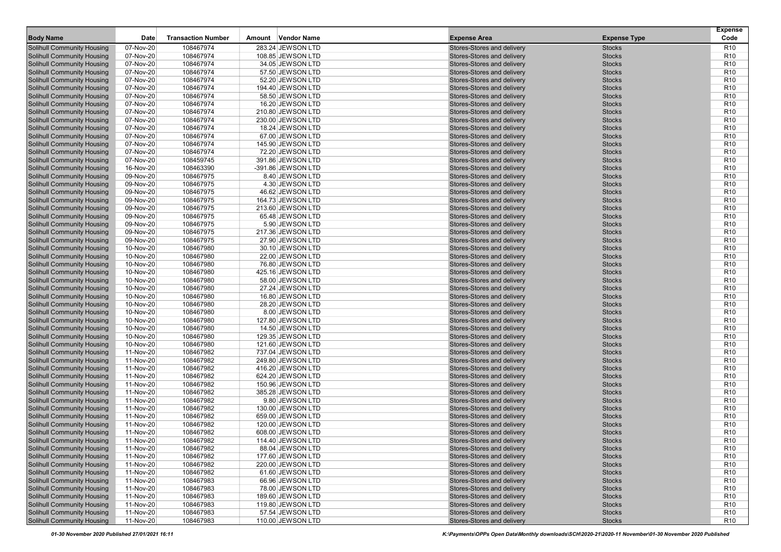|                                                                        |                        |                           |                                        |                                                          |                                | <b>Expense</b>                     |
|------------------------------------------------------------------------|------------------------|---------------------------|----------------------------------------|----------------------------------------------------------|--------------------------------|------------------------------------|
| <b>Body Name</b>                                                       | Date                   | <b>Transaction Number</b> | Amount Vendor Name                     | <b>Expense Area</b>                                      | <b>Expense Type</b>            | Code                               |
| <b>Solihull Community Housing</b>                                      | 07-Nov-20              | 108467974                 | 283.24 JEWSON LTD                      | Stores-Stores and delivery                               | <b>Stocks</b>                  | <b>R10</b>                         |
| <b>Solihull Community Housing</b>                                      | 07-Nov-20              | 108467974                 | 108.85 JEWSON LTD                      | Stores-Stores and delivery                               | <b>Stocks</b>                  | R <sub>10</sub>                    |
| <b>Solihull Community Housing</b>                                      | 07-Nov-20              | 108467974                 | 34.05 JEWSON LTD                       | Stores-Stores and delivery                               | <b>Stocks</b>                  | R <sub>10</sub>                    |
| <b>Solihull Community Housing</b>                                      | 07-Nov-20              | 108467974                 | 57.50 JEWSON LTD                       | Stores-Stores and delivery                               | <b>Stocks</b>                  | R <sub>10</sub>                    |
| <b>Solihull Community Housing</b>                                      | 07-Nov-20              | 108467974                 | 52.20 JEWSON LTD                       | Stores-Stores and delivery                               | <b>Stocks</b>                  | R <sub>10</sub>                    |
| <b>Solihull Community Housing</b>                                      | 07-Nov-20              | 108467974                 | 194.40 JEWSON LTD                      | Stores-Stores and delivery                               | <b>Stocks</b>                  | R <sub>10</sub>                    |
| <b>Solihull Community Housing</b>                                      | 07-Nov-20              | 108467974                 | 58.50 JEWSON LTD                       | Stores-Stores and delivery                               | <b>Stocks</b>                  | R <sub>10</sub>                    |
| <b>Solihull Community Housing</b>                                      | 07-Nov-20              | 108467974                 | 16.20 JEWSON LTD                       | Stores-Stores and delivery                               | <b>Stocks</b>                  | R <sub>10</sub>                    |
| <b>Solihull Community Housing</b>                                      | 07-Nov-20              | 108467974                 | 210.80 JEWSON LTD                      | Stores-Stores and delivery                               | <b>Stocks</b>                  | R <sub>10</sub>                    |
| <b>Solihull Community Housing</b>                                      | 07-Nov-20              | 108467974                 | 230.00 JEWSON LTD                      | Stores-Stores and delivery                               | <b>Stocks</b>                  | R <sub>10</sub>                    |
| <b>Solihull Community Housing</b>                                      | 07-Nov-20              | 108467974                 | 18.24 JEWSON LTD                       | Stores-Stores and delivery                               | <b>Stocks</b>                  | R <sub>10</sub>                    |
| <b>Solihull Community Housing</b>                                      | 07-Nov-20              | 108467974                 | 67.00 JEWSON LTD                       | Stores-Stores and delivery                               | <b>Stocks</b>                  | R <sub>10</sub>                    |
| <b>Solihull Community Housing</b>                                      | 07-Nov-20              | 108467974                 | 145.90 JEWSON LTD                      | Stores-Stores and delivery                               | <b>Stocks</b>                  | R <sub>10</sub>                    |
| <b>Solihull Community Housing</b>                                      | 07-Nov-20              | 108467974                 | 72.20 JEWSON LTD                       | Stores-Stores and delivery                               | <b>Stocks</b>                  | R <sub>10</sub>                    |
| <b>Solihull Community Housing</b>                                      | 07-Nov-20              | 108459745                 | 391.86 JEWSON LTD                      | Stores-Stores and delivery                               | <b>Stocks</b>                  | R <sub>10</sub>                    |
| <b>Solihull Community Housing</b>                                      | 16-Nov-20              | 108463390                 | -391.86 JEWSON LTD                     | Stores-Stores and delivery                               | <b>Stocks</b>                  | R <sub>10</sub>                    |
| <b>Solihull Community Housing</b>                                      | 09-Nov-20              | 108467975                 | 8.40 JEWSON LTD                        | Stores-Stores and delivery                               | <b>Stocks</b>                  | R <sub>10</sub>                    |
| <b>Solihull Community Housing</b>                                      | 09-Nov-20              | 108467975                 | 4.30 JEWSON LTD                        | Stores-Stores and delivery                               | <b>Stocks</b>                  | R <sub>10</sub>                    |
| <b>Solihull Community Housing</b>                                      | 09-Nov-20              | 108467975                 | 46.62 JEWSON LTD                       | Stores-Stores and delivery                               | <b>Stocks</b>                  | R <sub>10</sub>                    |
| <b>Solihull Community Housing</b>                                      | 09-Nov-20              | 108467975                 | 164.73 JEWSON LTD<br>213.60 JEWSON LTD | Stores-Stores and delivery                               | <b>Stocks</b>                  | R <sub>10</sub><br>R <sub>10</sub> |
| <b>Solihull Community Housing</b>                                      | 09-Nov-20<br>09-Nov-20 | 108467975                 |                                        | Stores-Stores and delivery                               | <b>Stocks</b>                  | R <sub>10</sub>                    |
| <b>Solihull Community Housing</b>                                      |                        | 108467975                 | 65.48 JEWSON LTD                       | Stores-Stores and delivery                               | <b>Stocks</b>                  |                                    |
| <b>Solihull Community Housing</b>                                      | 09-Nov-20              | 108467975                 | 5.90 JEWSON LTD                        | Stores-Stores and delivery                               | <b>Stocks</b><br><b>Stocks</b> | R <sub>10</sub><br>R <sub>10</sub> |
| <b>Solihull Community Housing</b><br><b>Solihull Community Housing</b> | 09-Nov-20<br>09-Nov-20 | 108467975<br>108467975    | 217.36 JEWSON LTD<br>27.90 JEWSON LTD  | Stores-Stores and delivery<br>Stores-Stores and delivery | <b>Stocks</b>                  | R <sub>10</sub>                    |
| <b>Solihull Community Housing</b>                                      | 10-Nov-20              | 108467980                 | 30.10 JEWSON LTD                       | Stores-Stores and delivery                               | <b>Stocks</b>                  | R <sub>10</sub>                    |
| <b>Solihull Community Housing</b>                                      | 10-Nov-20              | 108467980                 | 22.00 JEWSON LTD                       | Stores-Stores and delivery                               | <b>Stocks</b>                  | R <sub>10</sub>                    |
| <b>Solihull Community Housing</b>                                      | 10-Nov-20              | 108467980                 | 76.80 JEWSON LTD                       | Stores-Stores and delivery                               | <b>Stocks</b>                  | R <sub>10</sub>                    |
| <b>Solihull Community Housing</b>                                      | 10-Nov-20              | 108467980                 | 425.16 JEWSON LTD                      | Stores-Stores and delivery                               | <b>Stocks</b>                  | R <sub>10</sub>                    |
| <b>Solihull Community Housing</b>                                      | 10-Nov-20              | 108467980                 | 58.00 JEWSON LTD                       | Stores-Stores and delivery                               | <b>Stocks</b>                  | R <sub>10</sub>                    |
| <b>Solihull Community Housing</b>                                      | 10-Nov-20              | 108467980                 | 27.24 JEWSON LTD                       | Stores-Stores and delivery                               | <b>Stocks</b>                  | R <sub>10</sub>                    |
| <b>Solihull Community Housing</b>                                      | 10-Nov-20              | 108467980                 | 16.80 JEWSON LTD                       | Stores-Stores and delivery                               | <b>Stocks</b>                  | R <sub>10</sub>                    |
| <b>Solihull Community Housing</b>                                      | 10-Nov-20              | 108467980                 | 28.20 JEWSON LTD                       | Stores-Stores and delivery                               | <b>Stocks</b>                  | R <sub>10</sub>                    |
| <b>Solihull Community Housing</b>                                      | 10-Nov-20              | 108467980                 | 8.00 JEWSON LTD                        | Stores-Stores and delivery                               | <b>Stocks</b>                  | R <sub>10</sub>                    |
| <b>Solihull Community Housing</b>                                      | 10-Nov-20              | 108467980                 | 127.80 JEWSON LTD                      | Stores-Stores and delivery                               | <b>Stocks</b>                  | R <sub>10</sub>                    |
| <b>Solihull Community Housing</b>                                      | 10-Nov-20              | 108467980                 | 14.50 JEWSON LTD                       | Stores-Stores and delivery                               | <b>Stocks</b>                  | R <sub>10</sub>                    |
| <b>Solihull Community Housing</b>                                      | 10-Nov-20              | 108467980                 | 129.35 JEWSON LTD                      | Stores-Stores and delivery                               | <b>Stocks</b>                  | R <sub>10</sub>                    |
| <b>Solihull Community Housing</b>                                      | 10-Nov-20              | 108467980                 | 121.60 JEWSON LTD                      | Stores-Stores and delivery                               | <b>Stocks</b>                  | R <sub>10</sub>                    |
| <b>Solihull Community Housing</b>                                      | 11-Nov-20              | 108467982                 | 737.04 JEWSON LTD                      | Stores-Stores and delivery                               | <b>Stocks</b>                  | R <sub>10</sub>                    |
| <b>Solihull Community Housing</b>                                      | 11-Nov-20              | 108467982                 | 249.80 JEWSON LTD                      | Stores-Stores and delivery                               | <b>Stocks</b>                  | R <sub>10</sub>                    |
| <b>Solihull Community Housing</b>                                      | 11-Nov-20              | 108467982                 | 416.20 JEWSON LTD                      | Stores-Stores and delivery                               | <b>Stocks</b>                  | R <sub>10</sub>                    |
| <b>Solihull Community Housing</b>                                      | 11-Nov-20              | 108467982                 | 624.20 JEWSON LTD                      | Stores-Stores and delivery                               | <b>Stocks</b>                  | R <sub>10</sub>                    |
| <b>Solihull Community Housing</b>                                      | 11-Nov-20              | 108467982                 | 150.96 JEWSON LTD                      | Stores-Stores and delivery                               | <b>Stocks</b>                  | R <sub>10</sub>                    |
| <b>Solihull Community Housing</b>                                      | 11-Nov-20              | 108467982                 | 385.28 JEWSON LTD                      | Stores-Stores and delivery                               | <b>Stocks</b>                  | R <sub>10</sub>                    |
| <b>Solihull Community Housing</b>                                      | 11-Nov-20              | 108467982                 | 9.80 JEWSON LTD                        | Stores-Stores and delivery                               | <b>Stocks</b>                  | R <sub>10</sub>                    |
| <b>Solihull Community Housing</b>                                      | 11-Nov-20              | 108467982                 | 130.00 JEWSON LTD                      | Stores-Stores and delivery                               | <b>Stocks</b>                  | R <sub>10</sub>                    |
| <b>Solihull Community Housing</b>                                      | 11-Nov-20              | 108467982                 | 659.00 JEWSON LTD                      | Stores-Stores and delivery                               | <b>Stocks</b>                  | R <sub>10</sub>                    |
| <b>Solihull Community Housing</b>                                      | 11-Nov-20              | 108467982                 | 120.00 JEWSON LTD                      | Stores-Stores and delivery                               | <b>Stocks</b>                  | R <sub>10</sub>                    |
| <b>Solihull Community Housing</b>                                      | 11-Nov-20              | 108467982                 | 608.00 JEWSON LTD                      | Stores-Stores and delivery                               | <b>Stocks</b>                  | R <sub>10</sub>                    |
| <b>Solihull Community Housing</b>                                      | 11-Nov-20              | 108467982                 | 114.40 JEWSON LTD                      | Stores-Stores and delivery                               | <b>Stocks</b>                  | R10                                |
| <b>Solihull Community Housing</b>                                      | 11-Nov-20              | 108467982                 | 88.04 JEWSON LTD                       | Stores-Stores and delivery                               | <b>Stocks</b>                  | R <sub>10</sub>                    |
| <b>Solihull Community Housing</b>                                      | 11-Nov-20              | 108467982                 | 177.60 JEWSON LTD                      | Stores-Stores and delivery                               | <b>Stocks</b>                  | R <sub>10</sub>                    |
| <b>Solihull Community Housing</b>                                      | 11-Nov-20              | 108467982                 | 220.00 JEWSON LTD                      | Stores-Stores and delivery                               | <b>Stocks</b>                  | R <sub>10</sub>                    |
| <b>Solihull Community Housing</b>                                      | 11-Nov-20              | 108467982                 | 61.60 JEWSON LTD                       | Stores-Stores and delivery                               | <b>Stocks</b>                  | R <sub>10</sub>                    |
| <b>Solihull Community Housing</b>                                      | 11-Nov-20              | 108467983                 | 66.96 JEWSON LTD                       | Stores-Stores and delivery                               | <b>Stocks</b>                  | R <sub>10</sub>                    |
| <b>Solihull Community Housing</b>                                      | 11-Nov-20              | 108467983                 | 78.00 JEWSON LTD                       | Stores-Stores and delivery                               | <b>Stocks</b>                  | R <sub>10</sub>                    |
| <b>Solihull Community Housing</b>                                      | 11-Nov-20              | 108467983                 | 189.60 JEWSON LTD                      | Stores-Stores and delivery                               | <b>Stocks</b>                  | R <sub>10</sub>                    |
| <b>Solihull Community Housing</b>                                      | 11-Nov-20              | 108467983                 | 119.80 JEWSON LTD                      | Stores-Stores and delivery                               | <b>Stocks</b>                  | R <sub>10</sub>                    |
| <b>Solihull Community Housing</b>                                      | 11-Nov-20              | 108467983                 | 57.54 JEWSON LTD                       | Stores-Stores and delivery                               | <b>Stocks</b>                  | R <sub>10</sub>                    |
| <b>Solihull Community Housing</b>                                      | 11-Nov-20              | 108467983                 | 110.00 JEWSON LTD                      | Stores-Stores and delivery                               | <b>Stocks</b>                  | R <sub>10</sub>                    |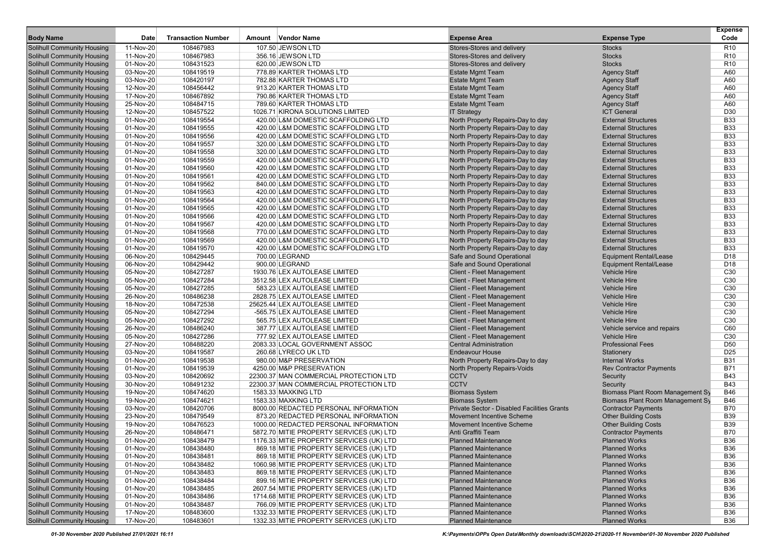|                                   |             |                           |                                          |                                             |                                  | <b>Expense</b>  |
|-----------------------------------|-------------|---------------------------|------------------------------------------|---------------------------------------------|----------------------------------|-----------------|
| <b>Body Name</b>                  | <b>Date</b> | <b>Transaction Number</b> | Amount Vendor Name                       | <b>Expense Area</b>                         | <b>Expense Type</b>              | Code            |
| <b>Solihull Community Housing</b> | 11-Nov-20   | 108467983                 | 107.50 JEWSON LTD                        | Stores-Stores and delivery                  | <b>Stocks</b>                    | R <sub>10</sub> |
| <b>Solihull Community Housing</b> | 11-Nov-20   | 108467983                 | 356.16 JEWSON LTD                        | Stores-Stores and delivery                  | <b>Stocks</b>                    | R <sub>10</sub> |
| <b>Solihull Community Housing</b> | 01-Nov-20   | 108431523                 | 620.00 JEWSON LTD                        | Stores-Stores and delivery                  | <b>Stocks</b>                    | R <sub>10</sub> |
| <b>Solihull Community Housing</b> | 03-Nov-20   | 108419519                 | 778.89 KARTER THOMAS LTD                 | <b>Estate Mgmt Team</b>                     | <b>Agency Staff</b>              | A60             |
| <b>Solihull Community Housing</b> | 03-Nov-20   | 108420197                 | 782.88 KARTER THOMAS LTD                 | <b>Estate Mgmt Team</b>                     | <b>Agency Staff</b>              | A60             |
| <b>Solihull Community Housing</b> | 12-Nov-20   | 108456442                 | 913.20 KARTER THOMAS LTD                 | <b>Estate Mgmt Team</b>                     | <b>Agency Staff</b>              | A60             |
| <b>Solihull Community Housing</b> | 17-Nov-20   | 108467892                 | 790.86 KARTER THOMAS LTD                 | <b>Estate Mgmt Team</b>                     | <b>Agency Staff</b>              | A60             |
| <b>Solihull Community Housing</b> | 25-Nov-20   | 108484715                 | 789.60 KARTER THOMAS LTD                 | <b>Estate Mgmt Team</b>                     | <b>Agency Staff</b>              | A60             |
| <b>Solihull Community Housing</b> | 12-Nov-20   | 108457522                 | 1026.71 KIRONA SOLUTIONS LIMITED         | <b>IT Strategy</b>                          | <b>ICT General</b>               | D30             |
| <b>Solihull Community Housing</b> | 01-Nov-20   | 108419554                 | 420.00 L&M DOMESTIC SCAFFOLDING LTD      | North Property Repairs-Day to day           | <b>External Structures</b>       | <b>B33</b>      |
| <b>Solihull Community Housing</b> | 01-Nov-20   | 108419555                 | 420.00 L&M DOMESTIC SCAFFOLDING LTD      | North Property Repairs-Day to day           | <b>External Structures</b>       | <b>B33</b>      |
| <b>Solihull Community Housing</b> | 01-Nov-20   | 108419556                 | 420.00 L&M DOMESTIC SCAFFOLDING LTD      | North Property Repairs-Day to day           | <b>External Structures</b>       | <b>B33</b>      |
| <b>Solihull Community Housing</b> | 01-Nov-20   | 108419557                 | 320.00 L&M DOMESTIC SCAFFOLDING LTD      | North Property Repairs-Day to day           | <b>External Structures</b>       | <b>B33</b>      |
| <b>Solihull Community Housing</b> | 01-Nov-20   | 108419558                 | 320.00 L&M DOMESTIC SCAFFOLDING LTD      | North Property Repairs-Day to day           | <b>External Structures</b>       | <b>B33</b>      |
| <b>Solihull Community Housing</b> | 01-Nov-20   | 108419559                 | 420.00 L&M DOMESTIC SCAFFOLDING LTD      | North Property Repairs-Day to day           | <b>External Structures</b>       | <b>B33</b>      |
| <b>Solihull Community Housing</b> | 01-Nov-20   | 108419560                 | 420.00 L&M DOMESTIC SCAFFOLDING LTD      | North Property Repairs-Day to day           | <b>External Structures</b>       | <b>B33</b>      |
| <b>Solihull Community Housing</b> | 01-Nov-20   | 108419561                 | 420.00 L&M DOMESTIC SCAFFOLDING LTD      | North Property Repairs-Day to day           | <b>External Structures</b>       | <b>B33</b>      |
| <b>Solihull Community Housing</b> | 01-Nov-20   | 108419562                 | 840.00 L&M DOMESTIC SCAFFOLDING LTD      | North Property Repairs-Day to day           | <b>External Structures</b>       | <b>B33</b>      |
| <b>Solihull Community Housing</b> | 01-Nov-20   | 108419563                 | 420.00 L&M DOMESTIC SCAFFOLDING LTD      | North Property Repairs-Day to day           | <b>External Structures</b>       | <b>B33</b>      |
| <b>Solihull Community Housing</b> | 01-Nov-20   | 108419564                 | 420.00 L&M DOMESTIC SCAFFOLDING LTD      | North Property Repairs-Day to day           | <b>External Structures</b>       | <b>B33</b>      |
| <b>Solihull Community Housing</b> | 01-Nov-20   | 108419565                 | 420.00 L&M DOMESTIC SCAFFOLDING LTD      | North Property Repairs-Day to day           | <b>External Structures</b>       | <b>B33</b>      |
| <b>Solihull Community Housing</b> | 01-Nov-20   | 108419566                 | 420.00 L&M DOMESTIC SCAFFOLDING LTD      | North Property Repairs-Day to day           | <b>External Structures</b>       | <b>B33</b>      |
| <b>Solihull Community Housing</b> | 01-Nov-20   | 108419567                 | 420.00 L&M DOMESTIC SCAFFOLDING LTD      | North Property Repairs-Day to day           | <b>External Structures</b>       | <b>B33</b>      |
| <b>Solihull Community Housing</b> | 01-Nov-20   | 108419568                 | 770.00 L&M DOMESTIC SCAFFOLDING LTD      | North Property Repairs-Day to day           | <b>External Structures</b>       | <b>B33</b>      |
| <b>Solihull Community Housing</b> | 01-Nov-20   | 108419569                 | 420.00 L&M DOMESTIC SCAFFOLDING LTD      | North Property Repairs-Day to day           | <b>External Structures</b>       | <b>B33</b>      |
| <b>Solihull Community Housing</b> | 01-Nov-20   | 108419570                 | 420.00 L&M DOMESTIC SCAFFOLDING LTD      | North Property Repairs-Day to day           | <b>External Structures</b>       | <b>B33</b>      |
| <b>Solihull Community Housing</b> | 06-Nov-20   | 108429445                 | 700.00 LEGRAND                           | Safe and Sound Operational                  | <b>Equipment Rental/Lease</b>    | D <sub>18</sub> |
| <b>Solihull Community Housing</b> | 06-Nov-20   | 108429442                 | 900.00 LEGRAND                           | Safe and Sound Operational                  | <b>Equipment Rental/Lease</b>    | D <sub>18</sub> |
| <b>Solihull Community Housing</b> | 05-Nov-20   | 108427287                 | 1930.76 LEX AUTOLEASE LIMITED            | <b>Client - Fleet Management</b>            | <b>Vehicle Hire</b>              | C <sub>30</sub> |
| <b>Solihull Community Housing</b> | 05-Nov-20   | 108427284                 | 3512.58 LEX AUTOLEASE LIMITED            | <b>Client - Fleet Management</b>            | <b>Vehicle Hire</b>              | C <sub>30</sub> |
| <b>Solihull Community Housing</b> | 05-Nov-20   | 108427285                 | 583.23 LEX AUTOLEASE LIMITED             | <b>Client - Fleet Management</b>            | <b>Vehicle Hire</b>              | C <sub>30</sub> |
| <b>Solihull Community Housing</b> | 26-Nov-20   | 108486238                 | 2828.75 LEX AUTOLEASE LIMITED            | <b>Client - Fleet Management</b>            | <b>Vehicle Hire</b>              | C <sub>30</sub> |
| <b>Solihull Community Housing</b> | 18-Nov-20   | 108472538                 | 25625.44 LEX AUTOLEASE LIMITED           | <b>Client - Fleet Management</b>            | <b>Vehicle Hire</b>              | C <sub>30</sub> |
| <b>Solihull Community Housing</b> | 05-Nov-20   | 108427294                 | -565.75 LEX AUTOLEASE LIMITED            | <b>Client - Fleet Management</b>            | <b>Vehicle Hire</b>              | C <sub>30</sub> |
| <b>Solihull Community Housing</b> | 05-Nov-20   | 108427292                 | 565.75 LEX AUTOLEASE LIMITED             | <b>Client - Fleet Management</b>            | <b>Vehicle Hire</b>              | C <sub>30</sub> |
| <b>Solihull Community Housing</b> | 26-Nov-20   | 108486240                 | 387.77 LEX AUTOLEASE LIMITED             | <b>Client - Fleet Management</b>            | Vehicle service and repairs      | C60             |
| <b>Solihull Community Housing</b> | 05-Nov-20   | 108427286                 | 777.92 LEX AUTOLEASE LIMITED             | <b>Client - Fleet Management</b>            | <b>Vehicle Hire</b>              | C <sub>30</sub> |
| <b>Solihull Community Housing</b> | 27-Nov-20   | 108488220                 | 2083.33 LOCAL GOVERNMENT ASSOC           | <b>Central Administration</b>               | <b>Professional Fees</b>         | D <sub>50</sub> |
| <b>Solihull Community Housing</b> | 03-Nov-20   | 108419587                 | 260.68 LYRECO UK LTD                     | <b>Endeavour House</b>                      | Stationery                       | D <sub>25</sub> |
| <b>Solihull Community Housing</b> | 01-Nov-20   | 108419538                 | 980.00 M&P PRESERVATION                  | North Property Repairs-Day to day           | <b>Internal Works</b>            | <b>B31</b>      |
| <b>Solihull Community Housing</b> | 01-Nov-20   | 108419539                 | 4250.00 M&P PRESERVATION                 | North Property Repairs-Voids                | <b>Rev Contractor Payments</b>   | <b>B71</b>      |
| <b>Solihull Community Housing</b> | 03-Nov-20   | 108420692                 | 22300.37 MAN COMMERCIAL PROTECTION LTD   | <b>CCTV</b>                                 | Security                         | <b>B43</b>      |
| <b>Solihull Community Housing</b> | 30-Nov-20   | 108491232                 | 22300.37 MAN COMMERCIAL PROTECTION LTD   | <b>CCTV</b>                                 | Security                         | <b>B43</b>      |
| <b>Solihull Community Housing</b> | 19-Nov-20   | 108474620                 | 1583.33 MAXKING LTD                      | <b>Biomass System</b>                       | Biomass Plant Room Management Sy | <b>B46</b>      |
| <b>Solihull Community Housing</b> | 19-Nov-20   | 108474621                 | 1583.33 MAXKING LTD                      | <b>Biomass System</b>                       | Biomass Plant Room Management Sy | <b>B46</b>      |
| <b>Solihull Community Housing</b> | 03-Nov-20   | 108420706                 | 8000.00 REDACTED PERSONAL INFORMATION    | Private Sector - Disabled Facilities Grants | <b>Contractor Payments</b>       | <b>B70</b>      |
| <b>Solihull Community Housing</b> | 23-Nov-20   | 108479549                 | 873.20 REDACTED PERSONAL INFORMATION     | <b>Movement Incentive Scheme</b>            | <b>Other Building Costs</b>      | <b>B39</b>      |
| <b>Solihull Community Housing</b> | 19-Nov-20   | 108476523                 | 1000.00 REDACTED PERSONAL INFORMATION    | <b>Movement Incentive Scheme</b>            | <b>Other Building Costs</b>      | <b>B39</b>      |
| <b>Solihull Community Housing</b> | 26-Nov-20   | 108486471                 | 5872.70 MITIE PROPERTY SERVICES (UK) LTD | Anti Graffiti Team                          | <b>Contractor Payments</b>       | <b>B70</b>      |
| <b>Solihull Community Housing</b> | 01-Nov-20   | 108438479                 | 1176.33 MITIE PROPERTY SERVICES (UK) LTD | <b>Planned Maintenance</b>                  | <b>Planned Works</b>             | <b>B36</b>      |
| <b>Solihull Community Housing</b> | 01-Nov-20   | 108438480                 | 869.18 MITIE PROPERTY SERVICES (UK) LTD  | <b>Planned Maintenance</b>                  | <b>Planned Works</b>             | <b>B36</b>      |
| <b>Solihull Community Housing</b> | 01-Nov-20   | 108438481                 | 869.18 MITIE PROPERTY SERVICES (UK) LTD  | <b>Planned Maintenance</b>                  | <b>Planned Works</b>             | <b>B36</b>      |
| <b>Solihull Community Housing</b> | 01-Nov-20   | 108438482                 | 1060.98 MITIE PROPERTY SERVICES (UK) LTD | <b>Planned Maintenance</b>                  | <b>Planned Works</b>             | <b>B36</b>      |
| <b>Solihull Community Housing</b> | 01-Nov-20   | 108438483                 | 869.18 MITIE PROPERTY SERVICES (UK) LTD  | <b>Planned Maintenance</b>                  | <b>Planned Works</b>             | <b>B36</b>      |
| <b>Solihull Community Housing</b> | 01-Nov-20   | 108438484                 | 899.16 MITIE PROPERTY SERVICES (UK) LTD  | <b>Planned Maintenance</b>                  | <b>Planned Works</b>             | <b>B36</b>      |
| <b>Solihull Community Housing</b> | 01-Nov-20   | 108438485                 | 2607.54 MITIE PROPERTY SERVICES (UK) LTD | <b>Planned Maintenance</b>                  | <b>Planned Works</b>             | <b>B36</b>      |
| <b>Solihull Community Housing</b> | 01-Nov-20   | 108438486                 | 1714.68 MITIE PROPERTY SERVICES (UK) LTD | <b>Planned Maintenance</b>                  | <b>Planned Works</b>             | <b>B36</b>      |
| <b>Solihull Community Housing</b> | 01-Nov-20   | 108438487                 | 766.09 MITIE PROPERTY SERVICES (UK) LTD  | <b>Planned Maintenance</b>                  | <b>Planned Works</b>             | <b>B36</b>      |
| <b>Solihull Community Housing</b> | 17-Nov-20   | 108483600                 | 1332.33 MITIE PROPERTY SERVICES (UK) LTD | <b>Planned Maintenance</b>                  | <b>Planned Works</b>             | <b>B36</b>      |
| <b>Solihull Community Housing</b> | 17-Nov-20   | 108483601                 | 1332.33 MITIE PROPERTY SERVICES (UK) LTD | <b>Planned Maintenance</b>                  | <b>Planned Works</b>             | B36             |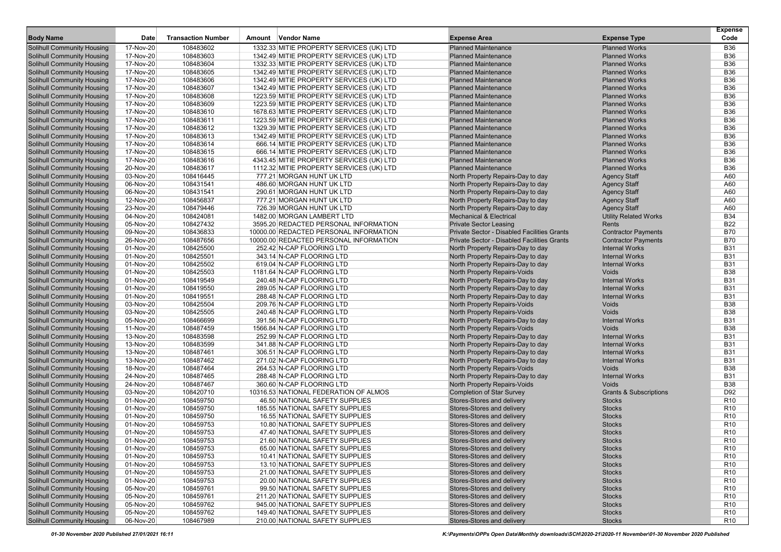| <b>Body Name</b>                  | Date      | <b>Transaction Number</b> | Amount Vendor Name                       | <b>Expense Area</b>                         | <b>Expense Type</b>          | <b>Expense</b><br>Code |
|-----------------------------------|-----------|---------------------------|------------------------------------------|---------------------------------------------|------------------------------|------------------------|
| <b>Solihull Community Housing</b> | 17-Nov-20 | 108483602                 | 1332.33 MITIE PROPERTY SERVICES (UK) LTD | <b>Planned Maintenance</b>                  | <b>Planned Works</b>         | <b>B36</b>             |
| <b>Solihull Community Housing</b> | 17-Nov-20 | 108483603                 | 1342.49 MITIE PROPERTY SERVICES (UK) LTD | <b>Planned Maintenance</b>                  | <b>Planned Works</b>         | <b>B36</b>             |
| <b>Solihull Community Housing</b> | 17-Nov-20 | 108483604                 | 1332.33 MITIE PROPERTY SERVICES (UK) LTD | <b>Planned Maintenance</b>                  | <b>Planned Works</b>         | <b>B36</b>             |
| <b>Solihull Community Housing</b> | 17-Nov-20 | 108483605                 | 1342.49 MITIE PROPERTY SERVICES (UK) LTD | <b>Planned Maintenance</b>                  | <b>Planned Works</b>         | <b>B36</b>             |
| <b>Solihull Community Housing</b> | 17-Nov-20 | 108483606                 | 1342.49 MITIE PROPERTY SERVICES (UK) LTD | <b>Planned Maintenance</b>                  | <b>Planned Works</b>         | <b>B36</b>             |
| <b>Solihull Community Housing</b> | 17-Nov-20 | 108483607                 | 1342.49 MITIE PROPERTY SERVICES (UK) LTD | <b>Planned Maintenance</b>                  | <b>Planned Works</b>         | <b>B36</b>             |
| <b>Solihull Community Housing</b> | 17-Nov-20 | 108483608                 | 1223.59 MITIE PROPERTY SERVICES (UK) LTD | <b>Planned Maintenance</b>                  | <b>Planned Works</b>         | <b>B36</b>             |
| <b>Solihull Community Housing</b> | 17-Nov-20 | 108483609                 | 1223.59 MITIE PROPERTY SERVICES (UK) LTD | <b>Planned Maintenance</b>                  | <b>Planned Works</b>         | <b>B36</b>             |
| <b>Solihull Community Housing</b> | 17-Nov-20 | 108483610                 | 1678.63 MITIE PROPERTY SERVICES (UK) LTD | <b>Planned Maintenance</b>                  | <b>Planned Works</b>         | <b>B36</b>             |
| <b>Solihull Community Housing</b> | 17-Nov-20 | 108483611                 | 1223.59 MITIE PROPERTY SERVICES (UK) LTD | <b>Planned Maintenance</b>                  | <b>Planned Works</b>         | <b>B36</b>             |
| <b>Solihull Community Housing</b> | 17-Nov-20 | 108483612                 | 1329.39 MITIE PROPERTY SERVICES (UK) LTD | <b>Planned Maintenance</b>                  | <b>Planned Works</b>         | <b>B36</b>             |
| <b>Solihull Community Housing</b> | 17-Nov-20 | 108483613                 | 1342.49 MITIE PROPERTY SERVICES (UK) LTD | <b>Planned Maintenance</b>                  | <b>Planned Works</b>         | <b>B36</b>             |
| <b>Solihull Community Housing</b> | 17-Nov-20 | 108483614                 | 666.14 MITIE PROPERTY SERVICES (UK) LTD  | <b>Planned Maintenance</b>                  | <b>Planned Works</b>         | <b>B36</b>             |
| <b>Solihull Community Housing</b> | 17-Nov-20 | 108483615                 | 666.14 MITIE PROPERTY SERVICES (UK) LTD  | <b>Planned Maintenance</b>                  | <b>Planned Works</b>         | <b>B36</b>             |
| <b>Solihull Community Housing</b> | 17-Nov-20 | 108483616                 | 4343.45 MITIE PROPERTY SERVICES (UK) LTD | <b>Planned Maintenance</b>                  | <b>Planned Works</b>         | <b>B36</b>             |
| <b>Solihull Community Housing</b> | 20-Nov-20 | 108483617                 | 1112.32 MITIE PROPERTY SERVICES (UK) LTD | <b>Planned Maintenance</b>                  | <b>Planned Works</b>         | <b>B36</b>             |
| <b>Solihull Community Housing</b> | 03-Nov-20 | 108416445                 | 777.21 MORGAN HUNT UK LTD                | North Property Repairs-Day to day           | <b>Agency Staff</b>          | A60                    |
| <b>Solihull Community Housing</b> | 06-Nov-20 | 108431541                 | 486.60 MORGAN HUNT UK LTD                | North Property Repairs-Day to day           | <b>Agency Staff</b>          | A60                    |
| <b>Solihull Community Housing</b> | 06-Nov-20 | 108431541                 | 290.61 MORGAN HUNT UK LTD                | North Property Repairs-Day to day           | <b>Agency Staff</b>          | A60                    |
| <b>Solihull Community Housing</b> | 12-Nov-20 | 108456837                 | 777.21 MORGAN HUNT UK LTD                | North Property Repairs-Day to day           | <b>Agency Staff</b>          | A60                    |
| <b>Solihull Community Housing</b> | 23-Nov-20 | 108479446                 | 726.39 MORGAN HUNT UK LTD                | North Property Repairs-Day to day           | <b>Agency Staff</b>          | A60                    |
| <b>Solihull Community Housing</b> | 04-Nov-20 | 108424081                 | 1482.00 MORGAN LAMBERT LTD               | <b>Mechanical &amp; Electrical</b>          | <b>Utility Related Works</b> | <b>B34</b>             |
| <b>Solihull Community Housing</b> | 05-Nov-20 | 108427432                 | 3595.20 REDACTED PERSONAL INFORMATION    | <b>Private Sector Leasing</b>               | Rents                        | <b>B22</b>             |
| <b>Solihull Community Housing</b> | 09-Nov-20 | 108436833                 | 10000.00 REDACTED PERSONAL INFORMATION   | Private Sector - Disabled Facilities Grants | <b>Contractor Payments</b>   | <b>B70</b>             |
| <b>Solihull Community Housing</b> | 26-Nov-20 | 108487656                 | 10000.00 REDACTED PERSONAL INFORMATION   | Private Sector - Disabled Facilities Grants | <b>Contractor Payments</b>   | <b>B70</b>             |
| <b>Solihull Community Housing</b> | 01-Nov-20 | 108425500                 | 252.42 N-CAP FLOORING LTD                | North Property Repairs-Day to day           | <b>Internal Works</b>        | <b>B31</b>             |
| <b>Solihull Community Housing</b> | 01-Nov-20 | 108425501                 | 343.14 N-CAP FLOORING LTD                | North Property Repairs-Day to day           | <b>Internal Works</b>        | <b>B31</b>             |
| <b>Solihull Community Housing</b> | 01-Nov-20 | 108425502                 | 619.04 N-CAP FLOORING LTD                | North Property Repairs-Day to day           | <b>Internal Works</b>        | <b>B31</b>             |
| <b>Solihull Community Housing</b> | 01-Nov-20 | 108425503                 | 1181.64 N-CAP FLOORING LTD               | North Property Repairs-Voids                | Voids                        | <b>B38</b>             |
| <b>Solihull Community Housing</b> | 01-Nov-20 | 108419549                 | 240.48 N-CAP FLOORING LTD                | North Property Repairs-Day to day           | <b>Internal Works</b>        | <b>B31</b>             |
| <b>Solihull Community Housing</b> | 01-Nov-20 | 108419550                 | 289.05 N-CAP FLOORING LTD                | North Property Repairs-Day to day           | <b>Internal Works</b>        | <b>B31</b>             |
| <b>Solihull Community Housing</b> | 01-Nov-20 | 108419551                 | 288.48 N-CAP FLOORING LTD                | North Property Repairs-Day to day           | <b>Internal Works</b>        | <b>B31</b>             |
| <b>Solihull Community Housing</b> | 03-Nov-20 | 108425504                 | 209.76 N-CAP FLOORING LTD                | North Property Repairs-Voids                | Voids                        | <b>B38</b>             |
| <b>Solihull Community Housing</b> | 03-Nov-20 | 108425505                 | 240.48 N-CAP FLOORING LTD                | North Property Repairs-Voids                | Voids                        | <b>B38</b>             |
| <b>Solihull Community Housing</b> | 05-Nov-20 | 108466699                 | 391.56 N-CAP FLOORING LTD                | North Property Repairs-Day to day           | <b>Internal Works</b>        | <b>B31</b>             |
| <b>Solihull Community Housing</b> | 11-Nov-20 | 108487459                 | 1566.84 N-CAP FLOORING LTD               | North Property Repairs-Voids                | Voids                        | <b>B38</b>             |
| <b>Solihull Community Housing</b> | 13-Nov-20 | 108483598                 | 252.99 N-CAP FLOORING LTD                | North Property Repairs-Day to day           | <b>Internal Works</b>        | <b>B31</b>             |
| <b>Solihull Community Housing</b> | 13-Nov-20 | 108483599                 | 341.88 N-CAP FLOORING LTD                | North Property Repairs-Day to day           | <b>Internal Works</b>        | <b>B31</b>             |
| <b>Solihull Community Housing</b> | 13-Nov-20 | 108487461                 | 306.51 N-CAP FLOORING LTD                | North Property Repairs-Day to day           | <b>Internal Works</b>        | <b>B31</b>             |
| <b>Solihull Community Housing</b> | 13-Nov-20 | 108487462                 | 271.02 N-CAP FLOORING LTD                | North Property Repairs-Day to day           | <b>Internal Works</b>        | <b>B31</b>             |
| <b>Solihull Community Housing</b> | 18-Nov-20 | 108487464                 | 264.53 N-CAP FLOORING LTD                | North Property Repairs-Voids                | Voids                        | <b>B38</b>             |
| <b>Solihull Community Housing</b> | 24-Nov-20 | 108487465                 | 288.48 N-CAP FLOORING LTD                | North Property Repairs-Day to day           | <b>Internal Works</b>        | <b>B31</b>             |
| <b>Solihull Community Housing</b> | 24-Nov-20 | 108487467                 | 360.60 N-CAP FLOORING LTD                | North Property Repairs-Voids                | Voids                        | <b>B38</b>             |
| <b>Solihull Community Housing</b> | 03-Nov-20 | 108420710                 | 10316.53 NATIONAL FEDERATION OF ALMOS    | <b>Completion of Star Survey</b>            | Grants & Subscriptions       | D92                    |
| <b>Solihull Community Housing</b> | 01-Nov-20 | 108459750                 | 46.50 NATIONAL SAFETY SUPPLIES           | Stores-Stores and delivery                  | <b>Stocks</b>                | R <sub>10</sub>        |
| <b>Solihull Community Housing</b> | 01-Nov-20 | 108459750                 | 185.55 NATIONAL SAFETY SUPPLIES          | Stores-Stores and delivery                  | <b>Stocks</b>                | R <sub>10</sub>        |
| <b>Solihull Community Housing</b> | 01-Nov-20 | 108459750                 | 16.55 NATIONAL SAFETY SUPPLIES           | Stores-Stores and delivery                  | <b>Stocks</b>                | R <sub>10</sub>        |
| Solihull Community Housing        | 01-Nov-20 | 108459753                 | 10.80 NATIONAL SAFETY SUPPLIES           | Stores-Stores and delivery                  | <b>Stocks</b>                | R <sub>10</sub>        |
| <b>Solihull Community Housing</b> | 01-Nov-20 | 108459753                 | 47.40 NATIONAL SAFETY SUPPLIES           | Stores-Stores and delivery                  | <b>Stocks</b>                | R <sub>10</sub>        |
| Solihull Community Housing        | 01-Nov-20 | 108459753                 | 21.60 NATIONAL SAFETY SUPPLIES           | Stores-Stores and delivery                  | <b>Stocks</b>                | R <sub>10</sub>        |
| <b>Solihull Community Housing</b> | 01-Nov-20 | 108459753                 | 65.00 NATIONAL SAFETY SUPPLIES           | Stores-Stores and delivery                  | <b>Stocks</b>                | R <sub>10</sub>        |
| <b>Solihull Community Housing</b> | 01-Nov-20 | 108459753                 | 10.41 NATIONAL SAFETY SUPPLIES           | Stores-Stores and delivery                  | <b>Stocks</b>                | R <sub>10</sub>        |
| <b>Solihull Community Housing</b> | 01-Nov-20 | 108459753                 | 13.10 NATIONAL SAFETY SUPPLIES           | Stores-Stores and delivery                  | <b>Stocks</b>                | R <sub>10</sub>        |
| <b>Solihull Community Housing</b> | 01-Nov-20 | 108459753                 | 21.00 NATIONAL SAFETY SUPPLIES           | Stores-Stores and delivery                  | <b>Stocks</b>                | R <sub>10</sub>        |
| <b>Solihull Community Housing</b> | 01-Nov-20 | 108459753                 | 20.00 NATIONAL SAFETY SUPPLIES           | Stores-Stores and delivery                  | <b>Stocks</b>                | R <sub>10</sub>        |
| <b>Solihull Community Housing</b> | 05-Nov-20 | 108459761                 | 99.50 NATIONAL SAFETY SUPPLIES           | Stores-Stores and delivery                  | <b>Stocks</b>                | R <sub>10</sub>        |
| <b>Solihull Community Housing</b> | 05-Nov-20 | 108459761                 | 211.20 NATIONAL SAFETY SUPPLIES          | Stores-Stores and delivery                  | <b>Stocks</b>                | R <sub>10</sub>        |
| <b>Solihull Community Housing</b> | 05-Nov-20 | 108459762                 | 945.00 NATIONAL SAFETY SUPPLIES          | Stores-Stores and delivery                  | <b>Stocks</b>                | R <sub>10</sub>        |
| <b>Solihull Community Housing</b> | 05-Nov-20 | 108459762                 | 149.40 NATIONAL SAFETY SUPPLIES          | Stores-Stores and delivery                  | <b>Stocks</b>                | R <sub>10</sub>        |
| <b>Solihull Community Housing</b> | 06-Nov-20 | 108467989                 | 210.00 NATIONAL SAFETY SUPPLIES          | Stores-Stores and delivery                  | <b>Stocks</b>                | R <sub>10</sub>        |
|                                   |           |                           |                                          |                                             |                              |                        |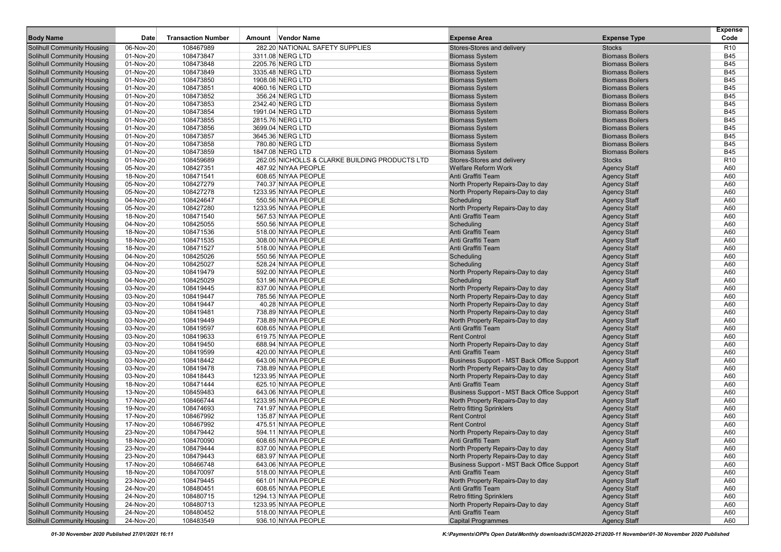|                                                                        |                        |                           |                                                |                                                                      |                                                  | <b>Expense</b>           |
|------------------------------------------------------------------------|------------------------|---------------------------|------------------------------------------------|----------------------------------------------------------------------|--------------------------------------------------|--------------------------|
| <b>Body Name</b>                                                       | <b>Date</b>            | <b>Transaction Number</b> | Amount Vendor Name                             | <b>Expense Area</b>                                                  | <b>Expense Type</b>                              | Code                     |
| <b>Solihull Community Housing</b>                                      | 06-Nov-20              | 108467989                 | 282.20 NATIONAL SAFETY SUPPLIES                | Stores-Stores and delivery                                           | <b>Stocks</b>                                    | R <sub>10</sub>          |
| <b>Solihull Community Housing</b>                                      | 01-Nov-20              | 108473847                 | 3311.08 NERG LTD                               | <b>Biomass System</b>                                                | <b>Biomass Boilers</b>                           | B45                      |
| <b>Solihull Community Housing</b>                                      | 01-Nov-20              | 108473848                 | 2205.76 NERG LTD                               | <b>Biomass System</b>                                                | <b>Biomass Boilers</b>                           | <b>B45</b>               |
| <b>Solihull Community Housing</b>                                      | 01-Nov-20              | 108473849                 | 3335.48 NERG LTD                               | <b>Biomass System</b>                                                | <b>Biomass Boilers</b>                           | <b>B45</b>               |
| <b>Solihull Community Housing</b>                                      | 01-Nov-20              | 108473850                 | 1908.08 NERG LTD                               | <b>Biomass System</b>                                                | <b>Biomass Boilers</b>                           | <b>B45</b>               |
| <b>Solihull Community Housing</b>                                      | 01-Nov-20              | 108473851                 | 4060.16 NERG LTD                               | <b>Biomass System</b>                                                | <b>Biomass Boilers</b>                           | <b>B45</b>               |
| <b>Solihull Community Housing</b>                                      | 01-Nov-20              | 108473852<br>108473853    | 356.24 NERG LTD                                | <b>Biomass System</b>                                                | <b>Biomass Boilers</b><br><b>Biomass Boilers</b> | <b>B45</b><br><b>B45</b> |
| <b>Solihull Community Housing</b>                                      | 01-Nov-20              | 108473854                 | 2342.40 NERG LTD<br>1991.04 NERG LTD           | <b>Biomass System</b><br><b>Biomass System</b>                       | <b>Biomass Boilers</b>                           | <b>B45</b>               |
| <b>Solihull Community Housing</b><br><b>Solihull Community Housing</b> | 01-Nov-20<br>01-Nov-20 | 108473855                 | 2815.76 NERG LTD                               | <b>Biomass System</b>                                                | <b>Biomass Boilers</b>                           | <b>B45</b>               |
|                                                                        | 01-Nov-20              | 108473856                 | 3699.04 NERG LTD                               | <b>Biomass System</b>                                                | <b>Biomass Boilers</b>                           | <b>B45</b>               |
| <b>Solihull Community Housing</b><br><b>Solihull Community Housing</b> | 01-Nov-20              | 108473857                 | 3645.36 NERG LTD                               | <b>Biomass System</b>                                                | <b>Biomass Boilers</b>                           | <b>B45</b>               |
| <b>Solihull Community Housing</b>                                      | 01-Nov-20              | 108473858                 | 780.80 NERG LTD                                | <b>Biomass System</b>                                                | <b>Biomass Boilers</b>                           | <b>B45</b>               |
| <b>Solihull Community Housing</b>                                      | 01-Nov-20              | 108473859                 | 1847.08 NERG LTD                               | <b>Biomass System</b>                                                | <b>Biomass Boilers</b>                           | <b>B45</b>               |
| <b>Solihull Community Housing</b>                                      | 01-Nov-20              | 108459689                 | 262.05 NICHOLLS & CLARKE BUILDING PRODUCTS LTD | Stores-Stores and delivery                                           | <b>Stocks</b>                                    | R <sub>10</sub>          |
| <b>Solihull Community Housing</b>                                      | 05-Nov-20              | 108427351                 | 487.92 NIYAA PEOPLE                            | <b>Welfare Reform Work</b>                                           | <b>Agency Staff</b>                              | A60                      |
| <b>Solihull Community Housing</b>                                      | 18-Nov-20              | 108471541                 | 608.65 NIYAA PEOPLE                            | Anti Graffiti Team                                                   | <b>Agency Staff</b>                              | A60                      |
| <b>Solihull Community Housing</b>                                      | 05-Nov-20              | 108427279                 | 740.37 NIYAA PEOPLE                            | North Property Repairs-Day to day                                    | <b>Agency Staff</b>                              | A60                      |
| <b>Solihull Community Housing</b>                                      | 05-Nov-20              | 108427278                 | 1233.95 NIYAA PEOPLE                           | North Property Repairs-Day to day                                    | <b>Agency Staff</b>                              | A60                      |
| <b>Solihull Community Housing</b>                                      | 04-Nov-20              | 108424647                 | 550.56 NIYAA PEOPLE                            | Scheduling                                                           | <b>Agency Staff</b>                              | A60                      |
| <b>Solihull Community Housing</b>                                      | 05-Nov-20              | 108427280                 | 1233.95 NIYAA PEOPLE                           | North Property Repairs-Day to day                                    | <b>Agency Staff</b>                              | A60                      |
| <b>Solihull Community Housing</b>                                      | 18-Nov-20              | 108471540                 | 567.53 NIYAA PEOPLE                            | Anti Graffiti Team                                                   | <b>Agency Staff</b>                              | A60                      |
| <b>Solihull Community Housing</b>                                      | 04-Nov-20              | 108425055                 | 550.56 NIYAA PEOPLE                            | Scheduling                                                           | <b>Agency Staff</b>                              | A60                      |
| <b>Solihull Community Housing</b>                                      | 18-Nov-20              | 108471536                 | 518.00 NIYAA PEOPLE                            | Anti Graffiti Team                                                   | <b>Agency Staff</b>                              | A60                      |
| <b>Solihull Community Housing</b>                                      | 18-Nov-20              | 108471535                 | 308.00 NIYAA PEOPLE                            | Anti Graffiti Team                                                   | <b>Agency Staff</b>                              | A60                      |
| <b>Solihull Community Housing</b>                                      | 18-Nov-20              | 108471527                 | 518.00 NIYAA PEOPLE                            | Anti Graffiti Team                                                   | <b>Agency Staff</b>                              | A60                      |
| <b>Solihull Community Housing</b>                                      | 04-Nov-20              | 108425026                 | 550.56 NIYAA PEOPLE                            | Scheduling                                                           | <b>Agency Staff</b>                              | A60                      |
| <b>Solihull Community Housing</b>                                      | 04-Nov-20              | 108425027                 | 528.24 NIYAA PEOPLE                            | Scheduling                                                           | <b>Agency Staff</b>                              | A60                      |
| <b>Solihull Community Housing</b>                                      | 03-Nov-20              | 108419479                 | 592.00 NIYAA PEOPLE                            | North Property Repairs-Day to day                                    | <b>Agency Staff</b>                              | A60                      |
| <b>Solihull Community Housing</b>                                      | 04-Nov-20              | 108425029                 | 531.96 NIYAA PEOPLE                            | Scheduling                                                           | <b>Agency Staff</b>                              | A60                      |
| <b>Solihull Community Housing</b>                                      | 03-Nov-20              | 108419445                 | 837.00 NIYAA PEOPLE                            | North Property Repairs-Day to day                                    | <b>Agency Staff</b>                              | A60                      |
| <b>Solihull Community Housing</b>                                      | 03-Nov-20              | 108419447                 | 785.56 NIYAA PEOPLE                            | North Property Repairs-Day to day                                    | <b>Agency Staff</b>                              | A60                      |
| <b>Solihull Community Housing</b>                                      | 03-Nov-20              | 108419447                 | 40.28 NIYAA PEOPLE                             | North Property Repairs-Day to day                                    | <b>Agency Staff</b>                              | A60                      |
| <b>Solihull Community Housing</b>                                      | 03-Nov-20              | 108419481                 | 738.89 NIYAA PEOPLE                            | North Property Repairs-Day to day                                    | <b>Agency Staff</b>                              | A60                      |
| <b>Solihull Community Housing</b>                                      | 03-Nov-20              | 108419449                 | 738.89 NIYAA PEOPLE                            | North Property Repairs-Day to day                                    | <b>Agency Staff</b>                              | A60                      |
| <b>Solihull Community Housing</b>                                      | 03-Nov-20              | 108419597                 | 608.65 NIYAA PEOPLE                            | Anti Graffiti Team                                                   | <b>Agency Staff</b>                              | A60                      |
| <b>Solihull Community Housing</b>                                      | 03-Nov-20              | 108419633                 | 619.75 NIYAA PEOPLE                            | <b>Rent Control</b>                                                  | <b>Agency Staff</b>                              | A60                      |
| <b>Solihull Community Housing</b>                                      | 03-Nov-20              | 108419450                 | 688.94 NIYAA PEOPLE                            | North Property Repairs-Day to day                                    | <b>Agency Staff</b>                              | A60                      |
| <b>Solihull Community Housing</b>                                      | 03-Nov-20              | 108419599                 | 420.00 NIYAA PEOPLE                            | Anti Graffiti Team                                                   | <b>Agency Staff</b>                              | A60                      |
| <b>Solihull Community Housing</b>                                      | 03-Nov-20              | 108418442                 | 643.06 NIYAA PEOPLE                            | Business Support - MST Back Office Support                           | <b>Agency Staff</b>                              | A60                      |
| <b>Solihull Community Housing</b>                                      | 03-Nov-20              | 108419478                 | 738.89 NIYAA PEOPLE                            | North Property Repairs-Day to day                                    | <b>Agency Staff</b>                              | A60                      |
| <b>Solihull Community Housing</b>                                      | 03-Nov-20              | 108418443                 | 1233.95 NIYAA PEOPLE                           | North Property Repairs-Day to day                                    | <b>Agency Staff</b>                              | A60                      |
| <b>Solihull Community Housing</b>                                      | 18-Nov-20              | 108471444                 | 625.10 NIYAA PEOPLE                            | Anti Graffiti Team                                                   | <b>Agency Staff</b>                              | A60                      |
| <b>Solihull Community Housing</b>                                      | 13-Nov-20              | 108459483                 | 643.06 NIYAA PEOPLE                            | Business Support - MST Back Office Support                           | <b>Agency Staff</b>                              | A60                      |
| <b>Solihull Community Housing</b>                                      | 17-Nov-20              | 108466744                 | 1233.95 NIYAA PEOPLE                           | North Property Repairs-Day to day                                    | <b>Agency Staff</b>                              | A60                      |
| <b>Solihull Community Housing</b>                                      | 19-Nov-20              | 108474693                 | 741.97 NIYAA PEOPLE                            | <b>Retro fitting Sprinklers</b>                                      | <b>Agency Staff</b>                              | A60                      |
| <b>Solihull Community Housing</b>                                      | 17-Nov-20              | 108467992                 | 135.87 NIYAA PEOPLE                            | <b>Rent Control</b>                                                  | <b>Agency Staff</b>                              | A60                      |
| <b>Solihull Community Housing</b>                                      | 17-Nov-20              | 108467992                 | 475.51 NIYAA PEOPLE                            | <b>Rent Control</b>                                                  | <b>Agency Staff</b>                              | A60                      |
| <b>Solihull Community Housing</b>                                      | 23-Nov-20              | 108479442                 | 594.11 NIYAA PEOPLE                            | North Property Repairs-Day to day                                    | <b>Agency Staff</b>                              | A60                      |
| <b>Solihull Community Housing</b>                                      | 18-Nov-20              | 108470090                 | 608.65 NIYAA PEOPLE                            | Anti Graffiti Team                                                   | <b>Agency Staff</b>                              | A60                      |
| <b>Solihull Community Housing</b>                                      | 23-Nov-20              | 108479444                 | 837.00 NIYAA PEOPLE                            | North Property Repairs-Day to day                                    | <b>Agency Staff</b>                              | A60                      |
| <b>Solihull Community Housing</b><br><b>Solihull Community Housing</b> | 23-Nov-20              | 108479443                 | 683.97 NIYAA PEOPLE                            | North Property Repairs-Day to day                                    | <b>Agency Staff</b>                              | A60                      |
|                                                                        | 17-Nov-20              | 108466748                 | 643.06 NIYAA PEOPLE                            | Business Support - MST Back Office Support<br>Anti Graffiti Team     | <b>Agency Staff</b>                              | A60                      |
| <b>Solihull Community Housing</b>                                      | 18-Nov-20              | 108470097                 | 518.00 NIYAA PEOPLE                            |                                                                      | <b>Agency Staff</b>                              | A60                      |
| <b>Solihull Community Housing</b>                                      | 23-Nov-20              | 108479445                 | 661.01 NIYAA PEOPLE                            | North Property Repairs-Day to day                                    | <b>Agency Staff</b>                              | A60                      |
| <b>Solihull Community Housing</b>                                      | 24-Nov-20              | 108480451                 | 608.65 NIYAA PEOPLE                            | Anti Graffiti Team                                                   | <b>Agency Staff</b>                              | A60                      |
| <b>Solihull Community Housing</b><br><b>Solihull Community Housing</b> | 24-Nov-20              | 108480715                 | 1294.13 NIYAA PEOPLE                           | <b>Retro fitting Sprinklers</b><br>North Property Repairs-Day to day | <b>Agency Staff</b><br><b>Agency Staff</b>       | A60                      |
| <b>Solihull Community Housing</b>                                      | 24-Nov-20<br>24-Nov-20 | 108480713<br>108480452    | 1233.95 NIYAA PEOPLE<br>518.00 NIYAA PEOPLE    | Anti Graffiti Team                                                   | <b>Agency Staff</b>                              | A60<br>A60               |
| <b>Solihull Community Housing</b>                                      | 24-Nov-20              | 108483549                 | 936.10 NIYAA PEOPLE                            | <b>Capital Programmes</b>                                            | <b>Agency Staff</b>                              | A60                      |
|                                                                        |                        |                           |                                                |                                                                      |                                                  |                          |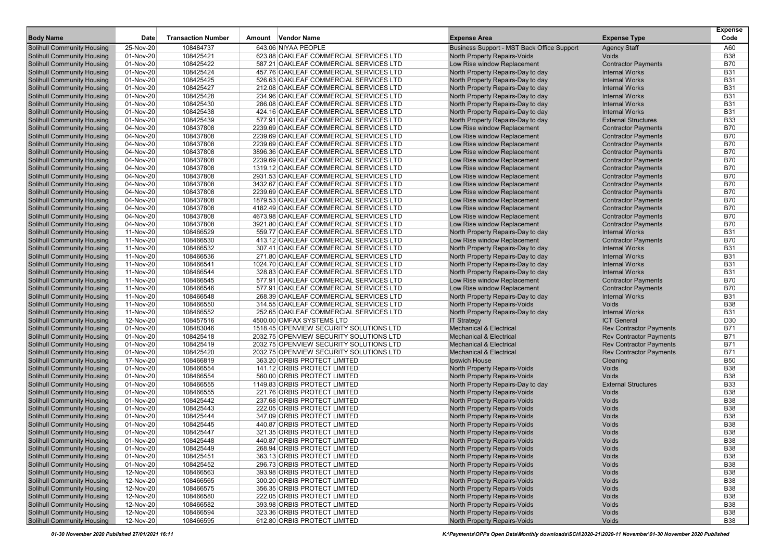| <b>Body Name</b>                                                       | Date                   | <b>Transaction Number</b> | Amount Vendor Name                                           | <b>Expense Area</b>                                          | <b>Expense Type</b>            | <b>Expense</b><br>Code   |
|------------------------------------------------------------------------|------------------------|---------------------------|--------------------------------------------------------------|--------------------------------------------------------------|--------------------------------|--------------------------|
| <b>Solihull Community Housing</b>                                      | 25-Nov-20              | 108484737                 | 643.06 NIYAA PEOPLE                                          | Business Support - MST Back Office Support                   | <b>Agency Staff</b>            | A60                      |
| <b>Solihull Community Housing</b>                                      | 01-Nov-20              | 108425421                 | 623.88 OAKLEAF COMMERCIAL SERVICES LTD                       | North Property Repairs-Voids                                 | Voids                          | <b>B38</b>               |
| <b>Solihull Community Housing</b>                                      | 01-Nov-20              | 108425422                 | 587.21 OAKLEAF COMMERCIAL SERVICES LTD                       | Low Rise window Replacement                                  | <b>Contractor Payments</b>     | <b>B70</b>               |
| <b>Solihull Community Housing</b>                                      | 01-Nov-20              | 108425424                 | 457.76 OAKLEAF COMMERCIAL SERVICES LTD                       | North Property Repairs-Day to day                            | <b>Internal Works</b>          | <b>B31</b>               |
| <b>Solihull Community Housing</b>                                      | 01-Nov-20              | 108425425                 | 526.63 OAKLEAF COMMERCIAL SERVICES LTD                       | North Property Repairs-Day to day                            | <b>Internal Works</b>          | <b>B31</b>               |
| <b>Solihull Community Housing</b>                                      | 01-Nov-20              | 108425427                 | 212.08 OAKLEAF COMMERCIAL SERVICES LTD                       | North Property Repairs-Day to day                            | <b>Internal Works</b>          | <b>B31</b>               |
| <b>Solihull Community Housing</b>                                      | 01-Nov-20              | 108425428                 | 234.96 OAKLEAF COMMERCIAL SERVICES LTD                       | North Property Repairs-Day to day                            | <b>Internal Works</b>          | <b>B31</b>               |
| <b>Solihull Community Housing</b>                                      | 01-Nov-20              | 108425430                 | 286.08 OAKLEAF COMMERCIAL SERVICES LTD                       | North Property Repairs-Day to day                            | <b>Internal Works</b>          | <b>B31</b>               |
| <b>Solihull Community Housing</b>                                      | 01-Nov-20              | 108425438                 | 424.16 OAKLEAF COMMERCIAL SERVICES LTD                       | North Property Repairs-Day to day                            | <b>Internal Works</b>          | <b>B31</b>               |
| <b>Solihull Community Housing</b>                                      | 01-Nov-20              | 108425439                 | 577.91 OAKLEAF COMMERCIAL SERVICES LTD                       | North Property Repairs-Day to day                            | <b>External Structures</b>     | <b>B33</b>               |
| <b>Solihull Community Housing</b>                                      | 04-Nov-20              | 108437808                 | 2239.69 OAKLEAF COMMERCIAL SERVICES LTD                      | Low Rise window Replacement                                  | <b>Contractor Payments</b>     | B70                      |
| <b>Solihull Community Housing</b>                                      | 04-Nov-20              | 108437808                 | 2239.69 OAKLEAF COMMERCIAL SERVICES LTD                      | Low Rise window Replacement                                  | <b>Contractor Payments</b>     | <b>B70</b>               |
| <b>Solihull Community Housing</b>                                      | 04-Nov-20              | 108437808                 | 2239.69 OAKLEAF COMMERCIAL SERVICES LTD                      | Low Rise window Replacement                                  | <b>Contractor Payments</b>     | <b>B70</b>               |
| <b>Solihull Community Housing</b>                                      | 04-Nov-20              | 108437808                 | 3896.36 OAKLEAF COMMERCIAL SERVICES LTD                      | Low Rise window Replacement                                  | <b>Contractor Payments</b>     | <b>B70</b>               |
| <b>Solihull Community Housing</b>                                      | 04-Nov-20              | 108437808                 | 2239.69 OAKLEAF COMMERCIAL SERVICES LTD                      | Low Rise window Replacement                                  | <b>Contractor Payments</b>     | <b>B70</b>               |
| <b>Solihull Community Housing</b>                                      | 04-Nov-20              | 108437808                 | 1319.12 OAKLEAF COMMERCIAL SERVICES LTD                      | Low Rise window Replacement                                  | <b>Contractor Payments</b>     | <b>B70</b>               |
| <b>Solihull Community Housing</b>                                      | 04-Nov-20              | 108437808                 | 2931.53 OAKLEAF COMMERCIAL SERVICES LTD                      | Low Rise window Replacement                                  | <b>Contractor Payments</b>     | <b>B70</b>               |
| <b>Solihull Community Housing</b>                                      | 04-Nov-20              | 108437808                 | 3432.67 OAKLEAF COMMERCIAL SERVICES LTD                      | Low Rise window Replacement                                  | <b>Contractor Payments</b>     | <b>B70</b>               |
| <b>Solihull Community Housing</b>                                      | 04-Nov-20              | 108437808                 | 2239.69 OAKLEAF COMMERCIAL SERVICES LTD                      | Low Rise window Replacement                                  | <b>Contractor Payments</b>     | <b>B70</b>               |
| <b>Solihull Community Housing</b>                                      | 04-Nov-20              | 108437808                 | 1879.53 OAKLEAF COMMERCIAL SERVICES LTD                      | Low Rise window Replacement                                  | <b>Contractor Payments</b>     | <b>B70</b>               |
| <b>Solihull Community Housing</b>                                      | 04-Nov-20              | 108437808                 | 4182.49 OAKLEAF COMMERCIAL SERVICES LTD                      | Low Rise window Replacement                                  | <b>Contractor Payments</b>     | <b>B70</b>               |
| <b>Solihull Community Housing</b>                                      | 04-Nov-20              | 108437808                 | 4673.98 OAKLEAF COMMERCIAL SERVICES LTD                      | Low Rise window Replacement                                  | <b>Contractor Payments</b>     | <b>B70</b>               |
| <b>Solihull Community Housing</b>                                      | 04-Nov-20              | 108437808                 | 3921.80 OAKLEAF COMMERCIAL SERVICES LTD                      | Low Rise window Replacement                                  | <b>Contractor Payments</b>     | <b>B70</b>               |
| <b>Solihull Community Housing</b>                                      | 11-Nov-20              | 108466529                 | 559.77 OAKLEAF COMMERCIAL SERVICES LTD                       | North Property Repairs-Day to day                            | <b>Internal Works</b>          | <b>B31</b>               |
| <b>Solihull Community Housing</b>                                      | 11-Nov-20              | 108466530                 | 413.12 OAKLEAF COMMERCIAL SERVICES LTD                       | Low Rise window Replacement                                  | <b>Contractor Payments</b>     | <b>B70</b>               |
| <b>Solihull Community Housing</b>                                      | 11-Nov-20              | 108466532                 | 307.41 OAKLEAF COMMERCIAL SERVICES LTD                       | North Property Repairs-Day to day                            | <b>Internal Works</b>          | <b>B31</b>               |
| <b>Solihull Community Housing</b>                                      | 11-Nov-20              | 108466536                 | 271.80 OAKLEAF COMMERCIAL SERVICES LTD                       | North Property Repairs-Day to day                            | <b>Internal Works</b>          | <b>B31</b>               |
| <b>Solihull Community Housing</b>                                      | 11-Nov-20              | 108466541                 | 1024.70 OAKLEAF COMMERCIAL SERVICES LTD                      | North Property Repairs-Day to day                            | <b>Internal Works</b>          | <b>B31</b>               |
| <b>Solihull Community Housing</b>                                      | 11-Nov-20              | 108466544                 | 328.83 OAKLEAF COMMERCIAL SERVICES LTD                       | North Property Repairs-Day to day                            | <b>Internal Works</b>          | <b>B31</b>               |
| <b>Solihull Community Housing</b>                                      | 11-Nov-20              | 108466545                 | 577.91 OAKLEAF COMMERCIAL SERVICES LTD                       | Low Rise window Replacement                                  | <b>Contractor Payments</b>     | <b>B70</b>               |
| <b>Solihull Community Housing</b>                                      | 11-Nov-20              | 108466546                 | 577.91 OAKLEAF COMMERCIAL SERVICES LTD                       | Low Rise window Replacement                                  | <b>Contractor Payments</b>     | <b>B70</b>               |
| <b>Solihull Community Housing</b>                                      | 11-Nov-20              | 108466548                 | 268.39 OAKLEAF COMMERCIAL SERVICES LTD                       | North Property Repairs-Day to day                            | <b>Internal Works</b>          | <b>B31</b>               |
| <b>Solihull Community Housing</b>                                      | 11-Nov-20              | 108466550                 | 314.55 OAKLEAF COMMERCIAL SERVICES LTD                       | North Property Repairs-Voids                                 | Voids                          | <b>B38</b>               |
| <b>Solihull Community Housing</b>                                      | 11-Nov-20              | 108466552                 | 252.65 OAKLEAF COMMERCIAL SERVICES LTD                       | North Property Repairs-Day to day                            | <b>Internal Works</b>          | <b>B31</b>               |
| <b>Solihull Community Housing</b>                                      | 12-Nov-20              | 108457516                 | 4500.00 OMFAX SYSTEMS LTD                                    | <b>IT Strategy</b>                                           | <b>ICT General</b>             | D30                      |
| <b>Solihull Community Housing</b>                                      | 01-Nov-20              | 108483046                 | 1518.45 OPENVIEW SECURITY SOLUTIONS LTD                      | <b>Mechanical &amp; Electrical</b>                           | <b>Rev Contractor Payments</b> | <b>B71</b>               |
| <b>Solihull Community Housing</b>                                      | 01-Nov-20              | 108425418                 | 2032.75 OPENVIEW SECURITY SOLUTIONS LTD                      | <b>Mechanical &amp; Electrical</b>                           | <b>Rev Contractor Payments</b> | <b>B71</b>               |
| <b>Solihull Community Housing</b>                                      | 01-Nov-20              | 108425419                 | 2032.75 OPENVIEW SECURITY SOLUTIONS LTD                      | <b>Mechanical &amp; Electrical</b>                           | <b>Rev Contractor Payments</b> | <b>B71</b>               |
| <b>Solihull Community Housing</b>                                      | 01-Nov-20              | 108425420                 | 2032.75 OPENVIEW SECURITY SOLUTIONS LTD                      | <b>Mechanical &amp; Electrical</b>                           | <b>Rev Contractor Payments</b> | <b>B71</b>               |
| <b>Solihull Community Housing</b>                                      | 17-Nov-20              | 108466819                 | 363.20 ORBIS PROTECT LIMITED                                 | Ipswich House                                                | Cleaning                       | <b>B50</b>               |
| <b>Solihull Community Housing</b>                                      | 01-Nov-20              | 108466554                 | 141.12 ORBIS PROTECT LIMITED                                 | North Property Repairs-Voids                                 | Voids                          | <b>B38</b>               |
| <b>Solihull Community Housing</b>                                      | 01-Nov-20              | 108466554                 | 560.00 ORBIS PROTECT LIMITED                                 | North Property Repairs-Voids                                 | Voids                          | <b>B38</b>               |
| <b>Solihull Community Housing</b>                                      | 01-Nov-20              | 108466555                 | 1149.83 ORBIS PROTECT LIMITED                                | North Property Repairs-Day to day                            | <b>External Structures</b>     | <b>B33</b>               |
| <b>Solihull Community Housing</b>                                      | 01-Nov-20              | 108466555                 | 221.76 ORBIS PROTECT LIMITED                                 | North Property Repairs-Voids                                 | Voids                          | <b>B38</b>               |
| <b>Solihull Community Housing</b>                                      | 01-Nov-20              | 108425442                 | 237.68 ORBIS PROTECT LIMITED                                 | North Property Repairs-Voids                                 | Voids                          | <b>B38</b>               |
| <b>Solihull Community Housing</b>                                      | 01-Nov-20              | 108425443                 | 222.05 ORBIS PROTECT LIMITED                                 | North Property Repairs-Voids                                 | Voids                          | <b>B38</b><br><b>B38</b> |
| <b>Solihull Community Housing</b>                                      | 01-Nov-20<br>01-Nov-20 | 108425444                 | 347.09 ORBIS PROTECT LIMITED                                 | North Property Repairs-Voids                                 | Voids                          | <b>B38</b>               |
| <b>Solihull Community Housing</b><br><b>Solihull Community Housing</b> | 01-Nov-20              | 108425445<br>108425447    | 440.87 ORBIS PROTECT LIMITED<br>321.35 ORBIS PROTECT LIMITED | North Property Repairs-Voids<br>North Property Repairs-Voids | Voids<br>Voids                 | <b>B38</b>               |
| Solihull Community Housing                                             | 01-Nov-20              | 108425448                 | 440.87 ORBIS PROTECT LIMITED                                 | North Property Repairs-Voids                                 | Voids                          | <b>B38</b>               |
| <b>Solihull Community Housing</b>                                      | 01-Nov-20              | 108425449                 | 268.94 ORBIS PROTECT LIMITED                                 | North Property Repairs-Voids                                 | Voids                          | <b>B38</b>               |
| <b>Solihull Community Housing</b>                                      | 01-Nov-20              | 108425451                 | 363.13 ORBIS PROTECT LIMITED                                 | North Property Repairs-Voids                                 | Voids                          | <b>B38</b>               |
| <b>Solihull Community Housing</b>                                      | 01-Nov-20              | 108425452                 | 296.73 ORBIS PROTECT LIMITED                                 | North Property Repairs-Voids                                 | Voids                          | <b>B38</b>               |
| <b>Solihull Community Housing</b>                                      | 12-Nov-20              | 108466563                 | 393.98 ORBIS PROTECT LIMITED                                 | North Property Repairs-Voids                                 | Voids                          | <b>B38</b>               |
| <b>Solihull Community Housing</b>                                      | 12-Nov-20              | 108466565                 | 300.20 ORBIS PROTECT LIMITED                                 | North Property Repairs-Voids                                 | Voids                          | <b>B38</b>               |
| <b>Solihull Community Housing</b>                                      | 12-Nov-20              | 108466575                 | 356.35 ORBIS PROTECT LIMITED                                 | North Property Repairs-Voids                                 | Voids                          | <b>B38</b>               |
| <b>Solihull Community Housing</b>                                      | 12-Nov-20              | 108466580                 | 222.05 ORBIS PROTECT LIMITED                                 | North Property Repairs-Voids                                 | Voids                          | <b>B38</b>               |
| <b>Solihull Community Housing</b>                                      | 12-Nov-20              | 108466582                 | 393.98 ORBIS PROTECT LIMITED                                 | North Property Repairs-Voids                                 | Voids                          | <b>B38</b>               |
| <b>Solihull Community Housing</b>                                      | 12-Nov-20              | 108466594                 | 323.36 ORBIS PROTECT LIMITED                                 | North Property Repairs-Voids                                 | Voids                          | <b>B38</b>               |
| <b>Solihull Community Housing</b>                                      | 12-Nov-20              | 108466595                 | 612.80 ORBIS PROTECT LIMITED                                 | North Property Repairs-Voids                                 | Voids                          | <b>B38</b>               |
|                                                                        |                        |                           |                                                              |                                                              |                                |                          |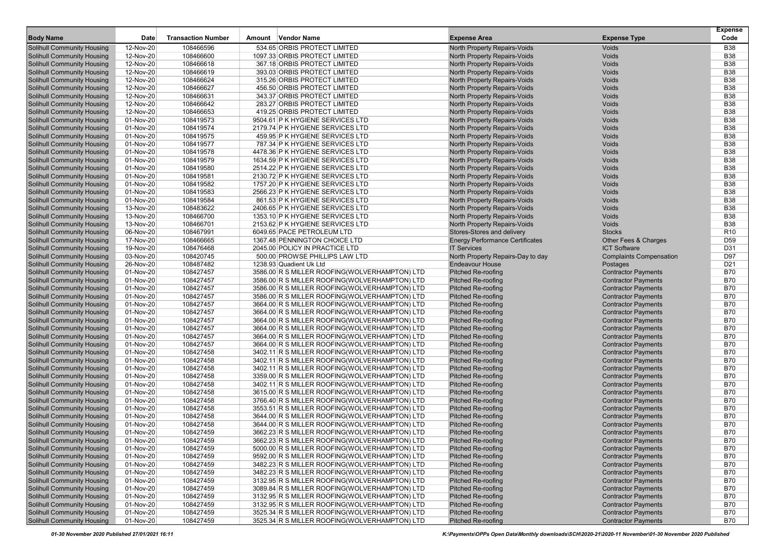|                                                                        |                        |                           |                                                                                                |                                                        |                                                          | <b>Expense</b>           |
|------------------------------------------------------------------------|------------------------|---------------------------|------------------------------------------------------------------------------------------------|--------------------------------------------------------|----------------------------------------------------------|--------------------------|
| <b>Body Name</b>                                                       | Date                   | <b>Transaction Number</b> | Amount Vendor Name                                                                             | <b>Expense Area</b>                                    | <b>Expense Type</b>                                      | Code                     |
| <b>Solihull Community Housing</b>                                      | 12-Nov-20              | 108466596                 | 534.65 ORBIS PROTECT LIMITED                                                                   | North Property Repairs-Voids                           | Voids                                                    | <b>B38</b>               |
| <b>Solihull Community Housing</b>                                      | 12-Nov-20              | 108466600                 | 1097.33 ORBIS PROTECT LIMITED                                                                  | North Property Repairs-Voids                           | Voids                                                    | <b>B38</b>               |
| <b>Solihull Community Housing</b>                                      | 12-Nov-20              | 108466618                 | 367.18 ORBIS PROTECT LIMITED                                                                   | North Property Repairs-Voids                           | Voids                                                    | <b>B38</b>               |
| <b>Solihull Community Housing</b>                                      | 12-Nov-20              | 108466619                 | 393.03 ORBIS PROTECT LIMITED                                                                   | North Property Repairs-Voids                           | Voids                                                    | <b>B38</b>               |
| <b>Solihull Community Housing</b>                                      | 12-Nov-20              | 108466624                 | 315.26 ORBIS PROTECT LIMITED                                                                   | North Property Repairs-Voids                           | Voids                                                    | <b>B38</b>               |
| <b>Solihull Community Housing</b>                                      | 12-Nov-20              | 108466627                 | 456.50 ORBIS PROTECT LIMITED                                                                   | North Property Repairs-Voids                           | Voids                                                    | <b>B38</b>               |
| <b>Solihull Community Housing</b>                                      | 12-Nov-20              | 108466631                 | 343.37 ORBIS PROTECT LIMITED                                                                   | North Property Repairs-Voids                           | Voids                                                    | <b>B38</b>               |
| <b>Solihull Community Housing</b>                                      | 12-Nov-20              | 108466642                 | 283.27 ORBIS PROTECT LIMITED                                                                   | North Property Repairs-Voids                           | Voids                                                    | <b>B38</b>               |
| <b>Solihull Community Housing</b>                                      | 12-Nov-20              | 108466653                 | 419.25 ORBIS PROTECT LIMITED                                                                   | North Property Repairs-Voids                           | Voids                                                    | <b>B38</b>               |
| <b>Solihull Community Housing</b>                                      | 01-Nov-20              | 108419573                 | 9504.61 P K HYGIENE SERVICES LTD                                                               | North Property Repairs-Voids                           | Voids                                                    | <b>B38</b>               |
| <b>Solihull Community Housing</b>                                      | 01-Nov-20              | 108419574                 | 2179.74 P K HYGIENE SERVICES LTD                                                               | North Property Repairs-Voids                           | Voids                                                    | <b>B38</b>               |
| <b>Solihull Community Housing</b>                                      | 01-Nov-20              | 108419575                 | 459.95 P K HYGIENE SERVICES LTD                                                                | North Property Repairs-Voids                           | Voids                                                    | <b>B38</b>               |
| <b>Solihull Community Housing</b>                                      | 01-Nov-20              | 108419577                 | 787.34 P K HYGIENE SERVICES LTD                                                                | North Property Repairs-Voids                           | Voids                                                    | <b>B38</b>               |
| <b>Solihull Community Housing</b>                                      | 01-Nov-20              | 108419578                 | 4478.36 P K HYGIENE SERVICES LTD                                                               | North Property Repairs-Voids                           | Voids                                                    | <b>B38</b>               |
| <b>Solihull Community Housing</b>                                      | 01-Nov-20              | 108419579                 | 1634.59 P K HYGIENE SERVICES LTD                                                               | North Property Repairs-Voids                           | Voids                                                    | <b>B38</b>               |
| <b>Solihull Community Housing</b>                                      | 01-Nov-20              | 108419580                 | 2514.22 P K HYGIENE SERVICES LTD                                                               | North Property Repairs-Voids                           | Voids                                                    | <b>B38</b>               |
| <b>Solihull Community Housing</b>                                      | 01-Nov-20              | 108419581                 | 2130.72 P K HYGIENE SERVICES LTD                                                               | North Property Repairs-Voids                           | Voids                                                    | <b>B38</b>               |
| <b>Solihull Community Housing</b>                                      | 01-Nov-20              | 108419582                 | 1757.20 P K HYGIENE SERVICES LTD                                                               | North Property Repairs-Voids                           | Voids                                                    | <b>B38</b>               |
| <b>Solihull Community Housing</b>                                      | 01-Nov-20              | 108419583                 | 2566.23 P K HYGIENE SERVICES LTD                                                               | North Property Repairs-Voids                           | Voids                                                    | <b>B38</b>               |
| <b>Solihull Community Housing</b>                                      | 01-Nov-20              | 108419584                 | 861.53 P K HYGIENE SERVICES LTD                                                                | North Property Repairs-Voids                           | Voids                                                    | <b>B38</b>               |
| <b>Solihull Community Housing</b>                                      | 13-Nov-20              | 108483622                 | 2406.65 P K HYGIENE SERVICES LTD                                                               | North Property Repairs-Voids                           | Voids                                                    | <b>B38</b>               |
| <b>Solihull Community Housing</b>                                      | 13-Nov-20              | 108466700                 | 1353.10 P K HYGIENE SERVICES LTD                                                               | North Property Repairs-Voids                           | Voids                                                    | <b>B38</b>               |
| <b>Solihull Community Housing</b>                                      | 13-Nov-20              | 108466701                 | 2153.62 P K HYGIENE SERVICES LTD                                                               | North Property Repairs-Voids                           | Voids                                                    | <b>B38</b>               |
| <b>Solihull Community Housing</b>                                      | 06-Nov-20              | 108467991                 | 6049.65 PACE PETROLEUM LTD                                                                     | Stores-Stores and delivery                             | <b>Stocks</b>                                            | R <sub>10</sub>          |
| <b>Solihull Community Housing</b>                                      | 17-Nov-20              | 108466665                 | 1367.48 PENNINGTON CHOICE LTD                                                                  | <b>Energy Performance Certificates</b>                 | Other Fees & Charges                                     | D59                      |
| <b>Solihull Community Housing</b>                                      | 19-Nov-20              | 108476468                 | 2045.00 POLICY IN PRACTICE LTD                                                                 | <b>IT Services</b>                                     | <b>ICT Software</b>                                      | D31                      |
| <b>Solihull Community Housing</b>                                      | 03-Nov-20              | 108420745                 | 500.00 PROWSE PHILLIPS LAW LTD                                                                 | North Property Repairs-Day to day                      | <b>Complaints Compensation</b>                           | D97                      |
| <b>Solihull Community Housing</b>                                      | 26-Nov-20              | 108487482                 | 1238.93 Quadient Uk Ltd                                                                        | <b>Endeavour House</b>                                 | Postages                                                 | D <sub>21</sub>          |
| <b>Solihull Community Housing</b>                                      | 01-Nov-20              | 108427457                 | 3586.00 R S MILLER ROOFING(WOLVERHAMPTON) LTD                                                  | <b>Pitched Re-roofing</b>                              | <b>Contractor Payments</b>                               | <b>B70</b>               |
| <b>Solihull Community Housing</b>                                      | 01-Nov-20              | 108427457                 | 3586.00 R S MILLER ROOFING(WOLVERHAMPTON) LTD                                                  | <b>Pitched Re-roofing</b>                              | <b>Contractor Payments</b>                               | <b>B70</b>               |
| <b>Solihull Community Housing</b>                                      | 01-Nov-20              | 108427457                 | 3586.00 R S MILLER ROOFING(WOLVERHAMPTON) LTD                                                  | <b>Pitched Re-roofing</b>                              | <b>Contractor Payments</b>                               | <b>B70</b>               |
| <b>Solihull Community Housing</b>                                      | 01-Nov-20              | 108427457                 | 3586.00 R S MILLER ROOFING(WOLVERHAMPTON) LTD                                                  | <b>Pitched Re-roofing</b>                              | <b>Contractor Payments</b>                               | <b>B70</b>               |
| <b>Solihull Community Housing</b>                                      | 01-Nov-20              | 108427457                 | 3664.00 R S MILLER ROOFING(WOLVERHAMPTON) LTD                                                  | <b>Pitched Re-roofing</b>                              | <b>Contractor Payments</b>                               | <b>B70</b>               |
| <b>Solihull Community Housing</b>                                      | 01-Nov-20              | 108427457                 | 3664.00 R S MILLER ROOFING(WOLVERHAMPTON) LTD                                                  | <b>Pitched Re-roofing</b>                              | <b>Contractor Payments</b>                               | <b>B70</b>               |
| <b>Solihull Community Housing</b>                                      | 01-Nov-20              | 108427457                 | 3664.00 R S MILLER ROOFING(WOLVERHAMPTON) LTD                                                  | <b>Pitched Re-roofing</b>                              | <b>Contractor Payments</b>                               | <b>B70</b>               |
| <b>Solihull Community Housing</b>                                      | 01-Nov-20              | 108427457                 | 3664.00 R S MILLER ROOFING(WOLVERHAMPTON) LTD                                                  | <b>Pitched Re-roofing</b>                              | <b>Contractor Payments</b>                               | <b>B70</b>               |
| <b>Solihull Community Housing</b>                                      | 01-Nov-20              | 108427457                 | 3664.00 R S MILLER ROOFING(WOLVERHAMPTON) LTD                                                  | <b>Pitched Re-roofing</b>                              | <b>Contractor Payments</b>                               | <b>B70</b>               |
| <b>Solihull Community Housing</b>                                      | 01-Nov-20              | 108427457                 | 3664.00 R S MILLER ROOFING(WOLVERHAMPTON) LTD                                                  | <b>Pitched Re-roofing</b>                              | <b>Contractor Payments</b>                               | <b>B70</b>               |
| <b>Solihull Community Housing</b>                                      | 01-Nov-20              | 108427458                 | 3402.11 R S MILLER ROOFING(WOLVERHAMPTON) LTD                                                  | <b>Pitched Re-roofing</b>                              | <b>Contractor Payments</b>                               | <b>B70</b>               |
| <b>Solihull Community Housing</b>                                      | 01-Nov-20              | 108427458                 | 3402.11 R S MILLER ROOFING(WOLVERHAMPTON) LTD                                                  | <b>Pitched Re-roofing</b>                              | <b>Contractor Payments</b>                               | <b>B70</b>               |
| <b>Solihull Community Housing</b>                                      | 01-Nov-20              | 108427458                 | 3402.11 R S MILLER ROOFING(WOLVERHAMPTON) LTD                                                  | <b>Pitched Re-roofing</b>                              | <b>Contractor Payments</b>                               | <b>B70</b>               |
| <b>Solihull Community Housing</b>                                      | 01-Nov-20              | 108427458                 | 3359.00 R S MILLER ROOFING(WOLVERHAMPTON) LTD                                                  | <b>Pitched Re-roofing</b>                              | <b>Contractor Payments</b>                               | <b>B70</b><br><b>B70</b> |
| <b>Solihull Community Housing</b><br><b>Solihull Community Housing</b> | 01-Nov-20              | 108427458                 | 3402.11 R S MILLER ROOFING(WOLVERHAMPTON) LTD                                                  | <b>Pitched Re-roofing</b><br><b>Pitched Re-roofing</b> | <b>Contractor Payments</b>                               | <b>B70</b>               |
|                                                                        | 01-Nov-20              | 108427458                 | 3615.00 R S MILLER ROOFING(WOLVERHAMPTON) LTD                                                  |                                                        | <b>Contractor Payments</b>                               | <b>B70</b>               |
| <b>Solihull Community Housing</b><br><b>Solihull Community Housing</b> | 01-Nov-20<br>01-Nov-20 | 108427458<br>108427458    | 3766.40 R S MILLER ROOFING(WOLVERHAMPTON) LTD<br>3553.51 R S MILLER ROOFING(WOLVERHAMPTON) LTD | <b>Pitched Re-roofing</b><br><b>Pitched Re-roofing</b> | <b>Contractor Payments</b><br><b>Contractor Payments</b> | <b>B70</b>               |
| <b>Solihull Community Housing</b>                                      | 01-Nov-20              | 108427458                 | 3644.00 R S MILLER ROOFING(WOLVERHAMPTON) LTD                                                  | <b>Pitched Re-roofing</b>                              | <b>Contractor Payments</b>                               | <b>B70</b>               |
| <b>Solihull Community Housing</b>                                      | 01-Nov-20              | 108427458                 | 3644.00 R S MILLER ROOFING(WOLVERHAMPTON) LTD                                                  | <b>Pitched Re-roofing</b>                              | <b>Contractor Payments</b>                               | <b>B70</b>               |
| <b>Solihull Community Housing</b>                                      | 01-Nov-20              | 108427459                 | 3662.23 R S MILLER ROOFING(WOLVERHAMPTON) LTD                                                  | <b>Pitched Re-roofing</b>                              | <b>Contractor Payments</b>                               | <b>B70</b>               |
| <b>Solihull Community Housing</b>                                      | 01-Nov-20              | 108427459                 | 3662.23 R S MILLER ROOFING(WOLVERHAMPTON) LTD                                                  | <b>Pitched Re-roofing</b>                              | <b>Contractor Payments</b>                               | <b>B70</b>               |
| <b>Solihull Community Housing</b>                                      | 01-Nov-20              | 108427459                 | 5000.00 R S MILLER ROOFING(WOLVERHAMPTON) LTD                                                  | <b>Pitched Re-roofing</b>                              | <b>Contractor Payments</b>                               | <b>B70</b>               |
| <b>Solihull Community Housing</b>                                      | 01-Nov-20              | 108427459                 | 9592.00 R S MILLER ROOFING(WOLVERHAMPTON) LTD                                                  | <b>Pitched Re-roofing</b>                              | <b>Contractor Payments</b>                               | <b>B70</b>               |
| <b>Solihull Community Housing</b>                                      | 01-Nov-20              | 108427459                 | 3482.23 R S MILLER ROOFING(WOLVERHAMPTON) LTD                                                  | Pitched Re-roofing                                     | <b>Contractor Payments</b>                               | <b>B70</b>               |
| <b>Solihull Community Housing</b>                                      | 01-Nov-20              | 108427459                 | 3482.23 R S MILLER ROOFING(WOLVERHAMPTON) LTD                                                  | <b>Pitched Re-roofing</b>                              | <b>Contractor Payments</b>                               | <b>B70</b>               |
| <b>Solihull Community Housing</b>                                      | 01-Nov-20              | 108427459                 | 3132.95 R S MILLER ROOFING(WOLVERHAMPTON) LTD                                                  | <b>Pitched Re-roofing</b>                              | <b>Contractor Payments</b>                               | <b>B70</b>               |
| <b>Solihull Community Housing</b>                                      | 01-Nov-20              | 108427459                 | 3089.84 R S MILLER ROOFING(WOLVERHAMPTON) LTD                                                  | <b>Pitched Re-roofing</b>                              | <b>Contractor Payments</b>                               | <b>B70</b>               |
| <b>Solihull Community Housing</b>                                      | 01-Nov-20              | 108427459                 | 3132.95 R S MILLER ROOFING(WOLVERHAMPTON) LTD                                                  | <b>Pitched Re-roofing</b>                              | <b>Contractor Payments</b>                               | <b>B70</b>               |
| <b>Solihull Community Housing</b>                                      | 01-Nov-20              | 108427459                 | 3132.95 R S MILLER ROOFING(WOLVERHAMPTON) LTD                                                  | <b>Pitched Re-roofing</b>                              | <b>Contractor Payments</b>                               | <b>B70</b>               |
| <b>Solihull Community Housing</b>                                      | 01-Nov-20              | 108427459                 | 3525.34 R S MILLER ROOFING(WOLVERHAMPTON) LTD                                                  | <b>Pitched Re-roofing</b>                              | <b>Contractor Payments</b>                               | <b>B70</b>               |
| <b>Solihull Community Housing</b>                                      | 01-Nov-20              | 108427459                 | 3525.34 R S MILLER ROOFING(WOLVERHAMPTON) LTD                                                  | <b>Pitched Re-roofing</b>                              | <b>Contractor Payments</b>                               | B70                      |
|                                                                        |                        |                           |                                                                                                |                                                        |                                                          |                          |

01-30 November 2020 Published 27/01/2021 16:11 K:\Payments\OPPs Open Data\Monthly downloads\SCH\2020-21\2020-11 November\01-30 November 2020 Published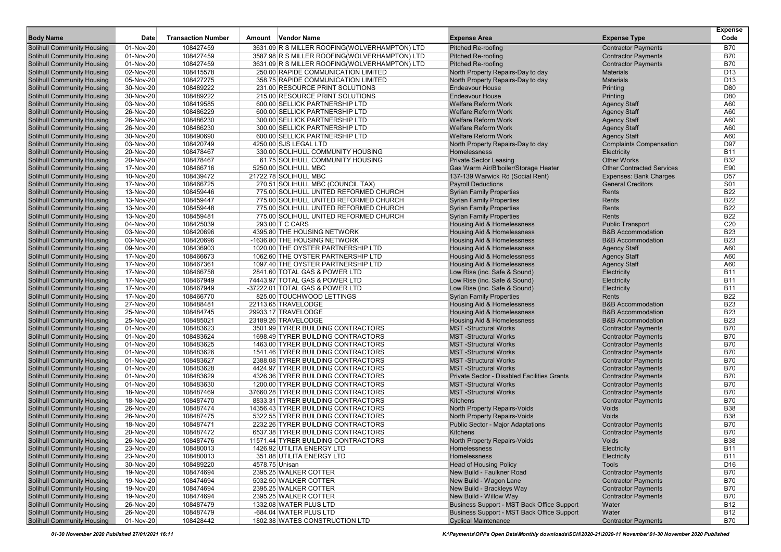| <b>Body Name</b>                                                       | Date                   | <b>Transaction Number</b> | Amount Vendor Name                                                        | <b>Expense Area</b>                                                        | <b>Expense Type</b>                                          | <b>Expense</b><br>Code   |
|------------------------------------------------------------------------|------------------------|---------------------------|---------------------------------------------------------------------------|----------------------------------------------------------------------------|--------------------------------------------------------------|--------------------------|
| <b>Solihull Community Housing</b>                                      | 01-Nov-20              | 108427459                 | 3631.09 R S MILLER ROOFING(WOLVERHAMPTON) LTD                             | <b>Pitched Re-roofing</b>                                                  | <b>Contractor Payments</b>                                   | <b>B70</b>               |
| <b>Solihull Community Housing</b>                                      | 01-Nov-20              | 108427459                 | 3587.98 R S MILLER ROOFING(WOLVERHAMPTON) LTD                             | <b>Pitched Re-roofing</b>                                                  | <b>Contractor Payments</b>                                   | <b>B70</b>               |
| <b>Solihull Community Housing</b>                                      | 01-Nov-20              | 108427459                 | 3631.09 R S MILLER ROOFING(WOLVERHAMPTON) LTD                             | <b>Pitched Re-roofing</b>                                                  | <b>Contractor Payments</b>                                   | <b>B70</b>               |
| <b>Solihull Community Housing</b>                                      | 02-Nov-20              | 108415578                 | 250.00 RAPIDE COMMUNICATION LIMITED                                       | North Property Repairs-Day to day                                          | <b>Materials</b>                                             | D <sub>13</sub>          |
| <b>Solihull Community Housing</b>                                      | 05-Nov-20              | 108427275                 | 358.75 RAPIDE COMMUNICATION LIMITED                                       | North Property Repairs-Day to day                                          | <b>Materials</b>                                             | D <sub>13</sub>          |
| <b>Solihull Community Housing</b>                                      | 30-Nov-20              | 108489222                 | 231.00 RESOURCE PRINT SOLUTIONS                                           | <b>Endeavour House</b>                                                     | Printing                                                     | D80                      |
| <b>Solihull Community Housing</b>                                      | 30-Nov-20              | 108489222                 | 215.00 RESOURCE PRINT SOLUTIONS                                           | <b>Endeavour House</b>                                                     | Printing                                                     | D80                      |
| <b>Solihull Community Housing</b>                                      | 03-Nov-20              | 108419585                 | 600.00 SELLICK PARTNERSHIP LTD                                            | <b>Welfare Reform Work</b>                                                 | <b>Agency Staff</b>                                          | A60                      |
| <b>Solihull Community Housing</b>                                      | 26-Nov-20              | 108486229                 | 600.00 SELLICK PARTNERSHIP LTD                                            | <b>Welfare Reform Work</b>                                                 | <b>Agency Staff</b>                                          | A60                      |
| <b>Solihull Community Housing</b>                                      | 26-Nov-20              | 108486230                 | 300.00 SELLICK PARTNERSHIP LTD                                            | <b>Welfare Reform Work</b>                                                 | <b>Agency Staff</b>                                          | A60                      |
| <b>Solihull Community Housing</b>                                      | 26-Nov-20              | 108486230                 | 300.00 SELLICK PARTNERSHIP LTD                                            | <b>Welfare Reform Work</b>                                                 | <b>Agency Staff</b>                                          | A60                      |
| <b>Solihull Community Housing</b>                                      | 30-Nov-20              | 108490690                 | 600.00 SELLICK PARTNERSHIP LTD                                            | <b>Welfare Reform Work</b>                                                 | <b>Agency Staff</b>                                          | A60                      |
| <b>Solihull Community Housing</b>                                      | 03-Nov-20              | 108420749                 | 4250.00 SJS LEGAL LTD                                                     | North Property Repairs-Day to day                                          | <b>Complaints Compensation</b>                               | D97                      |
| <b>Solihull Community Housing</b>                                      | 20-Nov-20              | 108478467                 | 330.00 SOLIHULL COMMUNITY HOUSING                                         | Homelessness                                                               | Electricity                                                  | <b>B11</b>               |
| <b>Solihull Community Housing</b>                                      | 20-Nov-20              | 108478467                 | 61.75 SOLIHULL COMMUNITY HOUSING                                          | <b>Private Sector Leasing</b>                                              | <b>Other Works</b>                                           | <b>B32</b>               |
| <b>Solihull Community Housing</b>                                      | 17-Nov-20              | 108466716                 | 5250.00 SOLIHULL MBC                                                      | Gas Warm Air/B'boiler/Storage Heater                                       | <b>Other Contracted Services</b>                             | E90                      |
| <b>Solihull Community Housing</b>                                      | 10-Nov-20              | 108439472                 | 21722.78 SOLIHULL MBC                                                     | 137-139 Warwick Rd (Social Rent)                                           | <b>Expenses: Bank Charges</b>                                | D <sub>57</sub>          |
| <b>Solihull Community Housing</b>                                      | 17-Nov-20              | 108466725                 | 270.51 SOLIHULL MBC (COUNCIL TAX)                                         | <b>Payroll Deductions</b>                                                  | <b>General Creditors</b>                                     | S01                      |
| <b>Solihull Community Housing</b>                                      | 13-Nov-20              | 108459446                 | 775.00 SOLIHULL UNITED REFORMED CHURCH                                    | <b>Syrian Family Properties</b>                                            | Rents                                                        | <b>B22</b>               |
| <b>Solihull Community Housing</b>                                      | 13-Nov-20              | 108459447                 | 775.00 SOLIHULL UNITED REFORMED CHURCH                                    | <b>Syrian Family Properties</b>                                            | Rents                                                        | <b>B22</b>               |
| <b>Solihull Community Housing</b>                                      | 13-Nov-20              | 108459448                 | 775.00 SOLIHULL UNITED REFORMED CHURCH                                    | <b>Syrian Family Properties</b>                                            | Rents                                                        | <b>B22</b>               |
| <b>Solihull Community Housing</b>                                      | 13-Nov-20              | 108459481                 | 775.00 SOLIHULL UNITED REFORMED CHURCH                                    | <b>Syrian Family Properties</b>                                            | Rents                                                        | <b>B22</b>               |
|                                                                        | 04-Nov-20              | 108425039                 | 293.00 T C CARS                                                           |                                                                            |                                                              | C <sub>20</sub>          |
| <b>Solihull Community Housing</b>                                      |                        |                           |                                                                           | Housing Aid & Homelessness                                                 | <b>Public Transport</b><br><b>B&amp;B Accommodation</b>      | <b>B23</b>               |
| <b>Solihull Community Housing</b><br><b>Solihull Community Housing</b> | 03-Nov-20<br>03-Nov-20 | 108420696<br>108420696    | 4395.80 THE HOUSING NETWORK<br>-1636.80 THE HOUSING NETWORK               | Housing Aid & Homelessness<br>Housing Aid & Homelessness                   | <b>B&amp;B Accommodation</b>                                 | <b>B23</b>               |
| <b>Solihull Community Housing</b>                                      | 09-Nov-20              | 108436903                 | 1020.00 THE OYSTER PARTNERSHIP LTD                                        | Housing Aid & Homelessness                                                 | <b>Agency Staff</b>                                          | A60                      |
|                                                                        |                        | 108466673                 | 1062.60 THE OYSTER PARTNERSHIP LTD                                        |                                                                            |                                                              | A60                      |
| <b>Solihull Community Housing</b>                                      | 17-Nov-20              |                           |                                                                           | Housing Aid & Homelessness                                                 | <b>Agency Staff</b><br><b>Agency Staff</b>                   | A60                      |
| <b>Solihull Community Housing</b><br><b>Solihull Community Housing</b> | 17-Nov-20<br>17-Nov-20 | 108467361<br>108466758    | 1097.40 THE OYSTER PARTNERSHIP LTD<br>2841.60 TOTAL GAS & POWER LTD       | Housing Aid & Homelessness<br>Low Rise (inc. Safe & Sound)                 | Electricity                                                  | <b>B11</b>               |
| <b>Solihull Community Housing</b>                                      | 17-Nov-20              | 108467949                 | 74443.97 TOTAL GAS & POWER LTD                                            | Low Rise (inc. Safe & Sound)                                               | Electricity                                                  | <b>B11</b>               |
| <b>Solihull Community Housing</b>                                      | 17-Nov-20              | 108467949                 | -37222.01 TOTAL GAS & POWER LTD                                           | Low Rise (inc. Safe & Sound)                                               | Electricity                                                  | <b>B11</b>               |
|                                                                        |                        |                           |                                                                           |                                                                            | Rents                                                        | <b>B22</b>               |
| <b>Solihull Community Housing</b>                                      | 17-Nov-20              | 108466770                 | 825.00 TOUCHWOOD LETTINGS                                                 | <b>Syrian Family Properties</b>                                            |                                                              |                          |
| <b>Solihull Community Housing</b>                                      | 27-Nov-20              | 108488481                 | 22113.65 TRAVELODGE                                                       | Housing Aid & Homelessness                                                 | <b>B&amp;B Accommodation</b><br><b>B&amp;B Accommodation</b> | <b>B23</b><br><b>B23</b> |
| <b>Solihull Community Housing</b>                                      | 25-Nov-20<br>25-Nov-20 | 108484745<br>108485021    | 29933.17 TRAVELODGE                                                       | Housing Aid & Homelessness                                                 |                                                              | <b>B23</b>               |
| <b>Solihull Community Housing</b>                                      |                        |                           | 23189.26 TRAVELODGE                                                       | Housing Aid & Homelessness<br><b>MST-Structural Works</b>                  | <b>B&amp;B Accommodation</b>                                 | <b>B70</b>               |
| <b>Solihull Community Housing</b>                                      | 01-Nov-20              | 108483623                 | 3501.99 TYRER BUILDING CONTRACTORS                                        | <b>MST-Structural Works</b>                                                | <b>Contractor Payments</b>                                   | <b>B70</b>               |
| <b>Solihull Community Housing</b>                                      | 01-Nov-20              | 108483624                 | 1698.49 TYRER BUILDING CONTRACTORS                                        | <b>MST-Structural Works</b>                                                | <b>Contractor Payments</b>                                   | <b>B70</b>               |
| <b>Solihull Community Housing</b>                                      | 01-Nov-20<br>01-Nov-20 | 108483625<br>108483626    | 1463.00 TYRER BUILDING CONTRACTORS                                        | <b>MST-Structural Works</b>                                                | <b>Contractor Payments</b>                                   | <b>B70</b>               |
| <b>Solihull Community Housing</b>                                      |                        |                           | 1541.46 TYRER BUILDING CONTRACTORS                                        | <b>MST-Structural Works</b>                                                | <b>Contractor Payments</b>                                   | <b>B70</b>               |
| <b>Solihull Community Housing</b>                                      | 01-Nov-20              | 108483627                 | 2388.08 TYRER BUILDING CONTRACTORS                                        |                                                                            | <b>Contractor Payments</b>                                   | <b>B70</b>               |
| <b>Solihull Community Housing</b>                                      | 01-Nov-20              | 108483628<br>108483629    | 4424.97 TYRER BUILDING CONTRACTORS                                        | <b>MST-Structural Works</b><br>Private Sector - Disabled Facilities Grants | <b>Contractor Payments</b><br><b>Contractor Payments</b>     | <b>B70</b>               |
| <b>Solihull Community Housing</b><br><b>Solihull Community Housing</b> | 01-Nov-20              | 108483630                 | 4326.36 TYRER BUILDING CONTRACTORS                                        | <b>MST-Structural Works</b>                                                |                                                              | <b>B70</b>               |
|                                                                        | 01-Nov-20              |                           | 1200.00 TYRER BUILDING CONTRACTORS<br>37660.28 TYRER BUILDING CONTRACTORS | <b>MST-Structural Works</b>                                                | <b>Contractor Payments</b>                                   | <b>B70</b>               |
| <b>Solihull Community Housing</b>                                      | 18-Nov-20              | 108487469                 |                                                                           |                                                                            | <b>Contractor Payments</b>                                   |                          |
| <b>Solihull Community Housing</b>                                      | 18-Nov-20              | 108487470                 | 8833.31 TYRER BUILDING CONTRACTORS                                        | Kitchens                                                                   | <b>Contractor Payments</b>                                   | B70<br><b>B38</b>        |
| <b>Solihull Community Housing</b><br><b>Solihull Community Housing</b> | 26-Nov-20              | 108487474                 | 14356.43 TYRER BUILDING CONTRACTORS<br>5322.55 TYRER BUILDING CONTRACTORS | North Property Repairs-Voids                                               | Voids                                                        | <b>B38</b>               |
| <b>Solihull Community Housing</b>                                      | 26-Nov-20<br>18-Nov-20 | 108487475                 | 2232.26 TYRER BUILDING CONTRACTORS                                        | North Property Repairs-Voids                                               | Voids                                                        | <b>B70</b>               |
|                                                                        | 20-Nov-20              | 108487471<br>108487472    |                                                                           | <b>Public Sector - Major Adaptations</b>                                   | <b>Contractor Payments</b>                                   |                          |
| <b>Solihull Community Housing</b>                                      |                        |                           | 6537.38 TYRER BUILDING CONTRACTORS                                        | Kitchens                                                                   | <b>Contractor Payments</b>                                   | <b>B70</b><br><b>B38</b> |
| Solihull Community Housing                                             | 26-Nov-20              | 108487476                 | 11571.44 TYRER BUILDING CONTRACTORS                                       | North Property Repairs-Voids                                               | Voids                                                        |                          |
| <b>Solihull Community Housing</b>                                      | 23-Nov-20              | 108480013                 | 1426.92 UTILITA ENERGY LTD                                                | <b>Homelessness</b>                                                        | Electricity                                                  | <b>B11</b>               |
| <b>Solihull Community Housing</b>                                      | 23-Nov-20              | 108480013                 | 351.88 UTILITA ENERGY LTD                                                 | Homelessness                                                               | Electricity                                                  | B11                      |
| <b>Solihull Community Housing</b>                                      | 30-Nov-20              | 108489220                 | 4578.75 Unisan                                                            | <b>Head of Housing Policy</b>                                              | Tools                                                        | D16                      |
| <b>Solihull Community Housing</b>                                      | 19-Nov-20              | 108474694                 | 2395.25 WALKER COTTER                                                     | New Build - Faulkner Road                                                  | <b>Contractor Payments</b>                                   | B70                      |
| <b>Solihull Community Housing</b>                                      | 19-Nov-20              | 108474694                 | 5032.50 WALKER COTTER                                                     | New Build - Wagon Lane                                                     | <b>Contractor Payments</b>                                   | <b>B70</b>               |
| <b>Solihull Community Housing</b>                                      | 19-Nov-20              | 108474694                 | 2395.25 WALKER COTTER                                                     | New Build - Brackleys Way                                                  | <b>Contractor Payments</b>                                   | B70                      |
| <b>Solihull Community Housing</b>                                      | 19-Nov-20              | 108474694                 | 2395.25 WALKER COTTER                                                     | New Build - Willow Way                                                     | <b>Contractor Payments</b>                                   | <b>B70</b>               |
| <b>Solihull Community Housing</b>                                      | 26-Nov-20              | 108487479                 | 1332.08 WATER PLUS LTD                                                    | Business Support - MST Back Office Support                                 | Water                                                        | B12                      |
| <b>Solihull Community Housing</b>                                      | 26-Nov-20              | 108487479                 | -684.04 WATER PLUS LTD                                                    | Business Support - MST Back Office Support                                 | Water                                                        | <b>B12</b>               |
| <b>Solihull Community Housing</b>                                      | 01-Nov-20              | 108428442                 | 1802.38 WATES CONSTRUCTION LTD                                            | <b>Cyclical Maintenance</b>                                                | <b>Contractor Payments</b>                                   | <b>B70</b>               |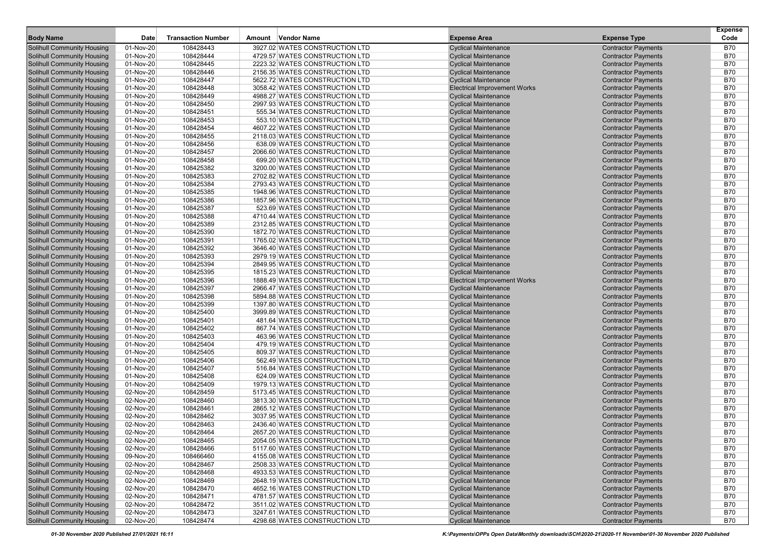| <b>Body Name</b>                  | Date      | <b>Transaction Number</b> | Amount Vendor Name             | <b>Expense Area</b>                                        | <b>Expense Type</b>        | <b>Expense</b><br>Code |
|-----------------------------------|-----------|---------------------------|--------------------------------|------------------------------------------------------------|----------------------------|------------------------|
| <b>Solihull Community Housing</b> | 01-Nov-20 | 108428443                 | 3927.02 WATES CONSTRUCTION LTD | <b>Cyclical Maintenance</b>                                | <b>Contractor Payments</b> | <b>B70</b>             |
| <b>Solihull Community Housing</b> | 01-Nov-20 | 108428444                 | 4729.57 WATES CONSTRUCTION LTD | <b>Cyclical Maintenance</b>                                | <b>Contractor Payments</b> | <b>B70</b>             |
| <b>Solihull Community Housing</b> | 01-Nov-20 | 108428445                 | 2223.32 WATES CONSTRUCTION LTD | <b>Cyclical Maintenance</b>                                | <b>Contractor Payments</b> | <b>B70</b>             |
| <b>Solihull Community Housing</b> | 01-Nov-20 | 108428446                 | 2156.35 WATES CONSTRUCTION LTD | <b>Cyclical Maintenance</b>                                | <b>Contractor Payments</b> | <b>B70</b>             |
| <b>Solihull Community Housing</b> | 01-Nov-20 | 108428447                 | 5622.72 WATES CONSTRUCTION LTD | <b>Cyclical Maintenance</b>                                | <b>Contractor Payments</b> | <b>B70</b>             |
| <b>Solihull Community Housing</b> | 01-Nov-20 | 108428448                 | 3058.42 WATES CONSTRUCTION LTD | <b>Electrical Improvement Works</b>                        | <b>Contractor Payments</b> | <b>B70</b>             |
| <b>Solihull Community Housing</b> | 01-Nov-20 | 108428449                 | 4988.27 WATES CONSTRUCTION LTD | <b>Cyclical Maintenance</b>                                | <b>Contractor Payments</b> | <b>B70</b>             |
| <b>Solihull Community Housing</b> | 01-Nov-20 | 108428450                 | 2997.93 WATES CONSTRUCTION LTD | <b>Cyclical Maintenance</b>                                | <b>Contractor Payments</b> | <b>B70</b>             |
| <b>Solihull Community Housing</b> | 01-Nov-20 | 108428451                 | 555.34 WATES CONSTRUCTION LTD  | <b>Cyclical Maintenance</b>                                | <b>Contractor Payments</b> | <b>B70</b>             |
| <b>Solihull Community Housing</b> | 01-Nov-20 | 108428453                 | 553.10 WATES CONSTRUCTION LTD  | <b>Cyclical Maintenance</b>                                | <b>Contractor Payments</b> | <b>B70</b>             |
| <b>Solihull Community Housing</b> | 01-Nov-20 | 108428454                 | 4607.22 WATES CONSTRUCTION LTD | <b>Cyclical Maintenance</b>                                | <b>Contractor Payments</b> | <b>B70</b>             |
| <b>Solihull Community Housing</b> | 01-Nov-20 | 108428455                 | 2118.03 WATES CONSTRUCTION LTD | <b>Cyclical Maintenance</b>                                | <b>Contractor Payments</b> | <b>B70</b>             |
| <b>Solihull Community Housing</b> | 01-Nov-20 | 108428456                 | 638.09 WATES CONSTRUCTION LTD  | <b>Cyclical Maintenance</b>                                | <b>Contractor Payments</b> | <b>B70</b>             |
| <b>Solihull Community Housing</b> | 01-Nov-20 | 108428457                 | 2066.60 WATES CONSTRUCTION LTD | <b>Cyclical Maintenance</b>                                | <b>Contractor Payments</b> | <b>B70</b>             |
| <b>Solihull Community Housing</b> | 01-Nov-20 | 108428458                 | 699.20 WATES CONSTRUCTION LTD  | <b>Cyclical Maintenance</b>                                | <b>Contractor Payments</b> | <b>B70</b>             |
| <b>Solihull Community Housing</b> | 01-Nov-20 | 108425382                 | 3200.00 WATES CONSTRUCTION LTD | <b>Cyclical Maintenance</b>                                | <b>Contractor Payments</b> | <b>B70</b>             |
| <b>Solihull Community Housing</b> | 01-Nov-20 | 108425383                 | 2702.82 WATES CONSTRUCTION LTD | <b>Cyclical Maintenance</b>                                | <b>Contractor Payments</b> | <b>B70</b>             |
| <b>Solihull Community Housing</b> | 01-Nov-20 | 108425384                 | 2793.43 WATES CONSTRUCTION LTD | <b>Cyclical Maintenance</b>                                | <b>Contractor Payments</b> | <b>B70</b>             |
| <b>Solihull Community Housing</b> | 01-Nov-20 | 108425385                 | 1948.96 WATES CONSTRUCTION LTD | <b>Cyclical Maintenance</b>                                | <b>Contractor Payments</b> | <b>B70</b>             |
| <b>Solihull Community Housing</b> | 01-Nov-20 | 108425386                 | 1857.96 WATES CONSTRUCTION LTD | <b>Cyclical Maintenance</b>                                | <b>Contractor Payments</b> | <b>B70</b>             |
| <b>Solihull Community Housing</b> | 01-Nov-20 | 108425387                 | 523.69 WATES CONSTRUCTION LTD  | <b>Cyclical Maintenance</b>                                | <b>Contractor Payments</b> | <b>B70</b>             |
| <b>Solihull Community Housing</b> | 01-Nov-20 | 108425388                 | 4710.44 WATES CONSTRUCTION LTD | <b>Cyclical Maintenance</b>                                | <b>Contractor Payments</b> | <b>B70</b>             |
| <b>Solihull Community Housing</b> | 01-Nov-20 | 108425389                 | 2312.85 WATES CONSTRUCTION LTD | <b>Cyclical Maintenance</b>                                | <b>Contractor Payments</b> | <b>B70</b>             |
| <b>Solihull Community Housing</b> | 01-Nov-20 | 108425390                 | 1872.70 WATES CONSTRUCTION LTD | <b>Cyclical Maintenance</b>                                | <b>Contractor Payments</b> | <b>B70</b>             |
| <b>Solihull Community Housing</b> | 01-Nov-20 | 108425391                 | 1765.02 WATES CONSTRUCTION LTD | <b>Cyclical Maintenance</b>                                | <b>Contractor Payments</b> | <b>B70</b>             |
| <b>Solihull Community Housing</b> | 01-Nov-20 | 108425392                 | 3646.40 WATES CONSTRUCTION LTD | <b>Cyclical Maintenance</b>                                | <b>Contractor Payments</b> | <b>B70</b>             |
| <b>Solihull Community Housing</b> | 01-Nov-20 | 108425393                 | 2979.19 WATES CONSTRUCTION LTD | <b>Cyclical Maintenance</b>                                | <b>Contractor Payments</b> | <b>B70</b>             |
| <b>Solihull Community Housing</b> | 01-Nov-20 | 108425394                 | 2849.95 WATES CONSTRUCTION LTD | <b>Cyclical Maintenance</b>                                | <b>Contractor Payments</b> | <b>B70</b>             |
| <b>Solihull Community Housing</b> | 01-Nov-20 | 108425395                 | 1815.23 WATES CONSTRUCTION LTD | <b>Cyclical Maintenance</b>                                | <b>Contractor Payments</b> | <b>B70</b>             |
| <b>Solihull Community Housing</b> | 01-Nov-20 | 108425396                 | 1888.49 WATES CONSTRUCTION LTD | <b>Electrical Improvement Works</b>                        | <b>Contractor Payments</b> | <b>B70</b>             |
| <b>Solihull Community Housing</b> | 01-Nov-20 | 108425397                 | 2966.47 WATES CONSTRUCTION LTD | <b>Cyclical Maintenance</b>                                | <b>Contractor Payments</b> | <b>B70</b>             |
| <b>Solihull Community Housing</b> | 01-Nov-20 | 108425398                 | 5894.88 WATES CONSTRUCTION LTD | <b>Cyclical Maintenance</b>                                | <b>Contractor Payments</b> | <b>B70</b>             |
| <b>Solihull Community Housing</b> | 01-Nov-20 | 108425399                 | 1397.80 WATES CONSTRUCTION LTD | <b>Cyclical Maintenance</b>                                | <b>Contractor Payments</b> | <b>B70</b>             |
| <b>Solihull Community Housing</b> | 01-Nov-20 | 108425400                 | 3999.89 WATES CONSTRUCTION LTD | <b>Cyclical Maintenance</b>                                | <b>Contractor Payments</b> | <b>B70</b>             |
| <b>Solihull Community Housing</b> | 01-Nov-20 | 108425401                 | 481.64 WATES CONSTRUCTION LTD  | <b>Cyclical Maintenance</b>                                | <b>Contractor Payments</b> | <b>B70</b>             |
| <b>Solihull Community Housing</b> | 01-Nov-20 | 108425402                 | 867.74 WATES CONSTRUCTION LTD  | <b>Cyclical Maintenance</b>                                | <b>Contractor Payments</b> | <b>B70</b>             |
| <b>Solihull Community Housing</b> | 01-Nov-20 | 108425403                 | 463.96 WATES CONSTRUCTION LTD  | <b>Cyclical Maintenance</b>                                | <b>Contractor Payments</b> | <b>B70</b>             |
| <b>Solihull Community Housing</b> | 01-Nov-20 | 108425404                 | 479.19 WATES CONSTRUCTION LTD  | <b>Cyclical Maintenance</b>                                | <b>Contractor Payments</b> | <b>B70</b>             |
| <b>Solihull Community Housing</b> | 01-Nov-20 | 108425405                 | 809.37 WATES CONSTRUCTION LTD  | <b>Cyclical Maintenance</b>                                | <b>Contractor Payments</b> | <b>B70</b>             |
| <b>Solihull Community Housing</b> | 01-Nov-20 | 108425406                 | 562.49 WATES CONSTRUCTION LTD  | <b>Cyclical Maintenance</b>                                | <b>Contractor Payments</b> | <b>B70</b>             |
| <b>Solihull Community Housing</b> | 01-Nov-20 | 108425407                 | 516.84 WATES CONSTRUCTION LTD  | <b>Cyclical Maintenance</b>                                | <b>Contractor Payments</b> | <b>B70</b>             |
| <b>Solihull Community Housing</b> | 01-Nov-20 | 108425408                 | 624.09 WATES CONSTRUCTION LTD  | <b>Cyclical Maintenance</b>                                | <b>Contractor Payments</b> | <b>B70</b>             |
| <b>Solihull Community Housing</b> | 01-Nov-20 | 108425409                 | 1979.13 WATES CONSTRUCTION LTD | <b>Cyclical Maintenance</b>                                | <b>Contractor Payments</b> | <b>B70</b>             |
| <b>Solihull Community Housing</b> | 02-Nov-20 | 108428459                 | 5173.45 WATES CONSTRUCTION LTD | <b>Cyclical Maintenance</b>                                | <b>Contractor Payments</b> | <b>B70</b>             |
| <b>Solihull Community Housing</b> | 02-Nov-20 | 108428460                 | 3813.30 WATES CONSTRUCTION LTD | <b>Cyclical Maintenance</b>                                | <b>Contractor Payments</b> | <b>B70</b>             |
| <b>Solihull Community Housing</b> | 02-Nov-20 | 108428461                 | 2865.12 WATES CONSTRUCTION LTD | <b>Cyclical Maintenance</b>                                | <b>Contractor Payments</b> | <b>B70</b>             |
| <b>Solihull Community Housing</b> | 02-Nov-20 | 108428462                 | 3037.95 WATES CONSTRUCTION LTD | <b>Cyclical Maintenance</b>                                | <b>Contractor Payments</b> | <b>B70</b>             |
| <b>Solihull Community Housing</b> | 02-Nov-20 | 108428463                 | 2436.40 WATES CONSTRUCTION LTD | <b>Cyclical Maintenance</b>                                | <b>Contractor Payments</b> | <b>B70</b>             |
| <b>Solihull Community Housing</b> | 02-Nov-20 | 108428464                 | 2657.20 WATES CONSTRUCTION LTD | <b>Cyclical Maintenance</b>                                | <b>Contractor Payments</b> | <b>B70</b>             |
| <b>Solihull Community Housing</b> | 02-Nov-20 | 108428465                 | 2054.05 WATES CONSTRUCTION LTD | <b>Cyclical Maintenance</b>                                | <b>Contractor Payments</b> | <b>B70</b>             |
| <b>Solihull Community Housing</b> | 02-Nov-20 | 108428466                 | 5117.60 WATES CONSTRUCTION LTD | <b>Cyclical Maintenance</b>                                | <b>Contractor Payments</b> | <b>B70</b>             |
| <b>Solihull Community Housing</b> | 09-Nov-20 | 108466460                 | 4155.08 WATES CONSTRUCTION LTD | <b>Cyclical Maintenance</b>                                | <b>Contractor Payments</b> | <b>B70</b>             |
| <b>Solihull Community Housing</b> | 02-Nov-20 | 108428467                 | 2508.33 WATES CONSTRUCTION LTD | <b>Cyclical Maintenance</b>                                | <b>Contractor Payments</b> | <b>B70</b>             |
| <b>Solihull Community Housing</b> | 02-Nov-20 | 108428468                 | 4933.53 WATES CONSTRUCTION LTD | <b>Cyclical Maintenance</b>                                | <b>Contractor Payments</b> | <b>B70</b>             |
| <b>Solihull Community Housing</b> | 02-Nov-20 | 108428469                 | 2648.19 WATES CONSTRUCTION LTD | <b>Cyclical Maintenance</b>                                | <b>Contractor Payments</b> | <b>B70</b>             |
| <b>Solihull Community Housing</b> | 02-Nov-20 | 108428470                 | 4652.16 WATES CONSTRUCTION LTD | <b>Cyclical Maintenance</b>                                | <b>Contractor Payments</b> | <b>B70</b>             |
| <b>Solihull Community Housing</b> | 02-Nov-20 | 108428471                 | 4781.57 WATES CONSTRUCTION LTD | <b>Cyclical Maintenance</b>                                | <b>Contractor Payments</b> | <b>B70</b>             |
| <b>Solihull Community Housing</b> | 02-Nov-20 | 108428472                 | 3511.02 WATES CONSTRUCTION LTD | <b>Cyclical Maintenance</b>                                | <b>Contractor Payments</b> | <b>B70</b>             |
| <b>Solihull Community Housing</b> | 02-Nov-20 | 108428473<br>108428474    | 3247.61 WATES CONSTRUCTION LTD | <b>Cyclical Maintenance</b><br><b>Cyclical Maintenance</b> | <b>Contractor Payments</b> | <b>B70</b>             |
| <b>Solihull Community Housing</b> | 02-Nov-20 |                           | 4298.68 WATES CONSTRUCTION LTD |                                                            | <b>Contractor Payments</b> | <b>B70</b>             |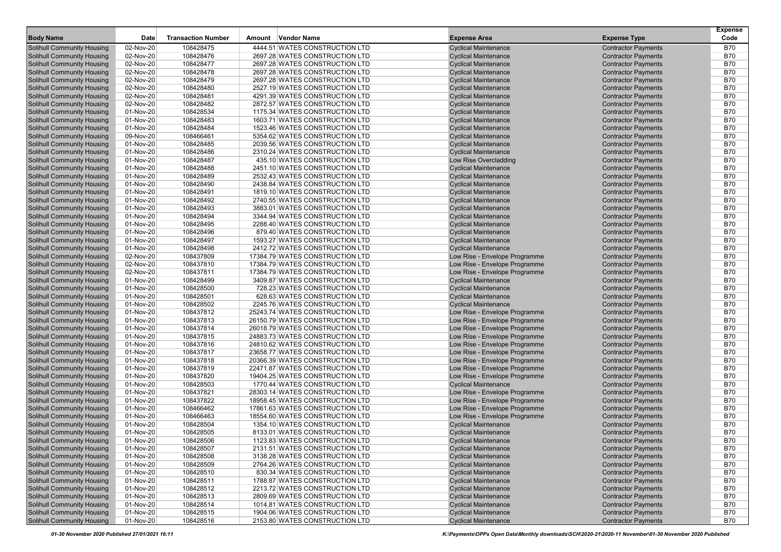| <b>Body Name</b>                                                       | Date                   | <b>Transaction Number</b> | Amount Vendor Name                                               | <b>Expense Area</b>                                        | <b>Expense Type</b>                                      | <b>Expense</b><br>Code   |
|------------------------------------------------------------------------|------------------------|---------------------------|------------------------------------------------------------------|------------------------------------------------------------|----------------------------------------------------------|--------------------------|
| <b>Solihull Community Housing</b>                                      | 02-Nov-20              | 108428475                 | 4444.51 WATES CONSTRUCTION LTD                                   | <b>Cyclical Maintenance</b>                                | <b>Contractor Payments</b>                               | B70                      |
| <b>Solihull Community Housing</b>                                      | 02-Nov-20              | 108428476                 | 2697.28 WATES CONSTRUCTION LTD                                   | <b>Cyclical Maintenance</b>                                | <b>Contractor Payments</b>                               | <b>B70</b>               |
| <b>Solihull Community Housing</b>                                      | 02-Nov-20              | 108428477                 | 2697.28 WATES CONSTRUCTION LTD                                   | <b>Cyclical Maintenance</b>                                | <b>Contractor Payments</b>                               | <b>B70</b>               |
| <b>Solihull Community Housing</b>                                      | 02-Nov-20              | 108428478                 | 2697.28 WATES CONSTRUCTION LTD                                   | <b>Cyclical Maintenance</b>                                | <b>Contractor Payments</b>                               | <b>B70</b>               |
| <b>Solihull Community Housing</b>                                      | 02-Nov-20              | 108428479                 | 2697.28 WATES CONSTRUCTION LTD                                   | <b>Cyclical Maintenance</b>                                | <b>Contractor Payments</b>                               | <b>B70</b>               |
| <b>Solihull Community Housing</b>                                      | 02-Nov-20              | 108428480                 | 2527.19 WATES CONSTRUCTION LTD                                   | <b>Cyclical Maintenance</b>                                | <b>Contractor Payments</b>                               | <b>B70</b>               |
| <b>Solihull Community Housing</b>                                      | 02-Nov-20              | 108428481                 | 4291.39 WATES CONSTRUCTION LTD                                   | <b>Cyclical Maintenance</b>                                | <b>Contractor Payments</b>                               | <b>B70</b>               |
| <b>Solihull Community Housing</b>                                      | 02-Nov-20              | 108428482                 | 2872.57 WATES CONSTRUCTION LTD                                   | <b>Cyclical Maintenance</b>                                | <b>Contractor Payments</b>                               | <b>B70</b>               |
| <b>Solihull Community Housing</b>                                      | 01-Nov-20              | 108428534                 | 1175.34 WATES CONSTRUCTION LTD                                   | <b>Cyclical Maintenance</b>                                | <b>Contractor Payments</b>                               | <b>B70</b>               |
| <b>Solihull Community Housing</b>                                      | 01-Nov-20              | 108428483                 | 1603.71 WATES CONSTRUCTION LTD                                   | <b>Cyclical Maintenance</b>                                | <b>Contractor Payments</b>                               | <b>B70</b>               |
| <b>Solihull Community Housing</b>                                      | 01-Nov-20              | 108428484                 | 1523.46 WATES CONSTRUCTION LTD                                   | <b>Cyclical Maintenance</b>                                | <b>Contractor Payments</b>                               | <b>B70</b>               |
| <b>Solihull Community Housing</b>                                      | 09-Nov-20              | 108466461                 | 5354.62 WATES CONSTRUCTION LTD                                   | <b>Cyclical Maintenance</b>                                | <b>Contractor Payments</b>                               | <b>B70</b>               |
| <b>Solihull Community Housing</b>                                      | 01-Nov-20              | 108428485                 | 2039.56 WATES CONSTRUCTION LTD                                   | <b>Cyclical Maintenance</b>                                | <b>Contractor Payments</b>                               | <b>B70</b>               |
| <b>Solihull Community Housing</b>                                      | 01-Nov-20              | 108428486                 | 2310.24 WATES CONSTRUCTION LTD                                   | <b>Cyclical Maintenance</b>                                | <b>Contractor Payments</b>                               | <b>B70</b>               |
| <b>Solihull Community Housing</b>                                      | 01-Nov-20              | 108428487                 | 435.10 WATES CONSTRUCTION LTD                                    | Low Rise Overcladding                                      | <b>Contractor Payments</b>                               | <b>B70</b>               |
| <b>Solihull Community Housing</b>                                      | 01-Nov-20              | 108428488                 | 2451.10 WATES CONSTRUCTION LTD                                   | <b>Cyclical Maintenance</b>                                | <b>Contractor Payments</b>                               | <b>B70</b>               |
| <b>Solihull Community Housing</b>                                      | 01-Nov-20              | 108428489                 | 2532.43 WATES CONSTRUCTION LTD                                   | <b>Cyclical Maintenance</b>                                | <b>Contractor Payments</b>                               | <b>B70</b>               |
| <b>Solihull Community Housing</b>                                      | 01-Nov-20              | 108428490                 | 2438.84 WATES CONSTRUCTION LTD                                   | <b>Cyclical Maintenance</b>                                | <b>Contractor Payments</b>                               | <b>B70</b>               |
| <b>Solihull Community Housing</b>                                      | 01-Nov-20              | 108428491                 | 1819.10 WATES CONSTRUCTION LTD                                   | <b>Cyclical Maintenance</b>                                | <b>Contractor Payments</b>                               | <b>B70</b>               |
| <b>Solihull Community Housing</b>                                      | 01-Nov-20              | 108428492                 | 2740.55 WATES CONSTRUCTION LTD                                   | <b>Cyclical Maintenance</b>                                | <b>Contractor Payments</b>                               | <b>B70</b>               |
| <b>Solihull Community Housing</b>                                      | 01-Nov-20              | 108428493                 | 3883.01 WATES CONSTRUCTION LTD                                   | <b>Cyclical Maintenance</b>                                | <b>Contractor Payments</b>                               | <b>B70</b>               |
| <b>Solihull Community Housing</b>                                      | 01-Nov-20              | 108428494                 | 3344.94 WATES CONSTRUCTION LTD                                   | <b>Cyclical Maintenance</b>                                | <b>Contractor Payments</b>                               | <b>B70</b>               |
| <b>Solihull Community Housing</b>                                      | 01-Nov-20              | 108428495                 | 2288.40 WATES CONSTRUCTION LTD                                   | <b>Cyclical Maintenance</b>                                | <b>Contractor Payments</b>                               | <b>B70</b>               |
| <b>Solihull Community Housing</b>                                      | 01-Nov-20              | 108428496                 | 879.40 WATES CONSTRUCTION LTD                                    | <b>Cyclical Maintenance</b>                                | <b>Contractor Payments</b>                               | <b>B70</b>               |
| <b>Solihull Community Housing</b>                                      | 01-Nov-20              | 108428497                 | 1593.27 WATES CONSTRUCTION LTD                                   | <b>Cyclical Maintenance</b>                                | <b>Contractor Payments</b>                               | <b>B70</b>               |
| <b>Solihull Community Housing</b>                                      | 01-Nov-20              | 108428498                 | 2412.72 WATES CONSTRUCTION LTD                                   | <b>Cyclical Maintenance</b>                                | <b>Contractor Payments</b>                               | <b>B70</b>               |
| <b>Solihull Community Housing</b>                                      | 02-Nov-20              | 108437809                 | 17384.79 WATES CONSTRUCTION LTD                                  | Low Rise - Envelope Programme                              | <b>Contractor Payments</b>                               | <b>B70</b>               |
| <b>Solihull Community Housing</b>                                      | 02-Nov-20              | 108437810                 | 17384.79 WATES CONSTRUCTION LTD                                  | Low Rise - Envelope Programme                              | <b>Contractor Payments</b>                               | <b>B70</b>               |
| <b>Solihull Community Housing</b>                                      | 02-Nov-20              | 108437811                 | 17384.79 WATES CONSTRUCTION LTD                                  | Low Rise - Envelope Programme                              | <b>Contractor Payments</b>                               | <b>B70</b>               |
| <b>Solihull Community Housing</b>                                      | 01-Nov-20              | 108428499                 | 3409.87 WATES CONSTRUCTION LTD                                   | <b>Cyclical Maintenance</b>                                | <b>Contractor Payments</b>                               | <b>B70</b>               |
| <b>Solihull Community Housing</b>                                      | 01-Nov-20              | 108428500                 | 728.23 WATES CONSTRUCTION LTD                                    | <b>Cyclical Maintenance</b>                                | <b>Contractor Payments</b>                               | <b>B70</b>               |
| <b>Solihull Community Housing</b>                                      | 01-Nov-20              | 108428501                 | 628.63 WATES CONSTRUCTION LTD                                    | <b>Cyclical Maintenance</b>                                | <b>Contractor Payments</b>                               | <b>B70</b>               |
| <b>Solihull Community Housing</b>                                      | 01-Nov-20              | 108428502                 | 2245.76 WATES CONSTRUCTION LTD                                   | <b>Cyclical Maintenance</b>                                | <b>Contractor Payments</b>                               | <b>B70</b>               |
| <b>Solihull Community Housing</b>                                      | 01-Nov-20              | 108437812                 | 25243.74 WATES CONSTRUCTION LTD                                  | Low Rise - Envelope Programme                              | <b>Contractor Payments</b>                               | <b>B70</b>               |
| <b>Solihull Community Housing</b>                                      | 01-Nov-20              | 108437813                 | 26150.79 WATES CONSTRUCTION LTD                                  | Low Rise - Envelope Programme                              | <b>Contractor Payments</b>                               | <b>B70</b>               |
| <b>Solihull Community Housing</b>                                      | 01-Nov-20              | 108437814                 | 26018.79 WATES CONSTRUCTION LTD                                  | Low Rise - Envelope Programme                              | <b>Contractor Payments</b>                               | <b>B70</b>               |
| <b>Solihull Community Housing</b>                                      | 01-Nov-20              | 108437815                 | 24883.73 WATES CONSTRUCTION LTD                                  | Low Rise - Envelope Programme                              | <b>Contractor Payments</b>                               | <b>B70</b>               |
| <b>Solihull Community Housing</b>                                      | 01-Nov-20              | 108437816                 | 24810.62 WATES CONSTRUCTION LTD                                  | Low Rise - Envelope Programme                              | <b>Contractor Payments</b>                               | <b>B70</b>               |
| <b>Solihull Community Housing</b>                                      | 01-Nov-20              | 108437817                 | 23658.77 WATES CONSTRUCTION LTD                                  | Low Rise - Envelope Programme                              | <b>Contractor Payments</b>                               | <b>B70</b>               |
| <b>Solihull Community Housing</b>                                      | 01-Nov-20              | 108437818                 | 20366.39 WATES CONSTRUCTION LTD                                  | Low Rise - Envelope Programme                              | <b>Contractor Payments</b>                               | <b>B70</b>               |
| <b>Solihull Community Housing</b>                                      | 01-Nov-20              | 108437819                 | 22471.87 WATES CONSTRUCTION LTD                                  | Low Rise - Envelope Programme                              | <b>Contractor Payments</b>                               | <b>B70</b>               |
| <b>Solihull Community Housing</b>                                      | 01-Nov-20              | 108437820                 | 19404.25 WATES CONSTRUCTION LTD                                  | Low Rise - Envelope Programme                              | <b>Contractor Payments</b>                               | <b>B70</b>               |
| <b>Solihull Community Housing</b>                                      | 01-Nov-20              | 108428503                 | 1770.44 WATES CONSTRUCTION LTD                                   | <b>Cyclical Maintenance</b>                                | <b>Contractor Payments</b>                               | <b>B70</b>               |
| <b>Solihull Community Housing</b>                                      | 01-Nov-20              | 108437821                 | 28303.14 WATES CONSTRUCTION LTD                                  | Low Rise - Envelope Programme                              | <b>Contractor Payments</b>                               | <b>B70</b>               |
| <b>Solihull Community Housing</b>                                      | 01-Nov-20              | 108437822                 | 18958.45 WATES CONSTRUCTION LTD                                  | Low Rise - Envelope Programme                              | <b>Contractor Payments</b>                               | <b>B70</b>               |
| <b>Solihull Community Housing</b>                                      | 01-Nov-20              | 108466462                 | 17861.63 WATES CONSTRUCTION LTD                                  | Low Rise - Envelope Programme                              | <b>Contractor Payments</b>                               | B70                      |
| <b>Solihull Community Housing</b>                                      | 01-Nov-20              | 108466463                 | 18554.60 WATES CONSTRUCTION LTD                                  | Low Rise - Envelope Programme                              | <b>Contractor Payments</b>                               | <b>B70</b>               |
| <b>Solihull Community Housing</b>                                      | 01-Nov-20              | 108428504                 | 1354.10 WATES CONSTRUCTION LTD                                   | <b>Cyclical Maintenance</b>                                | <b>Contractor Payments</b>                               | <b>B70</b>               |
| <b>Solihull Community Housing</b>                                      | 01-Nov-20              | 108428505                 | 8133.01 WATES CONSTRUCTION LTD                                   | <b>Cyclical Maintenance</b>                                | <b>Contractor Payments</b>                               | <b>B70</b>               |
| <b>Solihull Community Housing</b>                                      | 01-Nov-20              | 108428506                 | 1123.83 WATES CONSTRUCTION LTD                                   | <b>Cyclical Maintenance</b>                                | <b>Contractor Payments</b>                               | <b>B70</b>               |
| <b>Solihull Community Housing</b>                                      | 01-Nov-20              | 108428507                 | 2131.51 WATES CONSTRUCTION LTD                                   | <b>Cyclical Maintenance</b>                                | <b>Contractor Payments</b>                               | <b>B70</b>               |
| <b>Solihull Community Housing</b>                                      | 01-Nov-20              | 108428508                 | 3138.28 WATES CONSTRUCTION LTD                                   | <b>Cyclical Maintenance</b>                                | <b>Contractor Payments</b><br><b>Contractor Payments</b> | <b>B70</b>               |
| <b>Solihull Community Housing</b><br><b>Solihull Community Housing</b> | 01-Nov-20              | 108428509                 | 2764.26 WATES CONSTRUCTION LTD                                   | <b>Cyclical Maintenance</b>                                |                                                          | <b>B70</b>               |
|                                                                        | 01-Nov-20              | 108428510                 | 830.34 WATES CONSTRUCTION LTD                                    | <b>Cyclical Maintenance</b>                                | <b>Contractor Payments</b>                               | <b>B70</b>               |
| <b>Solihull Community Housing</b>                                      | 01-Nov-20              | 108428511                 | 1788.87 WATES CONSTRUCTION LTD                                   | <b>Cyclical Maintenance</b>                                | <b>Contractor Payments</b><br><b>Contractor Payments</b> | <b>B70</b>               |
| <b>Solihull Community Housing</b>                                      | 01-Nov-20              | 108428512                 | 2213.72 WATES CONSTRUCTION LTD                                   | <b>Cyclical Maintenance</b>                                | <b>Contractor Payments</b>                               | <b>B70</b>               |
| <b>Solihull Community Housing</b><br><b>Solihull Community Housing</b> | 01-Nov-20<br>01-Nov-20 | 108428513<br>108428514    | 2809.69 WATES CONSTRUCTION LTD<br>1014.81 WATES CONSTRUCTION LTD | <b>Cyclical Maintenance</b><br><b>Cyclical Maintenance</b> | <b>Contractor Payments</b>                               | <b>B70</b><br><b>B70</b> |
| <b>Solihull Community Housing</b>                                      | 01-Nov-20              | 108428515                 | 1904.06 WATES CONSTRUCTION LTD                                   | <b>Cyclical Maintenance</b>                                | <b>Contractor Payments</b>                               | <b>B70</b>               |
| <b>Solihull Community Housing</b>                                      | 01-Nov-20              | 108428516                 | 2153.80 WATES CONSTRUCTION LTD                                   | <b>Cyclical Maintenance</b>                                | <b>Contractor Payments</b>                               | <b>B70</b>               |
|                                                                        |                        |                           |                                                                  |                                                            |                                                          |                          |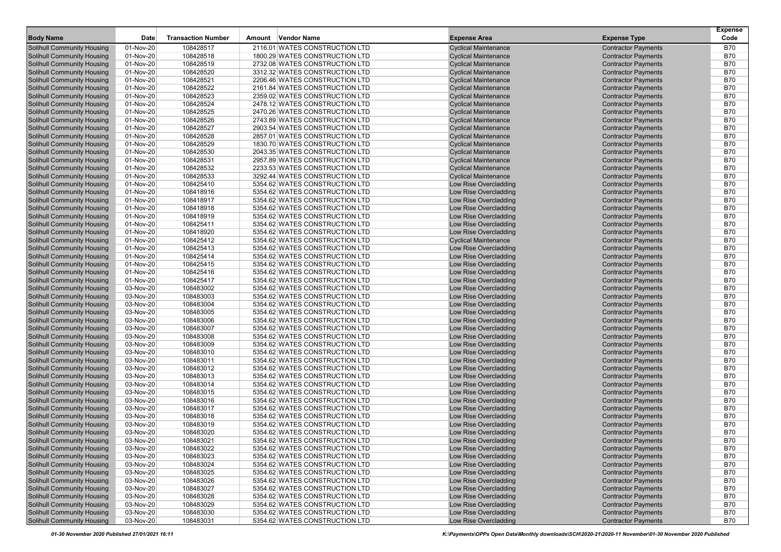| <b>Body Name</b>                  | Date      | <b>Transaction Number</b> | Amount Vendor Name             | <b>Expense Area</b>         | <b>Expense Type</b>        | <b>Expense</b><br>Code |
|-----------------------------------|-----------|---------------------------|--------------------------------|-----------------------------|----------------------------|------------------------|
| <b>Solihull Community Housing</b> | 01-Nov-20 | 108428517                 | 2116.01 WATES CONSTRUCTION LTD | <b>Cyclical Maintenance</b> | <b>Contractor Payments</b> | B70                    |
| <b>Solihull Community Housing</b> | 01-Nov-20 | 108428518                 | 1800.29 WATES CONSTRUCTION LTD | <b>Cyclical Maintenance</b> | <b>Contractor Payments</b> | <b>B70</b>             |
| <b>Solihull Community Housing</b> | 01-Nov-20 | 108428519                 | 2732.08 WATES CONSTRUCTION LTD | <b>Cyclical Maintenance</b> | <b>Contractor Payments</b> | <b>B70</b>             |
| <b>Solihull Community Housing</b> | 01-Nov-20 | 108428520                 | 3312.32 WATES CONSTRUCTION LTD | <b>Cyclical Maintenance</b> | <b>Contractor Payments</b> | <b>B70</b>             |
| <b>Solihull Community Housing</b> | 01-Nov-20 | 108428521                 | 2206.46 WATES CONSTRUCTION LTD | <b>Cyclical Maintenance</b> | <b>Contractor Payments</b> | <b>B70</b>             |
| <b>Solihull Community Housing</b> | 01-Nov-20 | 108428522                 | 2161.84 WATES CONSTRUCTION LTD | <b>Cyclical Maintenance</b> | <b>Contractor Payments</b> | <b>B70</b>             |
| <b>Solihull Community Housing</b> | 01-Nov-20 | 108428523                 | 2359.02 WATES CONSTRUCTION LTD | <b>Cyclical Maintenance</b> | <b>Contractor Payments</b> | <b>B70</b>             |
| <b>Solihull Community Housing</b> | 01-Nov-20 | 108428524                 | 2478.12 WATES CONSTRUCTION LTD | <b>Cyclical Maintenance</b> | <b>Contractor Payments</b> | <b>B70</b>             |
| <b>Solihull Community Housing</b> | 01-Nov-20 | 108428525                 | 2470.26 WATES CONSTRUCTION LTD | <b>Cyclical Maintenance</b> | <b>Contractor Payments</b> | <b>B70</b>             |
| <b>Solihull Community Housing</b> | 01-Nov-20 | 108428526                 | 2743.89 WATES CONSTRUCTION LTD | <b>Cyclical Maintenance</b> | <b>Contractor Payments</b> | <b>B70</b>             |
| <b>Solihull Community Housing</b> | 01-Nov-20 | 108428527                 | 2903.54 WATES CONSTRUCTION LTD | <b>Cyclical Maintenance</b> | <b>Contractor Payments</b> | <b>B70</b>             |
| <b>Solihull Community Housing</b> | 01-Nov-20 | 108428528                 | 2857.01 WATES CONSTRUCTION LTD | <b>Cyclical Maintenance</b> | <b>Contractor Payments</b> | <b>B70</b>             |
| <b>Solihull Community Housing</b> | 01-Nov-20 | 108428529                 | 1830.70 WATES CONSTRUCTION LTD | <b>Cyclical Maintenance</b> | <b>Contractor Payments</b> | <b>B70</b>             |
| <b>Solihull Community Housing</b> | 01-Nov-20 | 108428530                 | 2043.35 WATES CONSTRUCTION LTD | <b>Cyclical Maintenance</b> | <b>Contractor Payments</b> | <b>B70</b>             |
| <b>Solihull Community Housing</b> | 01-Nov-20 | 108428531                 | 2957.89 WATES CONSTRUCTION LTD | <b>Cyclical Maintenance</b> | <b>Contractor Payments</b> | <b>B70</b>             |
| <b>Solihull Community Housing</b> | 01-Nov-20 | 108428532                 | 2233.53 WATES CONSTRUCTION LTD | <b>Cyclical Maintenance</b> | <b>Contractor Payments</b> | <b>B70</b>             |
| <b>Solihull Community Housing</b> | 01-Nov-20 | 108428533                 | 3292.44 WATES CONSTRUCTION LTD | <b>Cyclical Maintenance</b> | <b>Contractor Payments</b> | <b>B70</b>             |
| <b>Solihull Community Housing</b> | 01-Nov-20 | 108425410                 | 5354.62 WATES CONSTRUCTION LTD | Low Rise Overcladding       | <b>Contractor Payments</b> | <b>B70</b>             |
| <b>Solihull Community Housing</b> | 01-Nov-20 | 108418916                 | 5354.62 WATES CONSTRUCTION LTD | Low Rise Overcladding       | <b>Contractor Payments</b> | <b>B70</b>             |
| <b>Solihull Community Housing</b> | 01-Nov-20 | 108418917                 | 5354.62 WATES CONSTRUCTION LTD | Low Rise Overcladding       | <b>Contractor Payments</b> | <b>B70</b>             |
| <b>Solihull Community Housing</b> | 01-Nov-20 | 108418918                 | 5354.62 WATES CONSTRUCTION LTD | Low Rise Overcladding       | <b>Contractor Payments</b> | <b>B70</b>             |
| <b>Solihull Community Housing</b> | 01-Nov-20 | 108418919                 | 5354.62 WATES CONSTRUCTION LTD | Low Rise Overcladding       | <b>Contractor Payments</b> | <b>B70</b>             |
| <b>Solihull Community Housing</b> | 01-Nov-20 | 108425411                 | 5354.62 WATES CONSTRUCTION LTD | Low Rise Overcladding       | <b>Contractor Payments</b> | <b>B70</b>             |
| <b>Solihull Community Housing</b> | 01-Nov-20 | 108418920                 | 5354.62 WATES CONSTRUCTION LTD | Low Rise Overcladding       | <b>Contractor Payments</b> | <b>B70</b>             |
| <b>Solihull Community Housing</b> | 01-Nov-20 | 108425412                 | 5354.62 WATES CONSTRUCTION LTD | <b>Cyclical Maintenance</b> | <b>Contractor Payments</b> | <b>B70</b>             |
| <b>Solihull Community Housing</b> | 01-Nov-20 | 108425413                 | 5354.62 WATES CONSTRUCTION LTD | Low Rise Overcladding       | <b>Contractor Payments</b> | <b>B70</b>             |
| <b>Solihull Community Housing</b> | 01-Nov-20 | 108425414                 | 5354.62 WATES CONSTRUCTION LTD | Low Rise Overcladding       | <b>Contractor Payments</b> | <b>B70</b>             |
| <b>Solihull Community Housing</b> | 01-Nov-20 | 108425415                 | 5354.62 WATES CONSTRUCTION LTD | Low Rise Overcladding       | <b>Contractor Payments</b> | <b>B70</b>             |
| <b>Solihull Community Housing</b> | 01-Nov-20 | 108425416                 | 5354.62 WATES CONSTRUCTION LTD | Low Rise Overcladding       | <b>Contractor Payments</b> | <b>B70</b>             |
| <b>Solihull Community Housing</b> | 01-Nov-20 | 108425417                 | 5354.62 WATES CONSTRUCTION LTD | Low Rise Overcladding       | <b>Contractor Payments</b> | <b>B70</b>             |
| <b>Solihull Community Housing</b> | 03-Nov-20 | 108483002                 | 5354.62 WATES CONSTRUCTION LTD | Low Rise Overcladding       | <b>Contractor Payments</b> | <b>B70</b>             |
| <b>Solihull Community Housing</b> | 03-Nov-20 | 108483003                 | 5354.62 WATES CONSTRUCTION LTD | Low Rise Overcladding       | <b>Contractor Payments</b> | <b>B70</b>             |
| <b>Solihull Community Housing</b> | 03-Nov-20 | 108483004                 | 5354.62 WATES CONSTRUCTION LTD | Low Rise Overcladding       | <b>Contractor Payments</b> | <b>B70</b>             |
| <b>Solihull Community Housing</b> | 03-Nov-20 | 108483005                 | 5354.62 WATES CONSTRUCTION LTD | Low Rise Overcladding       | <b>Contractor Payments</b> | <b>B70</b>             |
| <b>Solihull Community Housing</b> | 03-Nov-20 | 108483006                 | 5354.62 WATES CONSTRUCTION LTD | Low Rise Overcladding       | <b>Contractor Payments</b> | <b>B70</b>             |
| <b>Solihull Community Housing</b> | 03-Nov-20 | 108483007                 | 5354.62 WATES CONSTRUCTION LTD | Low Rise Overcladding       | <b>Contractor Payments</b> | <b>B70</b>             |
| <b>Solihull Community Housing</b> | 03-Nov-20 | 108483008                 | 5354.62 WATES CONSTRUCTION LTD | Low Rise Overcladding       | <b>Contractor Payments</b> | <b>B70</b>             |
| <b>Solihull Community Housing</b> | 03-Nov-20 | 108483009                 | 5354.62 WATES CONSTRUCTION LTD | Low Rise Overcladding       | <b>Contractor Payments</b> | <b>B70</b>             |
| <b>Solihull Community Housing</b> | 03-Nov-20 | 108483010                 | 5354.62 WATES CONSTRUCTION LTD | Low Rise Overcladding       | <b>Contractor Payments</b> | <b>B70</b>             |
| <b>Solihull Community Housing</b> | 03-Nov-20 | 108483011                 | 5354.62 WATES CONSTRUCTION LTD | Low Rise Overcladding       | <b>Contractor Payments</b> | <b>B70</b>             |
| <b>Solihull Community Housing</b> | 03-Nov-20 | 108483012                 | 5354.62 WATES CONSTRUCTION LTD | Low Rise Overcladding       | <b>Contractor Payments</b> | <b>B70</b>             |
| <b>Solihull Community Housing</b> | 03-Nov-20 | 108483013                 | 5354.62 WATES CONSTRUCTION LTD | Low Rise Overcladding       | <b>Contractor Payments</b> | <b>B70</b>             |
| <b>Solihull Community Housing</b> | 03-Nov-20 | 108483014                 | 5354.62 WATES CONSTRUCTION LTD | Low Rise Overcladding       | <b>Contractor Payments</b> | <b>B70</b>             |
| <b>Solihull Community Housing</b> | 03-Nov-20 | 108483015                 | 5354.62 WATES CONSTRUCTION LTD | Low Rise Overcladding       | <b>Contractor Payments</b> | <b>B70</b>             |
| <b>Solihull Community Housing</b> | 03-Nov-20 | 108483016                 | 5354.62 WATES CONSTRUCTION LTD | Low Rise Overcladding       | <b>Contractor Payments</b> | <b>B70</b>             |
| <b>Solihull Community Housing</b> | 03-Nov-20 | 108483017                 | 5354.62 WATES CONSTRUCTION LTD | Low Rise Overcladding       | <b>Contractor Payments</b> | <b>B70</b>             |
| <b>Solihull Community Housing</b> | 03-Nov-20 | 108483018                 | 5354.62 WATES CONSTRUCTION LTD | Low Rise Overcladding       | <b>Contractor Payments</b> | <b>B70</b>             |
| <b>Solihull Community Housing</b> | 03-Nov-20 | 108483019                 | 5354.62 WATES CONSTRUCTION LTD | Low Rise Overcladding       | <b>Contractor Payments</b> | <b>B70</b>             |
| <b>Solihull Community Housing</b> | 03-Nov-20 | 108483020                 | 5354.62 WATES CONSTRUCTION LTD | Low Rise Overcladding       | <b>Contractor Payments</b> | <b>B70</b>             |
| <b>Solihull Community Housing</b> | 03-Nov-20 | 108483021                 | 5354.62 WATES CONSTRUCTION LTD | Low Rise Overcladding       | <b>Contractor Payments</b> | <b>B70</b>             |
| <b>Solihull Community Housing</b> | 03-Nov-20 | 108483022                 | 5354.62 WATES CONSTRUCTION LTD | Low Rise Overcladding       | <b>Contractor Payments</b> | <b>B70</b>             |
| <b>Solihull Community Housing</b> | 03-Nov-20 | 108483023                 | 5354.62 WATES CONSTRUCTION LTD | Low Rise Overcladding       | <b>Contractor Payments</b> | <b>B70</b>             |
| <b>Solihull Community Housing</b> | 03-Nov-20 | 108483024                 | 5354.62 WATES CONSTRUCTION LTD | Low Rise Overcladding       | <b>Contractor Payments</b> | <b>B70</b>             |
| <b>Solihull Community Housing</b> | 03-Nov-20 | 108483025                 | 5354.62 WATES CONSTRUCTION LTD | Low Rise Overcladding       | <b>Contractor Payments</b> | <b>B70</b>             |
| <b>Solihull Community Housing</b> | 03-Nov-20 | 108483026                 | 5354.62 WATES CONSTRUCTION LTD | Low Rise Overcladding       | <b>Contractor Payments</b> | <b>B70</b>             |
| <b>Solihull Community Housing</b> | 03-Nov-20 | 108483027                 | 5354.62 WATES CONSTRUCTION LTD | Low Rise Overcladding       | <b>Contractor Payments</b> | <b>B70</b>             |
| <b>Solihull Community Housing</b> | 03-Nov-20 | 108483028                 | 5354.62 WATES CONSTRUCTION LTD | Low Rise Overcladding       | <b>Contractor Payments</b> | <b>B70</b>             |
| <b>Solihull Community Housing</b> | 03-Nov-20 | 108483029                 | 5354.62 WATES CONSTRUCTION LTD | Low Rise Overcladding       | <b>Contractor Payments</b> | <b>B70</b>             |
| <b>Solihull Community Housing</b> | 03-Nov-20 | 108483030                 | 5354.62 WATES CONSTRUCTION LTD | Low Rise Overcladding       | <b>Contractor Payments</b> | <b>B70</b>             |
| <b>Solihull Community Housing</b> | 03-Nov-20 | 108483031                 | 5354.62 WATES CONSTRUCTION LTD | Low Rise Overcladding       | <b>Contractor Payments</b> | B70                    |